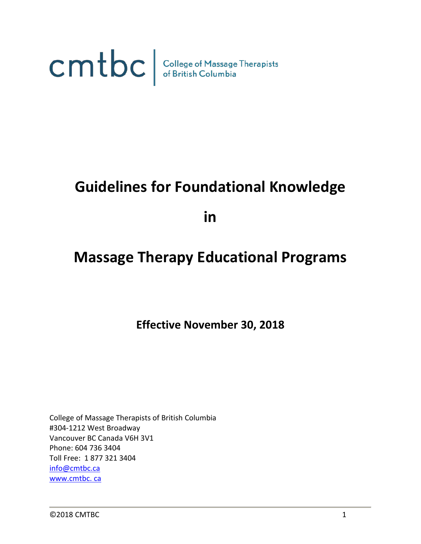

# **Guidelines for Foundational Knowledge**

**in**

# **Massage Therapy Educational Programs**

**Effective November 30, 2018**

College of Massage Therapists of British Columbia #304-1212 West Broadway Vancouver BC Canada V6H 3V1 Phone: 604 736 3404 Toll Free: 1 877 321 3404 [info@cmtbc.ca](mailto:info@cmtbc.ca) [www.cmtbc.](http://www.cmtbc.bc.ca/) ca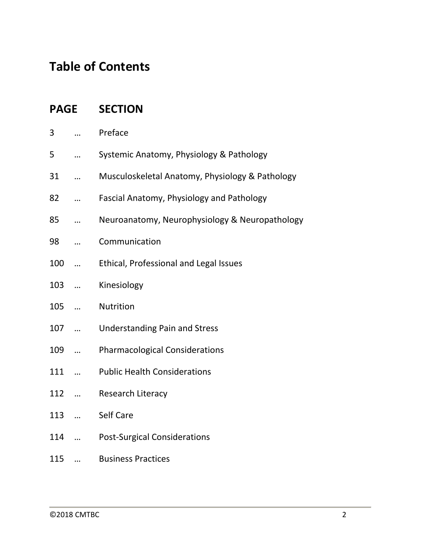# **Table of Contents**

|     |            | <b>PAGE SECTION</b>                             |
|-----|------------|-------------------------------------------------|
| 3   |            | Preface                                         |
| 5   |            | Systemic Anatomy, Physiology & Pathology        |
| 31  |            | Musculoskeletal Anatomy, Physiology & Pathology |
| 82  |            | Fascial Anatomy, Physiology and Pathology       |
| 85  |            | Neuroanatomy, Neurophysiology & Neuropathology  |
| 98  |            | Communication                                   |
| 100 | $\ddotsc$  | Ethical, Professional and Legal Issues          |
| 103 | $\ddotsc$  | Kinesiology                                     |
| 105 | $\dddotsc$ | Nutrition                                       |
| 107 | $\dddotsc$ | <b>Understanding Pain and Stress</b>            |
| 109 |            | <b>Pharmacological Considerations</b>           |
| 111 |            | <b>Public Health Considerations</b>             |
| 112 |            | Research Literacy                               |
| 113 |            | Self Care                                       |
| 114 |            | <b>Post-Surgical Considerations</b>             |
| 115 |            | <b>Business Practices</b>                       |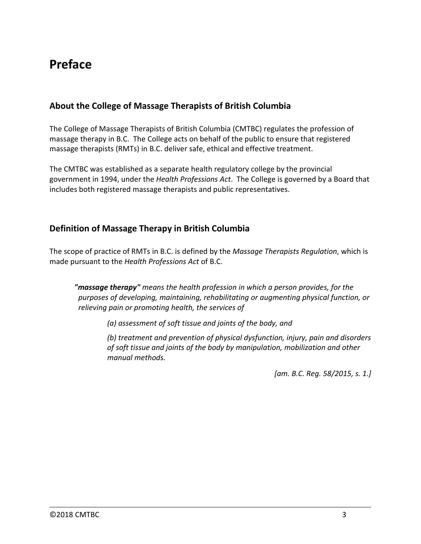# **Preface**

### **About the College of Massage Therapists of British Columbia**

The College of Massage Therapists of British Columbia (CMTBC) regulates the profession of massage therapy in B.C. The College acts on behalf of the public to ensure that registered massage therapists (RMTs) in B.C. deliver safe, ethical and effective treatment.

The CMTBC was established as a separate health regulatory college by the provincial government in 1994, under the *Health Professions Act*. The College is governed by a Board that includes both registered massage therapists and public representatives.

### **Definition of Massage Therapy in British Columbia**

The scope of practice of RMTs in B.C. is defined by the *Massage Therapists Regulation*, which is made pursuant to the *Health Professions Act* of B.C.

*"massage therapy" means the health profession in which a person provides, for the purposes of developing, maintaining, rehabilitating or augmenting physical function, or relieving pain or promoting health, the services of*

*(a) assessment of soft tissue and joints of the body, and*

*(b) treatment and prevention of physical dysfunction, injury, pain and disorders of soft tissue and joints of the body by manipulation, mobilization and other manual methods.*

*[am. B.C. Reg. 58/2015, s. 1.]*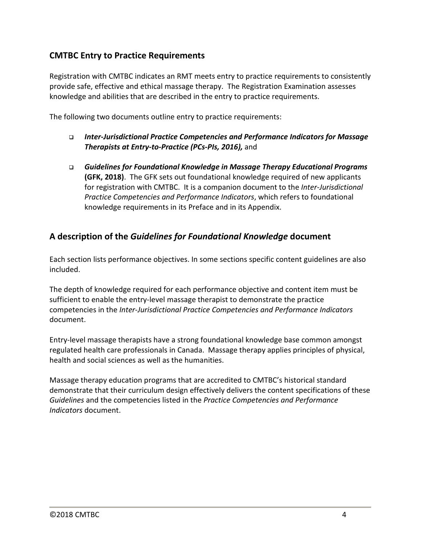### **CMTBC Entry to Practice Requirements**

Registration with CMTBC indicates an RMT meets entry to practice requirements to consistently provide safe, effective and ethical massage therapy. The Registration Examination assesses knowledge and abilities that are described in the entry to practice requirements.

The following two documents outline entry to practice requirements:

- *Inter-Jurisdictional Practice Competencies and Performance Indicators for Massage Therapists at Entry-to-Practice (PCs-PIs, 2016),* and
- *Guidelines for Foundational Knowledge in Massage Therapy Educational Programs* **(GFK, 2018)**. The GFK sets out foundational knowledge required of new applicants for registration with CMTBC. It is a companion document to the *Inter-Jurisdictional Practice Competencies and Performance Indicators*, which refers to foundational knowledge requirements in its Preface and in its Appendix.

### **A description of the** *Guidelines for Foundational Knowledge* **document**

Each section lists performance objectives. In some sections specific content guidelines are also included.

The depth of knowledge required for each performance objective and content item must be sufficient to enable the entry-level massage therapist to demonstrate the practice competencies in the *Inter-Jurisdictional Practice Competencies and Performance Indicators* document.

Entry-level massage therapists have a strong foundational knowledge base common amongst regulated health care professionals in Canada. Massage therapy applies principles of physical, health and social sciences as well as the humanities.

Massage therapy education programs that are accredited to CMTBC's historical standard demonstrate that their curriculum design effectively delivers the content specifications of these *Guidelines* and the competencies listed in the *Practice Competencies and Performance Indicators* document.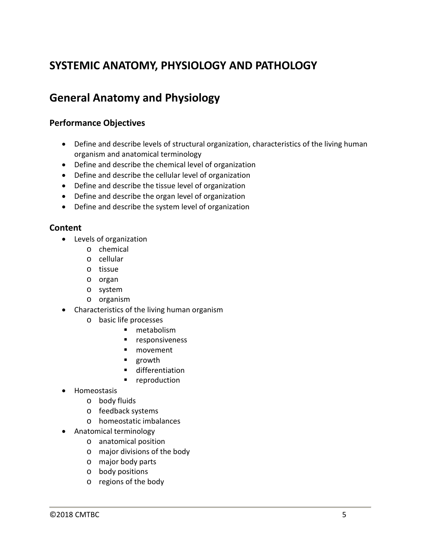# **SYSTEMIC ANATOMY, PHYSIOLOGY AND PATHOLOGY**

### **General Anatomy and Physiology**

### **Performance Objectives**

- Define and describe levels of structural organization, characteristics of the living human organism and anatomical terminology
- Define and describe the chemical level of organization
- Define and describe the cellular level of organization
- Define and describe the tissue level of organization
- Define and describe the organ level of organization
- Define and describe the system level of organization

- Levels of organization
	- o chemical
	- o cellular
	- o tissue
	- o organ
	- o system
	- o organism
- Characteristics of the living human organism
	- o basic life processes
		- **netabolism**
		- **F** responsiveness
		- **novement**
		- growth
		- differentiation
		- **reproduction**
- Homeostasis
	- o body fluids
	- o feedback systems
	- o homeostatic imbalances
- Anatomical terminology
	- o anatomical position
	- o major divisions of the body
	- o major body parts
	- o body positions
	- o regions of the body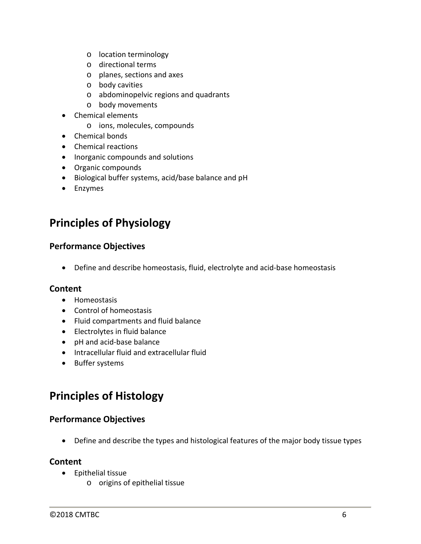- o location terminology
- o directional terms
- o planes, sections and axes
- o body cavities
- o abdominopelvic regions and quadrants
- o body movements
- Chemical elements
	- o ions, molecules, compounds
- Chemical bonds
- Chemical reactions
- Inorganic compounds and solutions
- Organic compounds
- Biological buffer systems, acid/base balance and pH
- Enzymes

### **Principles of Physiology**

### **Performance Objectives**

• Define and describe homeostasis, fluid, electrolyte and acid-base homeostasis

### **Content**

- Homeostasis
- Control of homeostasis
- Fluid compartments and fluid balance
- Electrolytes in fluid balance
- pH and acid-base balance
- Intracellular fluid and extracellular fluid
- Buffer systems

# **Principles of Histology**

### **Performance Objectives**

• Define and describe the types and histological features of the major body tissue types

- Epithelial tissue
	- o origins of epithelial tissue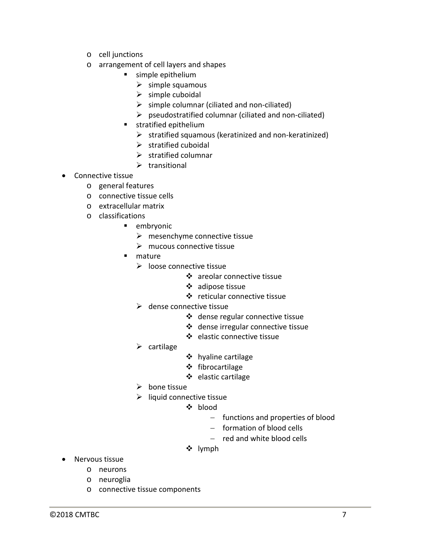- o cell junctions
- o arrangement of cell layers and shapes
	- **simple epithelium** 
		- $\triangleright$  simple squamous
		- $\triangleright$  simple cuboidal
		- $\triangleright$  simple columnar (ciliated and non-ciliated)
		- $\triangleright$  pseudostratified columnar (ciliated and non-ciliated)
	- **stratified epithelium** 
		- $\triangleright$  stratified squamous (keratinized and non-keratinized)
		- $\triangleright$  stratified cuboidal
		- $\triangleright$  stratified columnar
		- $\triangleright$  transitional
- Connective tissue
	- o general features
	- o connective tissue cells
	- o extracellular matrix
	- o classifications
		- **E** embryonic
			- $\triangleright$  mesenchyme connective tissue
			- $\triangleright$  mucous connective tissue
		- **nature** 
			- $\triangleright$  loose connective tissue
				- areolar connective tissue
				- adipose tissue
				- reticular connective tissue
			- $\triangleright$  dense connective tissue
				- dense regular connective tissue
				- dense irregular connective tissue
				- elastic connective tissue
			- $\triangleright$  cartilage
- ❖ hyaline cartilage
- fibrocartilage
- $\div$  elastic cartilage
- $\triangleright$  bone tissue
- $\triangleright$  liquid connective tissue
	- ❖ blood
		- − functions and properties of blood
		- − formation of blood cells
		- − red and white blood cells
	- lymph

- Nervous tissue
	- o neurons
	- o neuroglia
	- o connective tissue components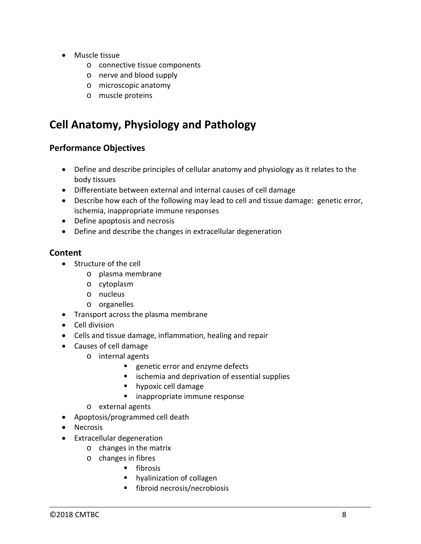- Muscle tissue
	- o connective tissue components
	- o nerve and blood supply
	- o microscopic anatomy
	- o muscle proteins

# **Cell Anatomy, Physiology and Pathology**

### **Performance Objectives**

- Define and describe principles of cellular anatomy and physiology as it relates to the body tissues
- Differentiate between external and internal causes of cell damage
- Describe how each of the following may lead to cell and tissue damage: genetic error, ischemia, inappropriate immune responses
- Define apoptosis and necrosis
- Define and describe the changes in extracellular degeneration

- Structure of the cell
	- o plasma membrane
	- o cytoplasm
	- o nucleus
	- o organelles
- Transport across the plasma membrane
- Cell division
- Cells and tissue damage, inflammation, healing and repair
- Causes of cell damage
	- o internal agents
		- **EXECUTE:** Propertic error and enzyme defects
		- **EXECUTE:** ischemia and deprivation of essential supplies
		- **hypoxic cell damage**
		- inappropriate immune response
	- o external agents
- Apoptosis/programmed cell death
- Necrosis
- Extracellular degeneration
	- o changes in the matrix
	- o changes in fibres
		- $\blacksquare$  fibrosis
		- **hyalinization of collagen**
		- **fibroid necrosis/necrobiosis**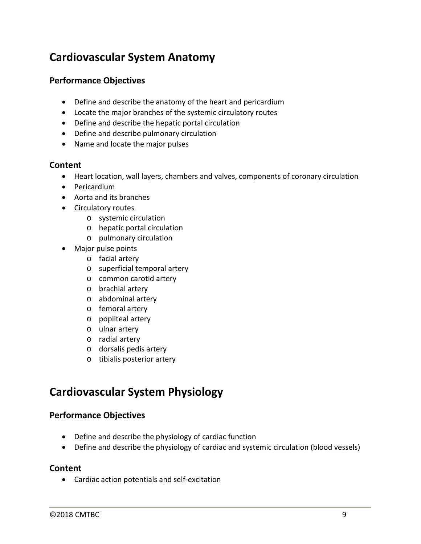### **Cardiovascular System Anatomy**

### **Performance Objectives**

- Define and describe the anatomy of the heart and pericardium
- Locate the major branches of the systemic circulatory routes
- Define and describe the hepatic portal circulation
- Define and describe pulmonary circulation
- Name and locate the major pulses

#### **Content**

- Heart location, wall layers, chambers and valves, components of coronary circulation
- Pericardium
- Aorta and its branches
- Circulatory routes
	- o systemic circulation
	- o hepatic portal circulation
	- o pulmonary circulation
- Major pulse points
	- o facial artery
	- o superficial temporal artery
	- o common carotid artery
	- o brachial artery
	- o abdominal artery
	- o femoral artery
	- o popliteal artery
	- o ulnar artery
	- o radial artery
	- o dorsalis pedis artery
	- o tibialis posterior artery

### **Cardiovascular System Physiology**

### **Performance Objectives**

- Define and describe the physiology of cardiac function
- Define and describe the physiology of cardiac and systemic circulation (blood vessels)

#### **Content**

• Cardiac action potentials and self-excitation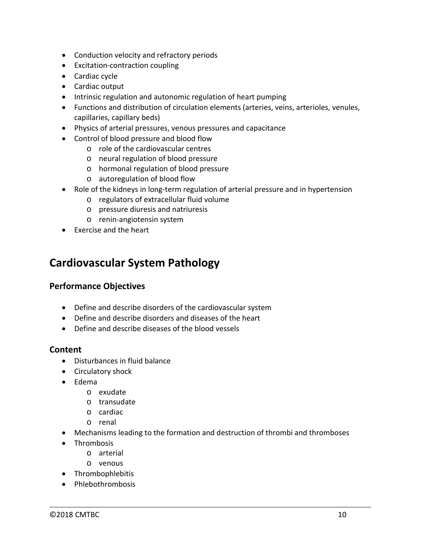- Conduction velocity and refractory periods
- Excitation-contraction coupling
- Cardiac cycle
- Cardiac output
- Intrinsic regulation and autonomic regulation of heart pumping
- Functions and distribution of circulation elements (arteries, veins, arterioles, venules, capillaries, capillary beds)
- Physics of arterial pressures, venous pressures and capacitance
- Control of blood pressure and blood flow
	- o role of the cardiovascular centres
	- o neural regulation of blood pressure
	- o hormonal regulation of blood pressure
	- o autoregulation of blood flow
- Role of the kidneys in long-term regulation of arterial pressure and in hypertension
	- o regulators of extracellular fluid volume
	- o pressure diuresis and natriuresis
	- o renin-angiotensin system
- Exercise and the heart

### **Cardiovascular System Pathology**

### **Performance Objectives**

- Define and describe disorders of the cardiovascular system
- Define and describe disorders and diseases of the heart
- Define and describe diseases of the blood vessels

- Disturbances in fluid balance
- Circulatory shock
- Edema
	- o exudate
	- o transudate
	- o cardiac
	- o renal
- Mechanisms leading to the formation and destruction of thrombi and thromboses
- Thrombosis
	- o arterial
	- o venous
- Thrombophlebitis
- Phlebothrombosis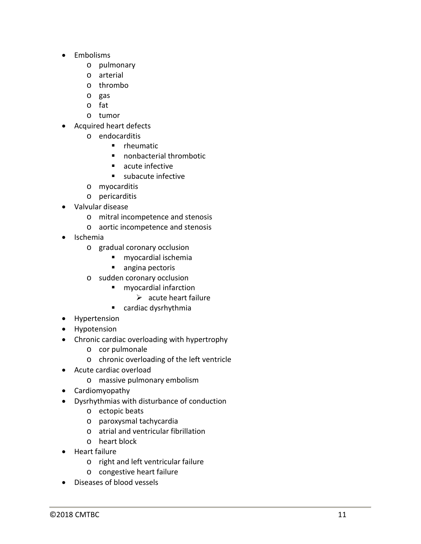- Embolisms
	- o pulmonary
	- o arterial
	- o thrombo
	- o gas
	- o fat
	- o tumor
- Acquired heart defects
	- o endocarditis
		- **F** rheumatic
		- nonbacterial thrombotic
		- **acute infective**
		- subacute infective
	- o myocarditis
	- o pericarditis
- Valvular disease
	- o mitral incompetence and stenosis
	- o aortic incompetence and stenosis
- Ischemia
	- o gradual coronary occlusion
		- myocardial ischemia
		- angina pectoris
	- o sudden coronary occlusion
		- **n** myocardial infarction
			- $\triangleright$  acute heart failure
		- cardiac dysrhythmia
- Hypertension
- Hypotension
- Chronic cardiac overloading with hypertrophy
	- o cor pulmonale
	- o chronic overloading of the left ventricle
- Acute cardiac overload
	- o massive pulmonary embolism
- Cardiomyopathy
- Dysrhythmias with disturbance of conduction
	- o ectopic beats
	- o paroxysmal tachycardia
	- o atrial and ventricular fibrillation
	- o heart block
- Heart failure
	- o right and left ventricular failure
	- o congestive heart failure
- Diseases of blood vessels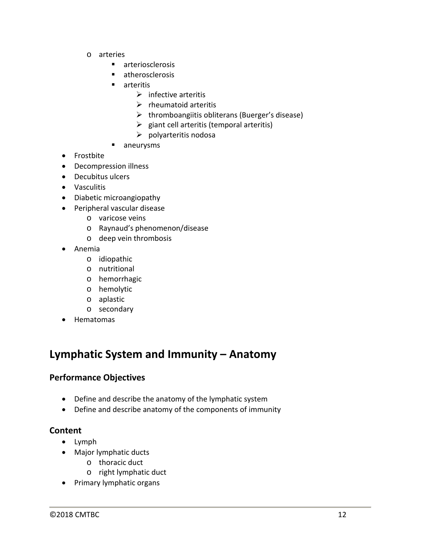- o arteries
	- **arteriosclerosis**
	- **E** atherosclerosis
	- arteritis
		- $\triangleright$  infective arteritis
		- $\triangleright$  rheumatoid arteritis
		- $\triangleright$  thromboangiitis obliterans (Buerger's disease)
		- $\triangleright$  giant cell arteritis (temporal arteritis)
		- $\triangleright$  polyarteritis nodosa
	- **n** aneurysms
- Frostbite
- Decompression illness
- Decubitus ulcers
- Vasculitis
- Diabetic microangiopathy
- Peripheral vascular disease
	- o varicose veins
	- o Raynaud's phenomenon/disease
	- o deep vein thrombosis
- Anemia
	- o idiopathic
	- o nutritional
	- o hemorrhagic
	- o hemolytic
	- o aplastic
	- o secondary
- Hematomas

### **Lymphatic System and Immunity – Anatomy**

### **Performance Objectives**

- Define and describe the anatomy of the lymphatic system
- Define and describe anatomy of the components of immunity

- Lymph
- Major lymphatic ducts
	- o thoracic duct
	- o right lymphatic duct
- Primary lymphatic organs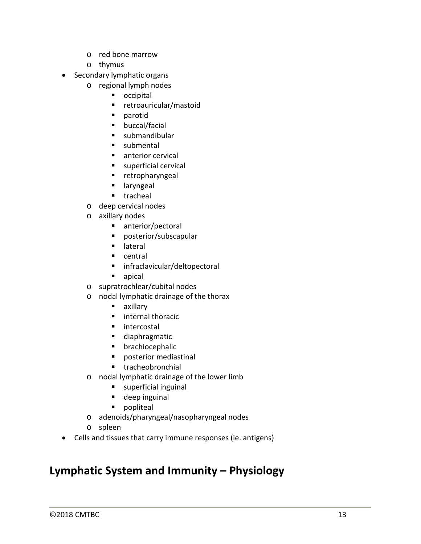- o red bone marrow
- o thymus
- Secondary lymphatic organs
	- o regional lymph nodes
		- **n** occipital
		- retroauricular/mastoid
		- **parotid**
		- **•** buccal/facial
		- **submandibular**
		- submental
		- **anterior cervical**
		- **superficial cervical**
		- **retropharyngeal**
		- **u** laryngeal
		- **tracheal**
	- o deep cervical nodes
	- o axillary nodes
		- anterior/pectoral
		- posterior/subscapular
		- **u** lateral
		- **E** central
		- infraclavicular/deltopectoral
		- **apical**
	- o supratrochlear/cubital nodes
	- o nodal lymphatic drainage of the thorax
		- axillary
		- **internal thoracic**
		- **n** intercostal
		- diaphragmatic
		- **•** brachiocephalic
		- **P** posterior mediastinal
		- **tracheobronchial**
	- o nodal lymphatic drainage of the lower limb
		- **superficial inguinal**
		- **deep inguinal**
		- **popliteal**
	- o adenoids/pharyngeal/nasopharyngeal nodes
	- o spleen
- Cells and tissues that carry immune responses (ie. antigens)

### **Lymphatic System and Immunity – Physiology**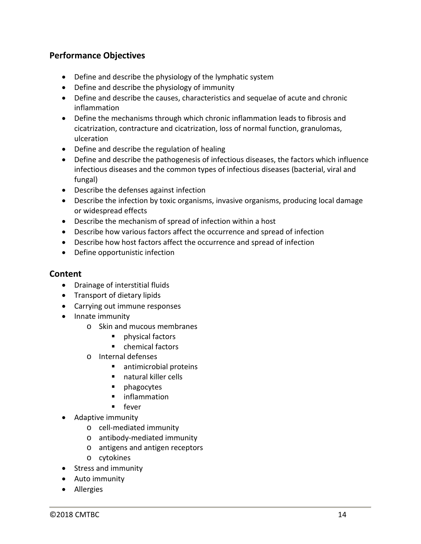### **Performance Objectives**

- Define and describe the physiology of the lymphatic system
- Define and describe the physiology of immunity
- Define and describe the causes, characteristics and sequelae of acute and chronic inflammation
- Define the mechanisms through which chronic inflammation leads to fibrosis and cicatrization, contracture and cicatrization, loss of normal function, granulomas, ulceration
- Define and describe the regulation of healing
- Define and describe the pathogenesis of infectious diseases, the factors which influence infectious diseases and the common types of infectious diseases (bacterial, viral and fungal)
- Describe the defenses against infection
- Describe the infection by toxic organisms, invasive organisms, producing local damage or widespread effects
- Describe the mechanism of spread of infection within a host
- Describe how various factors affect the occurrence and spread of infection
- Describe how host factors affect the occurrence and spread of infection
- Define opportunistic infection

- Drainage of interstitial fluids
- Transport of dietary lipids
- Carrying out immune responses
- Innate immunity
	- o Skin and mucous membranes
		- **Physical factors**
		- chemical factors
	- o Internal defenses
		- antimicrobial proteins
		- natural killer cells
		- **phagocytes**
		- **E** inflammation
		- **fever**
- Adaptive immunity
	- o cell-mediated immunity
	- o antibody-mediated immunity
	- o antigens and antigen receptors
	- o cytokines
- Stress and immunity
- Auto immunity
- Allergies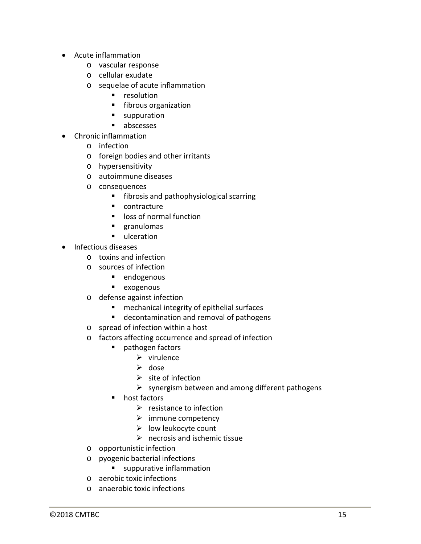- Acute inflammation
	- o vascular response
	- o cellular exudate
	- o sequelae of acute inflammation
		- **resolution**
		- **fibrous organization**
		- **suppuration**
		- **abscesses**
- Chronic inflammation
	- o infection
	- o foreign bodies and other irritants
	- o hypersensitivity
	- o autoimmune diseases
	- o consequences
		- **fibrosis and pathophysiological scarring**
		- contracture
		- **IDOS** of normal function
		- **granulomas**
		- ulceration
- Infectious diseases
	- o toxins and infection
	- o sources of infection
		- **endogenous**
		- **exogenous**
	- o defense against infection
		- **F** mechanical integrity of epithelial surfaces
		- decontamination and removal of pathogens
	- o spread of infection within a host
	- o factors affecting occurrence and spread of infection
		- **pathogen factors** 
			- $\triangleright$  virulence
			- $\triangleright$  dose
			- $\triangleright$  site of infection
			- $\triangleright$  synergism between and among different pathogens
		- host factors
			- $\triangleright$  resistance to infection
			- $\triangleright$  immune competency
			- $\triangleright$  low leukocyte count
			- $\triangleright$  necrosis and ischemic tissue
	- o opportunistic infection
	- o pyogenic bacterial infections
		- **suppurative inflammation**
	- o aerobic toxic infections
	- o anaerobic toxic infections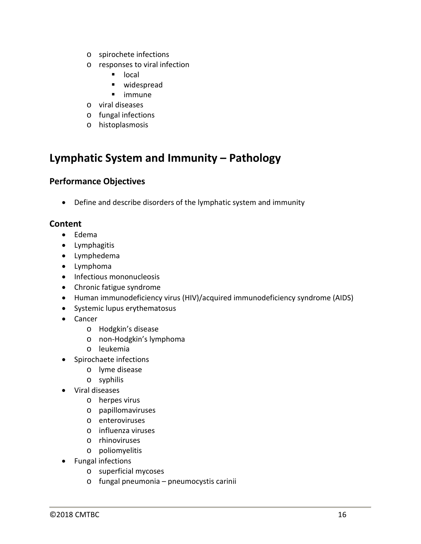- o spirochete infections
- o responses to viral infection
	- **I** local
	- **u** widespread
	- **u** immune
- o viral diseases
- o fungal infections
- o histoplasmosis

### **Lymphatic System and Immunity – Pathology**

### **Performance Objectives**

• Define and describe disorders of the lymphatic system and immunity

- Edema
- Lymphagitis
- Lymphedema
- Lymphoma
- Infectious mononucleosis
- Chronic fatigue syndrome
- Human immunodeficiency virus (HIV)/acquired immunodeficiency syndrome (AIDS)
- Systemic lupus erythematosus
- Cancer
	- o Hodgkin's disease
	- o non-Hodgkin's lymphoma
	- o leukemia
- Spirochaete infections
	- o lyme disease
	- o syphilis
- Viral diseases
	- o herpes virus
	- o papillomaviruses
	- o enteroviruses
	- o influenza viruses
	- o rhinoviruses
	- o poliomyelitis
- Fungal infections
	- o superficial mycoses
	- o fungal pneumonia pneumocystis carinii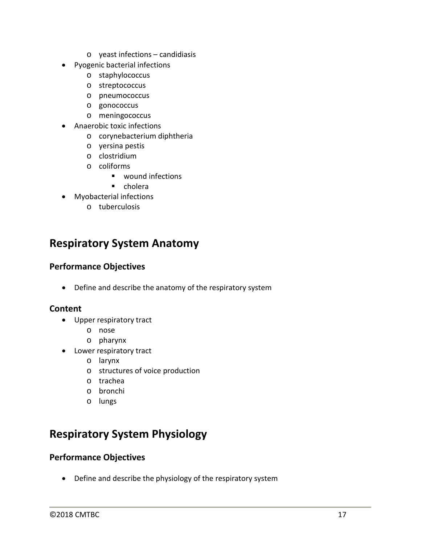- o yeast infections candidiasis
- Pyogenic bacterial infections
	- o staphylococcus
	- o streptococcus
	- o pneumococcus
	- o gonococcus
	- o meningococcus
- Anaerobic toxic infections
	- o corynebacterium diphtheria
	- o yersina pestis
	- o clostridium
	- o coliforms
		- wound infections
		- **•** cholera
- Myobacterial infections
	- o tuberculosis

### **Respiratory System Anatomy**

### **Performance Objectives**

• Define and describe the anatomy of the respiratory system

### **Content**

- Upper respiratory tract
	- o nose
	- o pharynx
- Lower respiratory tract
	- o larynx
	- o structures of voice production
	- o trachea
	- o bronchi
	- o lungs

# **Respiratory System Physiology**

### **Performance Objectives**

• Define and describe the physiology of the respiratory system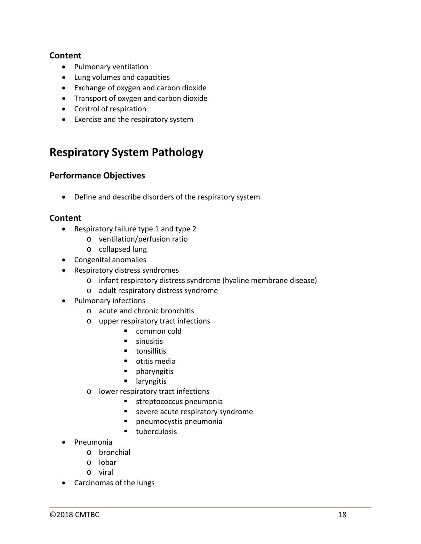#### **Content**

- Pulmonary ventilation
- Lung volumes and capacities
- Exchange of oxygen and carbon dioxide
- Transport of oxygen and carbon dioxide
- Control of respiration
- Exercise and the respiratory system

### **Respiratory System Pathology**

### **Performance Objectives**

• Define and describe disorders of the respiratory system

- Respiratory failure type 1 and type 2
	- o ventilation/perfusion ratio
	- o collapsed lung
- Congenital anomalies
- Respiratory distress syndromes
	- o infant respiratory distress syndrome (hyaline membrane disease)
	- o adult respiratory distress syndrome
- Pulmonary infections
	- o acute and chronic bronchitis
	- o upper respiratory tract infections
		- common cold
		- **sinusitis**
		- **tonsillitis**
		- **•** otitis media
		- **P** pharyngitis
		- **u** laryngitis
	- o lower respiratory tract infections
		- **streptococcus pneumonia**
		- **EXEC** severe acute respiratory syndrome
		- pneumocystis pneumonia
		- **tuberculosis**
- Pneumonia
	- o bronchial
	- o lobar
	- o viral
- Carcinomas of the lungs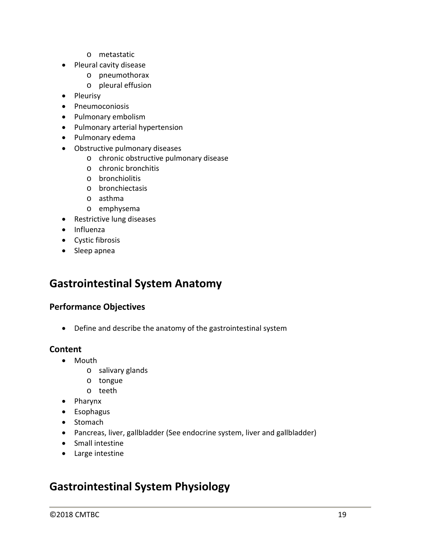- o metastatic
- Pleural cavity disease
	- o pneumothorax
	- o pleural effusion
- Pleurisy
- Pneumoconiosis
- Pulmonary embolism
- Pulmonary arterial hypertension
- Pulmonary edema
- Obstructive pulmonary diseases
	- o chronic obstructive pulmonary disease
	- o chronic bronchitis
	- o bronchiolitis
	- o bronchiectasis
	- o asthma
	- o emphysema
- Restrictive lung diseases
- Influenza
- Cystic fibrosis
- Sleep apnea

### **Gastrointestinal System Anatomy**

#### **Performance Objectives**

• Define and describe the anatomy of the gastrointestinal system

#### **Content**

- Mouth
	- o salivary glands
	- o tongue
	- o teeth
- Pharynx
- Esophagus
- Stomach
- Pancreas, liver, gallbladder (See endocrine system, liver and gallbladder)
- Small intestine
- Large intestine

### **Gastrointestinal System Physiology**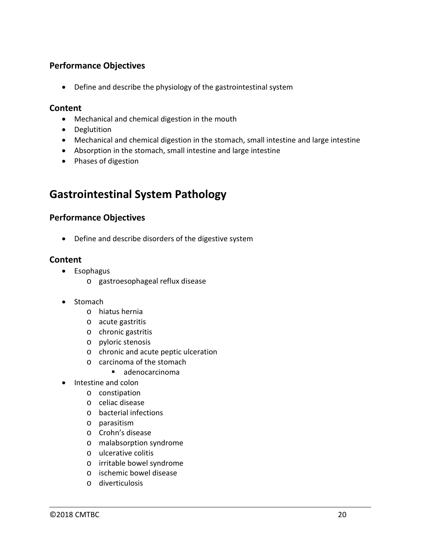### **Performance Objectives**

• Define and describe the physiology of the gastrointestinal system

#### **Content**

- Mechanical and chemical digestion in the mouth
- Deglutition
- Mechanical and chemical digestion in the stomach, small intestine and large intestine
- Absorption in the stomach, small intestine and large intestine
- Phases of digestion

### **Gastrointestinal System Pathology**

### **Performance Objectives**

• Define and describe disorders of the digestive system

- Esophagus
	- o gastroesophageal reflux disease
- Stomach
	- o hiatus hernia
	- o acute gastritis
	- o chronic gastritis
	- o pyloric stenosis
	- o chronic and acute peptic ulceration
	- o carcinoma of the stomach
		- $\blacksquare$  adenocarcinoma
- Intestine and colon
	- o constipation
	- o celiac disease
	- o bacterial infections
	- o parasitism
	- o Crohn's disease
	- o malabsorption syndrome
	- o ulcerative colitis
	- o irritable bowel syndrome
	- o ischemic bowel disease
	- o diverticulosis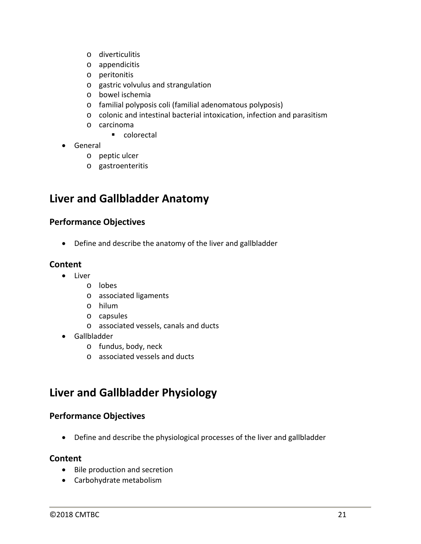- o diverticulitis
- o appendicitis
- o peritonitis
- o gastric volvulus and strangulation
- o bowel ischemia
- o familial polyposis coli (familial adenomatous polyposis)
- o colonic and intestinal bacterial intoxication, infection and parasitism
- o carcinoma

■ colorectal

- General
	- o peptic ulcer
	- o gastroenteritis

### **Liver and Gallbladder Anatomy**

### **Performance Objectives**

• Define and describe the anatomy of the liver and gallbladder

### **Content**

- Liver
	- o lobes
	- o associated ligaments
	- o hilum
	- o capsules
		- o associated vessels, canals and ducts
- Gallbladder
	- o fundus, body, neck
	- o associated vessels and ducts

### **Liver and Gallbladder Physiology**

### **Performance Objectives**

• Define and describe the physiological processes of the liver and gallbladder

- Bile production and secretion
- Carbohydrate metabolism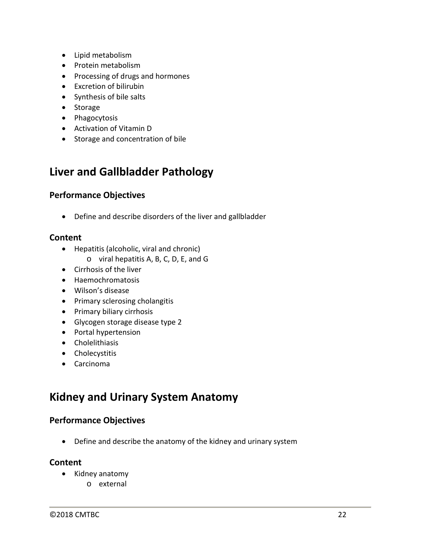- Lipid metabolism
- Protein metabolism
- Processing of drugs and hormones
- Excretion of bilirubin
- Synthesis of bile salts
- Storage
- Phagocytosis
- Activation of Vitamin D
- Storage and concentration of bile

### **Liver and Gallbladder Pathology**

### **Performance Objectives**

• Define and describe disorders of the liver and gallbladder

### **Content**

- Hepatitis (alcoholic, viral and chronic)
	- o viral hepatitis A, B, C, D, E, and G
- Cirrhosis of the liver
- Haemochromatosis
- Wilson's disease
- Primary sclerosing cholangitis
- Primary biliary cirrhosis
- Glycogen storage disease type 2
- Portal hypertension
- Cholelithiasis
- Cholecystitis
- Carcinoma

### **Kidney and Urinary System Anatomy**

### **Performance Objectives**

• Define and describe the anatomy of the kidney and urinary system

- Kidney anatomy
	- o external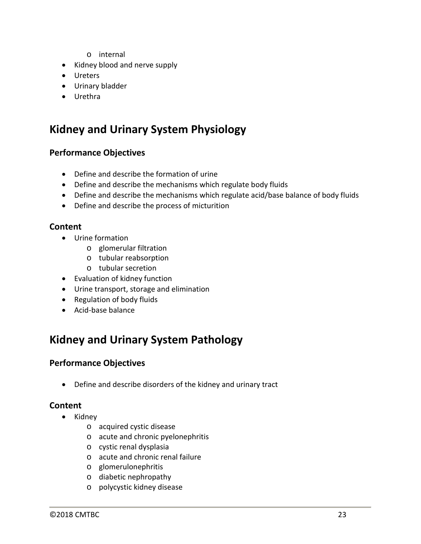- o internal
- Kidney blood and nerve supply
- Ureters
- Urinary bladder
- Urethra

### **Kidney and Urinary System Physiology**

### **Performance Objectives**

- Define and describe the formation of urine
- Define and describe the mechanisms which regulate body fluids
- Define and describe the mechanisms which regulate acid/base balance of body fluids
- Define and describe the process of micturition

### **Content**

- Urine formation
	- o glomerular filtration
	- o tubular reabsorption
	- o tubular secretion
- Evaluation of kidney function
- Urine transport, storage and elimination
- Regulation of body fluids
- Acid-base balance

### **Kidney and Urinary System Pathology**

### **Performance Objectives**

• Define and describe disorders of the kidney and urinary tract

- Kidney
	- o acquired cystic disease
	- o acute and chronic pyelonephritis
	- o cystic renal dysplasia
	- o acute and chronic renal failure
	- o glomerulonephritis
	- o diabetic nephropathy
	- o polycystic kidney disease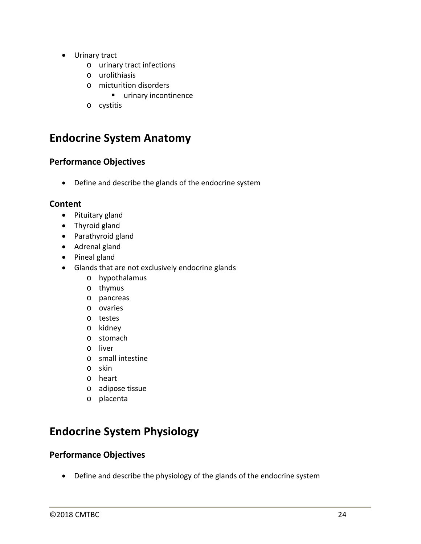- Urinary tract
	- o urinary tract infections
	- o urolithiasis
	- o micturition disorders
		- **urinary incontinence**
	- o cystitis

### **Endocrine System Anatomy**

### **Performance Objectives**

• Define and describe the glands of the endocrine system

### **Content**

- Pituitary gland
- Thyroid gland
- Parathyroid gland
- Adrenal gland
- Pineal gland
- Glands that are not exclusively endocrine glands
	- o hypothalamus
	- o thymus
	- o pancreas
	- o ovaries
	- o testes
	- o kidney
	- o stomach
	- o liver
	- o small intestine
	- o skin
	- o heart
	- o adipose tissue
	- o placenta

# **Endocrine System Physiology**

### **Performance Objectives**

• Define and describe the physiology of the glands of the endocrine system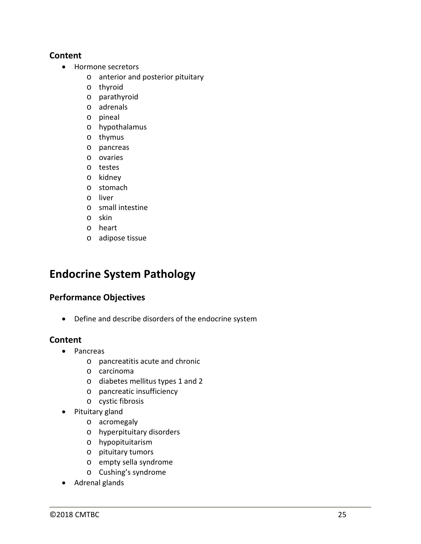#### **Content**

- Hormone secretors
	- o anterior and posterior pituitary
	- o thyroid
	- o parathyroid
	- o adrenals
	- o pineal
	- o hypothalamus
	- o thymus
	- o pancreas
	- o ovaries
	- o testes
	- o kidney
	- o stomach
	- o liver
	- o small intestine
	- o skin
	- o heart
	- o adipose tissue

### **Endocrine System Pathology**

### **Performance Objectives**

• Define and describe disorders of the endocrine system

- Pancreas
	- o pancreatitis acute and chronic
	- o carcinoma
	- o diabetes mellitus types 1 and 2
	- o pancreatic insufficiency
	- o cystic fibrosis
- Pituitary gland
	- o acromegaly
	- o hyperpituitary disorders
	- o hypopituitarism
	- o pituitary tumors
	- o empty sella syndrome
	- o Cushing's syndrome
- Adrenal glands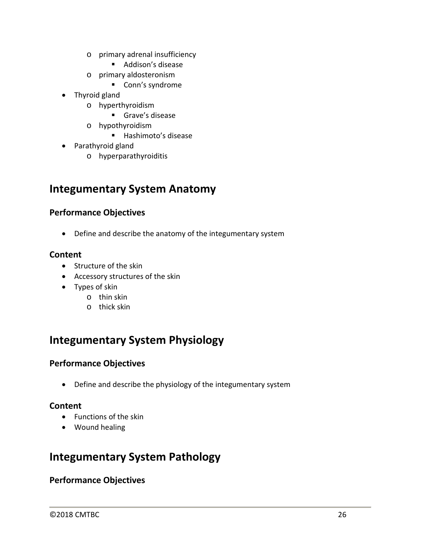- o primary adrenal insufficiency
	- Addison's disease
- o primary aldosteronism
	- Conn's syndrome
- Thyroid gland
	- o hyperthyroidism
		- Grave's disease
	- o hypothyroidism
		- Hashimoto's disease
- Parathyroid gland
	- o hyperparathyroiditis

### **Integumentary System Anatomy**

### **Performance Objectives**

• Define and describe the anatomy of the integumentary system

### **Content**

- Structure of the skin
- Accessory structures of the skin
- Types of skin
	- o thin skin
	- o thick skin

# **Integumentary System Physiology**

### **Performance Objectives**

• Define and describe the physiology of the integumentary system

### **Content**

- Functions of the skin
- Wound healing

### **Integumentary System Pathology**

### **Performance Objectives**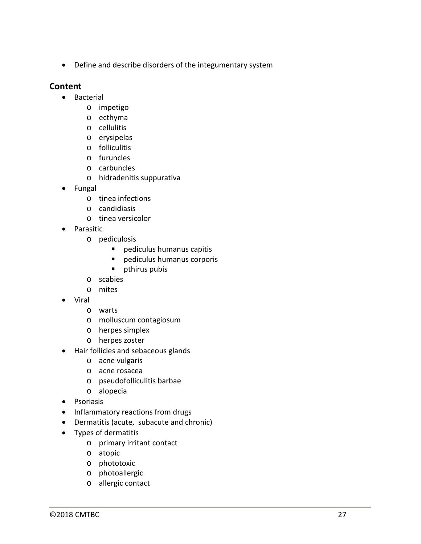• Define and describe disorders of the integumentary system

- Bacterial
	- o impetigo
	- o ecthyma
	- o cellulitis
	- o erysipelas
	- o folliculitis
	- o furuncles
	- o carbuncles
	- o hidradenitis suppurativa
- Fungal
	- o tinea infections
	- o candidiasis
	- o tinea versicolor
- Parasitic
	- o pediculosis
		- **Paragele 12 Dediculus humanus capitis**
		- pediculus humanus corporis
		- **pthirus pubis**
	- o scabies
	- o mites
- Viral
	- o warts
	- o molluscum contagiosum
	- o herpes simplex
	- o herpes zoster
- Hair follicles and sebaceous glands
	- o acne vulgaris
	- o acne rosacea
	- o pseudofolliculitis barbae
	- o alopecia
- Psoriasis
- Inflammatory reactions from drugs
- Dermatitis (acute, subacute and chronic)
- Types of dermatitis
	- o primary irritant contact
	- o atopic
	- o phototoxic
	- o photoallergic
	- o allergic contact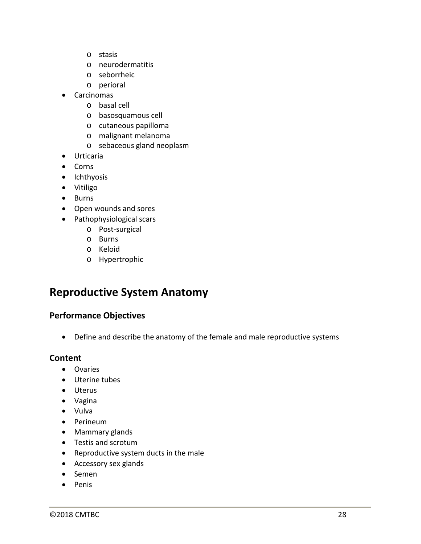- o stasis
- o neurodermatitis
- o seborrheic
- o perioral
- Carcinomas
	- o basal cell
	- o basosquamous cell
	- o cutaneous papilloma
	- o malignant melanoma
	- o sebaceous gland neoplasm
- Urticaria
- Corns
- Ichthyosis
- Vitiligo
- Burns
- Open wounds and sores
- Pathophysiological scars
	- o Post-surgical
	- o Burns
	- o Keloid
	- o Hypertrophic

### **Reproductive System Anatomy**

### **Performance Objectives**

• Define and describe the anatomy of the female and male reproductive systems

- Ovaries
- Uterine tubes
- Uterus
- Vagina
- Vulva
- Perineum
- Mammary glands
- Testis and scrotum
- Reproductive system ducts in the male
- Accessory sex glands
- Semen
- Penis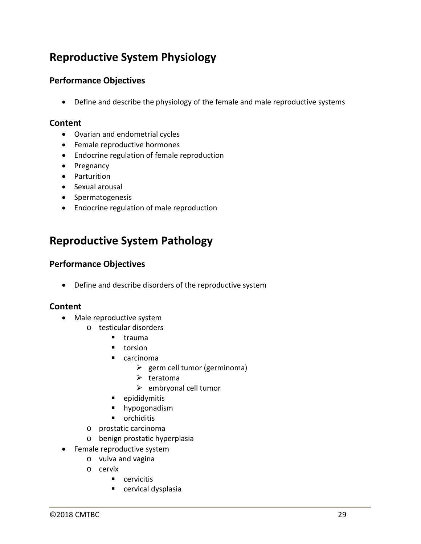# **Reproductive System Physiology**

### **Performance Objectives**

• Define and describe the physiology of the female and male reproductive systems

#### **Content**

- Ovarian and endometrial cycles
- Female reproductive hormones
- Endocrine regulation of female reproduction
- Pregnancy
- Parturition
- Sexual arousal
- Spermatogenesis
- Endocrine regulation of male reproduction

### **Reproductive System Pathology**

### **Performance Objectives**

• Define and describe disorders of the reproductive system

- Male reproductive system
	- o testicular disorders
		- $I$  trauma
		- **torsion**
		- carcinoma
			- $\triangleright$  germ cell tumor (germinoma)
			- $\triangleright$  teratoma
			- $\triangleright$  embryonal cell tumor
		- **·** epididymitis
		- **hypogonadism**
		- **•** orchiditis
	- o prostatic carcinoma
	- o benign prostatic hyperplasia
- Female reproductive system
	- o vulva and vagina
	- o cervix
		- **Cervicitis**
		- **E** cervical dysplasia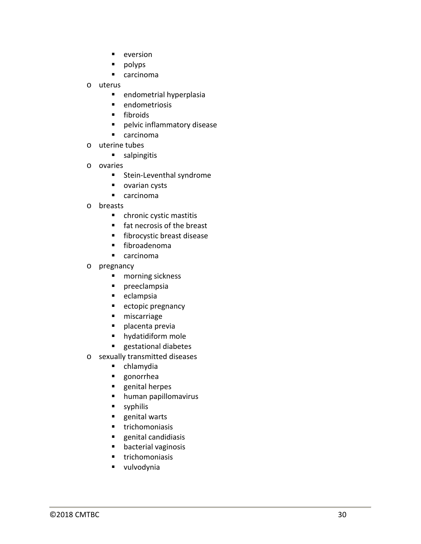- 
- 
- 
- -
	-
	-
	-
	-
- -
- -
	-
	-
- -
	-
	-
	-
	-
- -
	-
	-
	-
	-
	-
	-
	-
- e version<br>
e propiys<br>
e andometrial hyperglasia<br>
e andometriosis<br>
e andometriosis<br>
e andometriosis<br>
e pelvic inflammatory disease<br>
e carcinoma<br>
e tracticolist<br>
e pelvic inflammatory disease<br>
e tracticolist<br>
e and persister
	-
	-
	-
	-
	-
	-
	-
	-
	-
	-
	-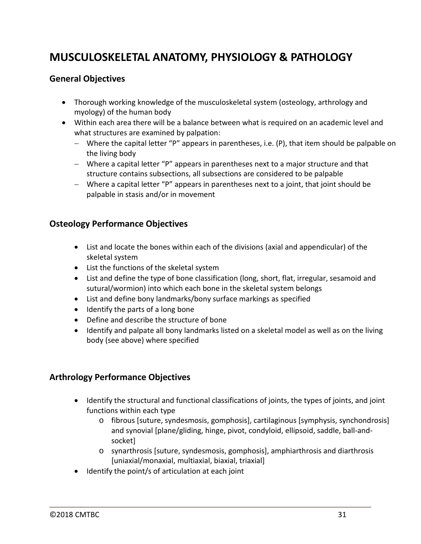# **MUSCULOSKELETAL ANATOMY, PHYSIOLOGY & PATHOLOGY**

### **General Objectives**

- Thorough working knowledge of the musculoskeletal system (osteology, arthrology and myology) of the human body
- Within each area there will be a balance between what is required on an academic level and what structures are examined by palpation:
	- − Where the capital letter "P" appears in parentheses, i.e. (P), that item should be palpable on the living body
	- − Where a capital letter "P" appears in parentheses next to a major structure and that structure contains subsections, all subsections are considered to be palpable
	- − Where a capital letter "P" appears in parentheses next to a joint, that joint should be palpable in stasis and/or in movement

### **Osteology Performance Objectives**

- List and locate the bones within each of the divisions (axial and appendicular) of the skeletal system
- List the functions of the skeletal system
- List and define the type of bone classification (long, short, flat, irregular, sesamoid and sutural/wormion) into which each bone in the skeletal system belongs
- List and define bony landmarks/bony surface markings as specified
- Identify the parts of a long bone
- Define and describe the structure of bone
- Identify and palpate all bony landmarks listed on a skeletal model as well as on the living body (see above) where specified

### **Arthrology Performance Objectives**

- Identify the structural and functional classifications of joints, the types of joints, and joint functions within each type
	- o fibrous [suture, syndesmosis, gomphosis], cartilaginous [symphysis, synchondrosis] and synovial [plane/gliding, hinge, pivot, condyloid, ellipsoid, saddle, ball-andsocket]
	- o synarthrosis [suture, syndesmosis, gomphosis], amphiarthrosis and diarthrosis [uniaxial/monaxial, multiaxial, biaxial, triaxial]
- Identify the point/s of articulation at each joint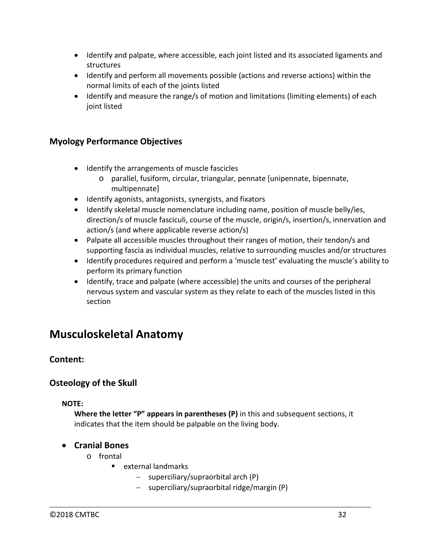- Identify and palpate, where accessible, each joint listed and its associated ligaments and structures
- Identify and perform all movements possible (actions and reverse actions) within the normal limits of each of the joints listed
- Identify and measure the range/s of motion and limitations (limiting elements) of each joint listed

### **Myology Performance Objectives**

- Identify the arrangements of muscle fascicles
	- o parallel, fusiform, circular, triangular, pennate [unipennate, bipennate, multipennate]
- Identify agonists, antagonists, synergists, and fixators
- Identify skeletal muscle nomenclature including name, position of muscle belly/ies, direction/s of muscle fasciculi, course of the muscle, origin/s, insertion/s, innervation and action/s (and where applicable reverse action/s)
- Palpate all accessible muscles throughout their ranges of motion, their tendon/s and supporting fascia as individual muscles, relative to surrounding muscles and/or structures
- Identify procedures required and perform a 'muscle test' evaluating the muscle's ability to perform its primary function
- Identify, trace and palpate (where accessible) the units and courses of the peripheral nervous system and vascular system as they relate to each of the muscles listed in this section

### **Musculoskeletal Anatomy**

### **Content:**

### **Osteology of the Skull**

#### **NOTE:**

**Where the letter "P" appears in parentheses (P)** in this and subsequent sections, it indicates that the item should be palpable on the living body.

### • **Cranial Bones**

- o frontal
	- $\blacksquare$  external landmarks
		- − superciliary/supraorbital arch (P)
		- − superciliary/supraorbital ridge/margin (P)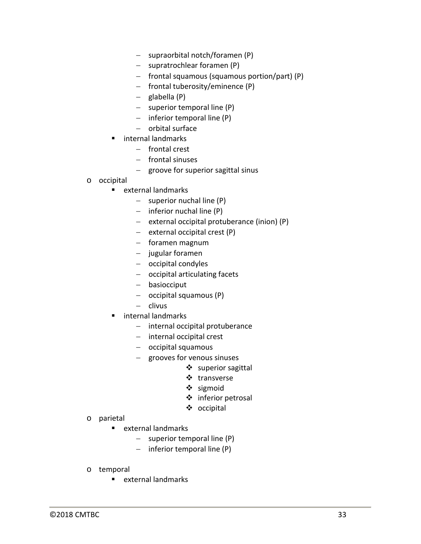- − supraorbital notch/foramen (P)
- − supratrochlear foramen (P)
- − frontal squamous (squamous portion/part) (P)
- − frontal tuberosity/eminence (P)
- − glabella (P)
- − superior temporal line (P)
- − inferior temporal line (P)
- − orbital surface
- internal landmarks
	- − frontal crest
	- − frontal sinuses
	- − groove for superior sagittal sinus
- o occipital
	- external landmarks
		- − superior nuchal line (P)
		- − inferior nuchal line (P)
		- − external occipital protuberance (inion) (P)
		- − external occipital crest (P)
		- − foramen magnum
		- − jugular foramen
		- − occipital condyles
		- − occipital articulating facets
		- − basiocciput
		- − occipital squamous (P)
		- − clivus
	- internal landmarks
		- − internal occipital protuberance
		- − internal occipital crest
		- − occipital squamous
		- − grooves for venous sinuses
			- $\div$  superior sagittal
			- ❖ transverse
			- ❖ sigmoid
			- ❖ inferior petrosal
			- occipital

- o parietal
	- external landmarks
		- − superior temporal line (P)
		- − inferior temporal line (P)
- o temporal
	- **E** external landmarks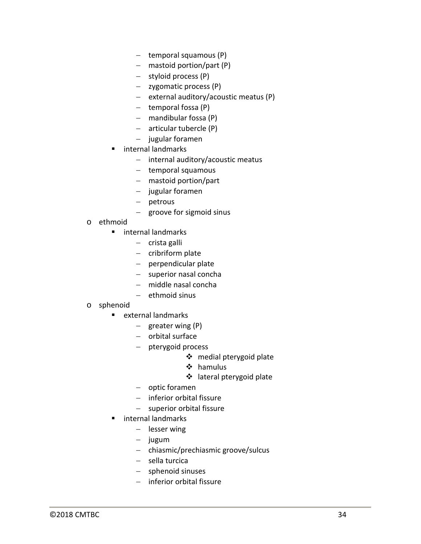- − temporal squamous (P)
- − mastoid portion/part (P)
- − styloid process (P)
- − zygomatic process (P)
- − external auditory/acoustic meatus (P)
- − temporal fossa (P)
- − mandibular fossa (P)
- − articular tubercle (P)
- − jugular foramen
- **E** internal landmarks
	- − internal auditory/acoustic meatus
	- − temporal squamous
	- − mastoid portion/part
	- − jugular foramen
	- − petrous
	- − groove for sigmoid sinus
- o ethmoid
	- **n** internal landmarks
		- − crista galli
		- − cribriform plate
		- − perpendicular plate
		- − superior nasal concha
		- − middle nasal concha
		- − ethmoid sinus
- o sphenoid
	- external landmarks
		- − greater wing (P)
		- − orbital surface
		- − pterygoid process
			- medial pterygoid plate
			- hamulus
			- ❖ lateral pterygoid plate
		- − optic foramen
		- − inferior orbital fissure
		- − superior orbital fissure
	- internal landmarks
		- − lesser wing
		- − jugum
		- − chiasmic/prechiasmic groove/sulcus
		- − sella turcica
		- − sphenoid sinuses
		- − inferior orbital fissure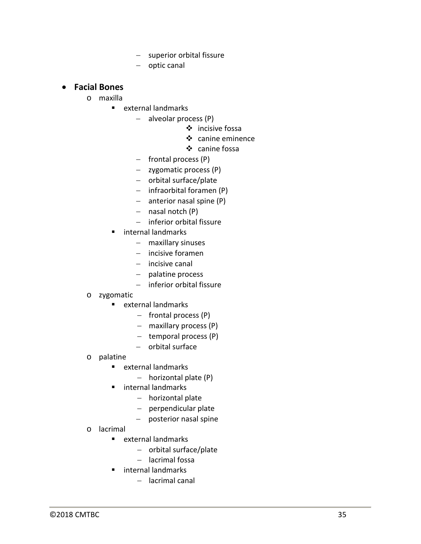- − superior orbital fissure
- − optic canal

### • **Facial Bones**

- o maxilla
	- external landmarks
		- − alveolar process (P)
			- ❖ incisive fossa
			- $\div$  canine eminence
			- ❖ canine fossa
		- − frontal process (P)
		- − zygomatic process (P)
		- − orbital surface/plate
		- − infraorbital foramen (P)
		- − anterior nasal spine (P)
		- − nasal notch (P)
		- − inferior orbital fissure
	- internal landmarks
		- − maxillary sinuses
		- − incisive foramen
		- − incisive canal
		- − palatine process
		- − inferior orbital fissure
- o zygomatic
	- **E** external landmarks
		- − frontal process (P)
		- − maxillary process (P)
		- − temporal process (P)
		- − orbital surface
- o palatine
	- $e$  external landmarks
		- − horizontal plate (P)
	- **n** internal landmarks
		- − horizontal plate
		- − perpendicular plate
		- − posterior nasal spine
- o lacrimal
	- **E** external landmarks
		- − orbital surface/plate
		- − lacrimal fossa
	- **E** internal landmarks
		- − lacrimal canal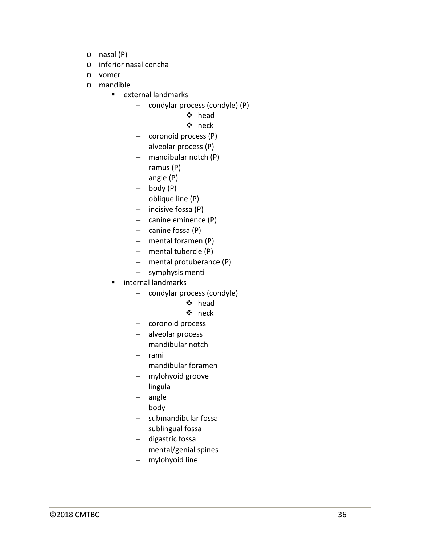- o nasal (P)
- o inferior nasal concha
- o vomer
- o mandible
	- **E** external landmarks
		- − condylar process (condyle) (P)
			- head

#### neck

- − coronoid process (P)
- − alveolar process (P)
- − mandibular notch (P)
- − ramus (P)
- − angle (P)
- − body (P)
- − oblique line (P)
- − incisive fossa (P)
- − canine eminence (P)
- − canine fossa (P)
- − mental foramen (P)
- − mental tubercle (P)
- − mental protuberance (P)
- − symphysis menti
- internal landmarks
	- − condylar process (condyle)

### head

- neck
- − coronoid process
- − alveolar process
- − mandibular notch
- − rami
- − mandibular foramen
- − mylohyoid groove
- − lingula
- − angle
- − body
- − submandibular fossa
- − sublingual fossa
- − digastric fossa
- − mental/genial spines
- − mylohyoid line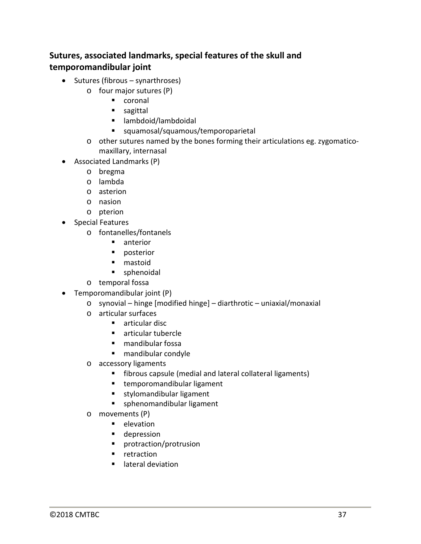## **Sutures, associated landmarks, special features of the skull and temporomandibular joint**

- Sutures (fibrous synarthroses)
	- o four major sutures (P)
		- coronal
		- sagittal
		- lambdoid/lambdoidal
		- squamosal/squamous/temporoparietal
	- o other sutures named by the bones forming their articulations eg. zygomaticomaxillary, internasal
- Associated Landmarks (P)
	- o bregma
	- o lambda
	- o asterion
	- o nasion
	- o pterion
- Special Features
	- o fontanelles/fontanels
		- **n** anterior
		- **posterior**
		- **nastoid**
		- sphenoidal
	- o temporal fossa
- Temporomandibular joint (P)
	- o synovial hinge [modified hinge] diarthrotic uniaxial/monaxial
	- o articular surfaces
		- **articular disc**
		- articular tubercle
		- mandibular fossa
		- mandibular condyle
	- o accessory ligaments
		- **fibrous capsule (medial and lateral collateral ligaments)**
		- **temporomandibular ligament**
		- **stylomandibular ligament**
		- **sphenomandibular ligament**
	- o movements (P)
		- $\blacksquare$  elevation
		- **depression**
		- protraction/protrusion
		- **retraction**
		- **E** lateral deviation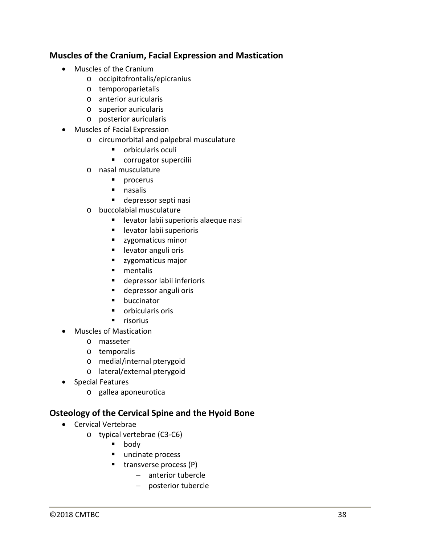## **Muscles of the Cranium, Facial Expression and Mastication**

- Muscles of the Cranium
	- o occipitofrontalis/epicranius
	- o temporoparietalis
	- o anterior auricularis
	- o superior auricularis
	- o posterior auricularis
- Muscles of Facial Expression
	- o circumorbital and palpebral musculature
		- **•** orbicularis oculi
		- **CORTUGE CONTENTS**
	- o nasal musculature
		- $\blacksquare$  procerus
		- **nasalis**
		- depressor septi nasi
	- o buccolabial musculature
		- levator labii superioris alaeque nasi
		- **E** levator labii superioris
		- **zygomaticus minor**
		- **Levator anguli oris**
		- **zygomaticus major**
		- **n**entalis
		- depressor labii inferioris
		- depressor anguli oris
		- **•** buccinator
		- **•** orbicularis oris
		- $\blacksquare$  risorius
- Muscles of Mastication
	- o masseter
	- o temporalis
	- o medial/internal pterygoid
	- o lateral/external pterygoid
- Special Features
	- o gallea aponeurotica

#### **Osteology of the Cervical Spine and the Hyoid Bone**

- Cervical Vertebrae
	- o typical vertebrae (C3-C6)
		- **body**
		- uncinate process
		- $\blacksquare$  transverse process (P)
			- − anterior tubercle
			- − posterior tubercle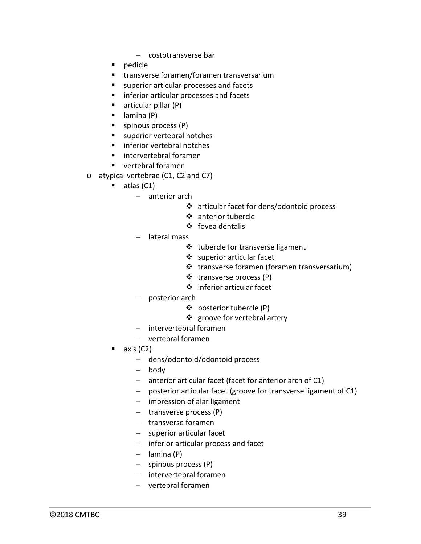- − costotransverse bar
- **pedicle**
- transverse foramen/foramen transversarium
- superior articular processes and facets
- **inferior articular processes and facets**
- $\blacksquare$  articular pillar (P)
- $\blacksquare$  lamina (P)
- **spinous process (P)**
- **superior vertebral notches**
- inferior vertebral notches
- **·** intervertebral foramen
- vertebral foramen
- o atypical vertebrae (C1, C2 and C7)
	- $\blacksquare$  atlas (C1)
		- − anterior arch
			- articular facet for dens/odontoid process
			- anterior tubercle
			- ❖ fovea dentalis
		- − lateral mass
			- tubercle for transverse ligament
			- superior articular facet
			- ❖ transverse foramen (foramen transversarium)
			- ❖ transverse process (P)
			- inferior articular facet
		- − posterior arch
			- posterior tubercle (P)
			- ❖ groove for vertebral artery
		- − intervertebral foramen
		- − vertebral foramen
	- axis (C2)
		- − dens/odontoid/odontoid process
		- − body
		- − anterior articular facet (facet for anterior arch of C1)
		- − posterior articular facet (groove for transverse ligament of C1)
		- − impression of alar ligament
		- − transverse process (P)
		- − transverse foramen
		- − superior articular facet
		- − inferior articular process and facet
		- − lamina (P)
		- − spinous process (P)
		- − intervertebral foramen
		- − vertebral foramen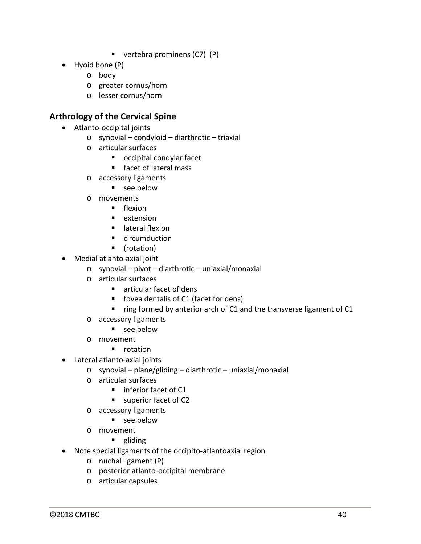- vertebra prominens (C7) (P)
- Hyoid bone (P)
	- o body
	- o greater cornus/horn
	- o lesser cornus/horn

#### **Arthrology of the Cervical Spine**

- Atlanto-occipital joints
	- o synovial condyloid diarthrotic triaxial
	- o articular surfaces
		- occipital condylar facet
		- facet of lateral mass
	- o accessory ligaments
		- **see below**
	- o movements
		- **F** flexion
		- **E** extension
		- **u** lateral flexion
		- **E** circumduction
		- (rotation)
- Medial atlanto-axial joint
	- o synovial pivot diarthrotic uniaxial/monaxial
	- o articular surfaces
		- articular facet of dens
		- fovea dentalis of C1 (facet for dens)
		- $r$  ring formed by anterior arch of C1 and the transverse ligament of C1
	- o accessory ligaments
		- see below
	- o movement
		- **•** rotation
- Lateral atlanto-axial joints
	- $\circ$  synovial plane/gliding diarthrotic uniaxial/monaxial
	- o articular surfaces
		- **inferior facet of C1**
		- superior facet of C2
	- o accessory ligaments
		- see below
	- o movement
		- **gliding**
- Note special ligaments of the occipito-atlantoaxial region
	- o nuchal ligament (P)
	- o posterior atlanto-occipital membrane
	- o articular capsules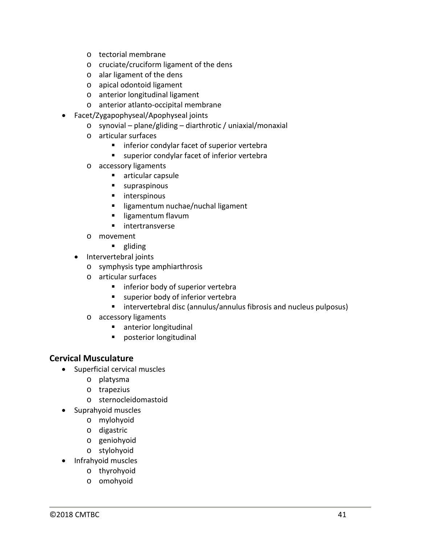- o tectorial membrane
- o cruciate/cruciform ligament of the dens
- o alar ligament of the dens
- o apical odontoid ligament
- o anterior longitudinal ligament
- o anterior atlanto-occipital membrane
- Facet/Zygapophyseal/Apophyseal joints
	- o synovial plane/gliding diarthrotic / uniaxial/monaxial
	- o articular surfaces
		- **I** inferior condylar facet of superior vertebra
		- **EXEC** superior condylar facet of inferior vertebra
	- o accessory ligaments
		- **E** articular capsule
		- **supraspinous**
		- **nd** interspinous
		- **I** ligamentum nuchae/nuchal ligament
		- **I** ligamentum flavum
		- **nd** intertransverse
	- o movement
		- **gliding**
	- Intervertebral joints
		- o symphysis type amphiarthrosis
		- o articular surfaces
			- **Inferior body of superior vertebra**
			- **superior body of inferior vertebra**
			- **E** intervertebral disc (annulus/annulus fibrosis and nucleus pulposus)
		- o accessory ligaments
			- **anterior longitudinal**
			- **Paramers** posterior longitudinal

#### **Cervical Musculature**

- Superficial cervical muscles
	- o platysma
	- o trapezius
	- o sternocleidomastoid
- Suprahyoid muscles
	- o mylohyoid
	- o digastric
	- o geniohyoid
	- o stylohyoid
- Infrahyoid muscles
	- o thyrohyoid
	- o omohyoid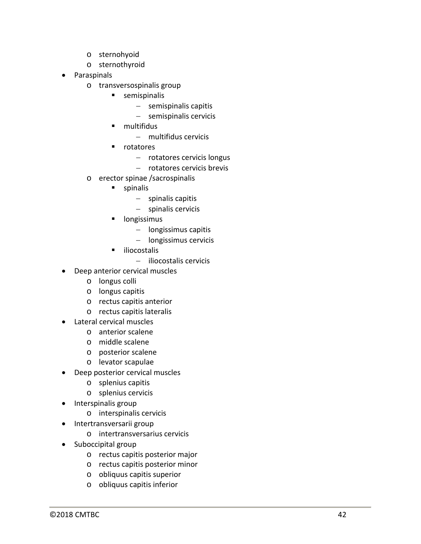- 
- 
- **Paraspinals** 
	- o transversospinalis group
		- **semispinalis** 
			- − semispinalis capitis
			- − semispinalis cervicis
		- **nultifidus** 
			- − multifidus cervicis
		- **n** rotatores
			- − rotatores cervicis longus
			- − rotatores cervicis brevis
	- o erector spinae /sacrospinalis
		- **spinalis** 
			- − spinalis capitis
			- − spinalis cervicis
		- longissimus
			- − longissimus capitis
			- − longissimus cervicis
		- uliocostalis
			- − iliocostalis cervicis
- Deep anterior cervical muscles
	- o longus colli
	- o longus capitis
	- o rectus capitis anterior
	- o rectus capitis lateralis
- Lateral cervical muscles
	- o anterior scalene
	- o middle scalene
	- o posterior scalene
	- o levator scapulae
- Deep posterior cervical muscles
	- o splenius capitis
	- o splenius cervicis
- Interspinalis group
	- o interspinalis cervicis
- Intertransversarii group
	- o intertransversarius cervicis
- Suboccipital group
- s eterohyoid<br>
s eterohyoid<br>
C sternothyroid<br>
C assessignalis group<br>
C assessignalis group<br>
C assessignalis group<br>
C assessignalis group<br>
C and triditions<br>
Tractores convictions convictions<br>
C arcector splina (saccrospinali o rectus capitis posterior major
	- o rectus capitis posterior minor
	- o obliquus capitis superior
	- o obliquus capitis inferior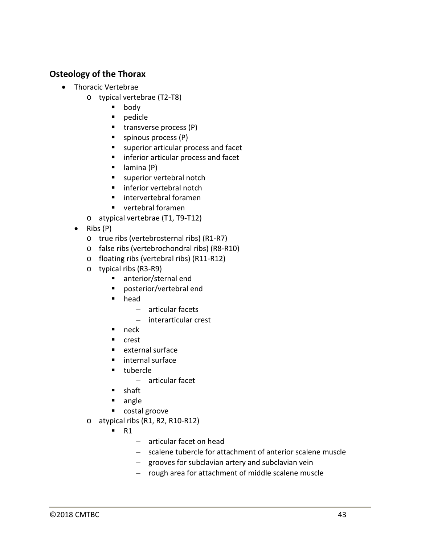## **Osteology of the Thorax**

- Thoracic Vertebrae
	- o typical vertebrae (T2-T8)
		- body
		- **pedicle**
		- $\blacksquare$  transverse process (P)
		- **spinous process (P)**
		- **superior articular process and facet**
		- **inferior articular process and facet**
		- $\blacksquare$  lamina (P)
		- superior vertebral notch
		- **F** inferior vertebral notch
		- **·** intervertebral foramen
		- **vertebral foramen**
	- o atypical vertebrae (T1, T9-T12)
	- Ribs (P)
		- o true ribs (vertebrosternal ribs) (R1-R7)
		- o false ribs (vertebrochondral ribs) (R8-R10)
		- o floating ribs (vertebral ribs) (R11-R12)
		- o typical ribs (R3-R9)
			- anterior/sternal end
			- posterior/vertebral end
			- head
				- − articular facets
				- − interarticular crest
			- $n$ eck
			- **n** crest
			- $e$  external surface
			- **I** internal surface
			- **tubercle** 
				- − articular facet
			- **shaft**
			- **angle**
			- costal groove
		- o atypical ribs (R1, R2, R10-R12)
			- $R1$ 
				- − articular facet on head
				- − scalene tubercle for attachment of anterior scalene muscle
				- − grooves for subclavian artery and subclavian vein
				- − rough area for attachment of middle scalene muscle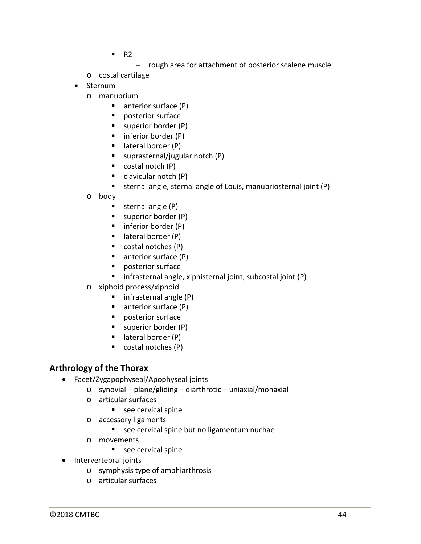- $R^2$ 
	- − rough area for attachment of posterior scalene muscle
- o costal cartilage
- Sternum
	- o manubrium
		- anterior surface (P)
		- **posterior surface**
		- superior border (P)
		- $\blacksquare$  inferior border (P)
		- $\blacksquare$  lateral border (P)
		- suprasternal/jugular notch  $(P)$
		- $\blacksquare$  costal notch (P)
		- clavicular notch (P)
		- sternal angle, sternal angle of Louis, manubriosternal joint (P)
	- o body
		- $\blacksquare$  sternal angle (P)
		- superior border (P)
		- $\blacksquare$  inferior border (P)
		- $\blacksquare$  lateral border (P)
		- $\blacksquare$  costal notches (P)
		- anterior surface (P)
		- **posterior surface**
		- **F** infrasternal angle, xiphisternal joint, subcostal joint (P)
	- o xiphoid process/xiphoid
		- $\blacksquare$  infrasternal angle (P)
		- anterior surface (P)
		- **P** posterior surface
		- superior border (P)
		- $\blacksquare$  lateral border (P)
		- costal notches (P)

#### **Arthrology of the Thorax**

- Facet/Zygapophyseal/Apophyseal joints
	- o synovial plane/gliding diarthrotic uniaxial/monaxial
	- o articular surfaces
		- see cervical spine
	- o accessory ligaments
		- see cervical spine but no ligamentum nuchae
	- o movements
		- $\blacksquare$  see cervical spine
- Intervertebral joints
	- o symphysis type of amphiarthrosis
	- o articular surfaces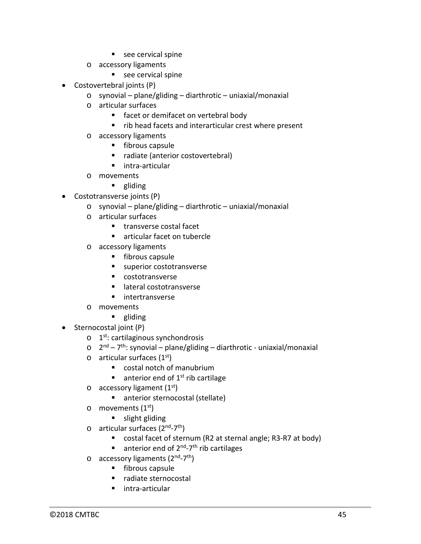- see cervical spine
- o accessory ligaments
	- see cervical spine
- Costovertebral joints (P)
	- o synovial plane/gliding diarthrotic uniaxial/monaxial
	- o articular surfaces
		- facet or demifacet on vertebral body
		- **F** rib head facets and interarticular crest where present
	- o accessory ligaments
		- **fibrous capsule**
		- radiate (anterior costovertebral)
		- **I** intra-articular
	- o movements
		- **gliding**
- Costotransverse joints (P)
	- o synovial plane/gliding diarthrotic uniaxial/monaxial
	- o articular surfaces
		- **transverse costal facet**
		- articular facet on tubercle
	- o accessory ligaments
		- $\blacksquare$  fibrous capsule
		- superior costotransverse
		- costotransverse
		- lateral costotransverse
		- **n** intertransverse
	- o movements
		- **gliding**
- Sternocostal joint (P)
	- $\circ$  1<sup>st</sup>: cartilaginous synchondrosis
	- $\circ$  2<sup>nd</sup> 7<sup>th</sup>: synovial plane/gliding diarthrotic uniaxial/monaxial
	- $\circ$  articular surfaces (1<sup>st</sup>)
		- costal notch of manubrium
		- $\blacksquare$  anterior end of 1<sup>st</sup> rib cartilage
	- $\circ$  accessory ligament (1<sup>st</sup>)
		- anterior sternocostal (stellate)
	- $\circ$  movements (1<sup>st</sup>)
		- **slight gliding**
	- $\circ$  articular surfaces (2<sup>nd</sup>-7<sup>th</sup>)
		- costal facet of sternum (R2 at sternal angle; R3-R7 at body)
		- $\blacksquare$  anterior end of 2<sup>nd</sup>-7<sup>th</sup> rib cartilages
	- $\circ$  accessory ligaments (2<sup>nd</sup>-7<sup>th</sup>)
		- **Fibrous capsule**
		- radiate sternocostal
		- **intra-articular**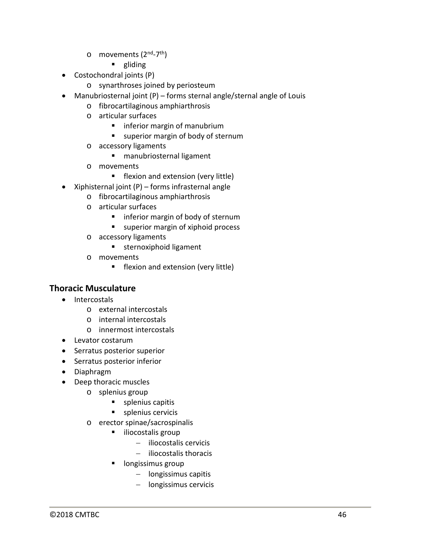- o movements (2nd-7th)
	- **gliding**
- Costochondral joints (P)
	- o synarthroses joined by periosteum
- Manubriosternal joint (P) forms sternal angle/sternal angle of Louis
	- o fibrocartilaginous amphiarthrosis
	- o articular surfaces
		- **F** inferior margin of manubrium
		- **u** superior margin of body of sternum
	- o accessory ligaments
		- manubriosternal ligament
	- o movements
		- **Filler** flexion and extension (very little)
- Xiphisternal joint (P) forms infrasternal angle
	- o fibrocartilaginous amphiarthrosis
	- o articular surfaces
		- **n** inferior margin of body of sternum
		- **s** superior margin of xiphoid process
	- o accessory ligaments
		- **sternoxiphoid ligament**
	- o movements
		- **Filler** flexion and extension (very little)

#### **Thoracic Musculature**

- Intercostals
	- o external intercostals
	- o internal intercostals
	- o innermost intercostals
- Levator costarum
- Serratus posterior superior
- Serratus posterior inferior
- Diaphragm
- Deep thoracic muscles
	- o splenius group
		- **splenius capitis**
		- **splenius cervicis**
	- o erector spinae/sacrospinalis
		- **iliocostalis group** 
			- − iliocostalis cervicis
			- − iliocostalis thoracis
		- **Indus** longissimus group
			- − longissimus capitis
			- − longissimus cervicis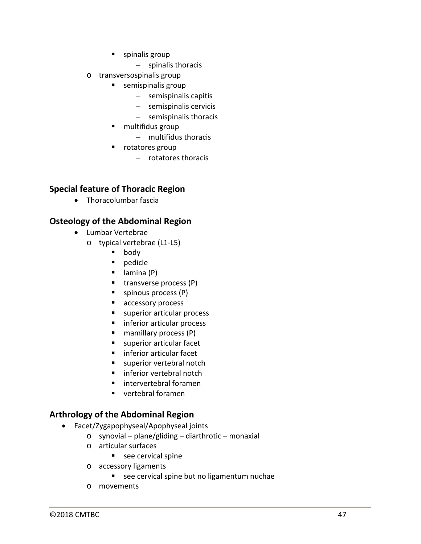- **spinalis group** 
	- − spinalis thoracis
- o transversospinalis group
	- **semispinalis group** 
		- − semispinalis capitis
		- − semispinalis cervicis
		- − semispinalis thoracis
	- multifidus group
		- − multifidus thoracis
	- **•** rotatores group
		- − rotatores thoracis

## **Special feature of Thoracic Region**

• Thoracolumbar fascia

## **Osteology of the Abdominal Region**

- Lumbar Vertebrae
	- o typical vertebrae (L1-L5)
		- **body**
		- **pedicle**
		- $\blacksquare$  lamina (P)
		- $\blacksquare$  transverse process (P)
		- $\blacksquare$  spinous process  $(P)$
		- **accessory process**
		- superior articular process
		- **inferior articular process**
		- mamillary process (P)
		- superior articular facet
		- **Inferior articular facet**
		- superior vertebral notch
		- **inferior vertebral notch**
		- intervertebral foramen
		- vertebral foramen

## **Arthrology of the Abdominal Region**

- Facet/Zygapophyseal/Apophyseal joints
	- o synovial plane/gliding diarthrotic monaxial
	- o articular surfaces
		- see cervical spine
	- o accessory ligaments
		- see cervical spine but no ligamentum nuchae
	- o movements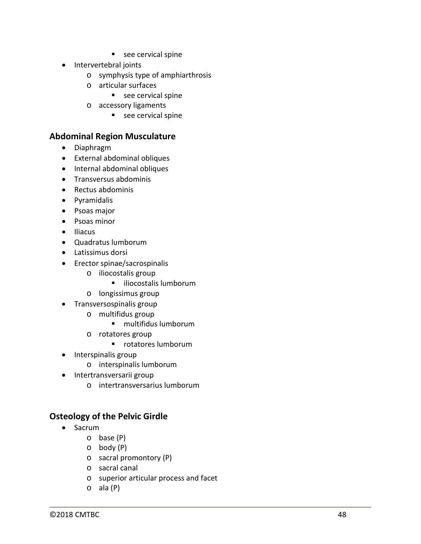- see cervical spine
- Intervertebral joints
	- o symphysis type of amphiarthrosis
	- o articular surfaces
		- see cervical spine
	- o accessory ligaments
		- see cervical spine

#### **Abdominal Region Musculature**

- Diaphragm
- External abdominal obliques
- Internal abdominal obliques
- Transversus abdominis
- Rectus abdominis
- Pyramidalis
- Psoas major
- Psoas minor
- Iliacus
- Quadratus lumborum
- Latissimus dorsi
- Erector spinae/sacrospinalis
	- o iliocostalis group
		- **i** iliocostalis lumborum
	- o longissimus group
- Transversospinalis group
	- o multifidus group
		- multifidus lumborum
	- o rotatores group
		- **•** rotatores lumborum
- Interspinalis group
	- o interspinalis lumborum
- Intertransversarii group
	- o intertransversarius lumborum

#### **Osteology of the Pelvic Girdle**

- Sacrum
	- o base (P)
	- o body (P)
	- o sacral promontory (P)
	- o sacral canal
	- o superior articular process and facet
	- o ala (P)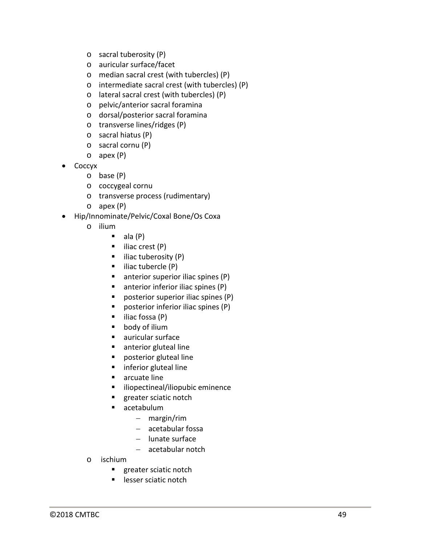- o sacral tuberosity (P)
- o auricular surface/facet
- o median sacral crest (with tubercles) (P)
- o intermediate sacral crest (with tubercles) (P)
- o lateral sacral crest (with tubercles) (P)
- o pelvic/anterior sacral foramina
- o dorsal/posterior sacral foramina
- o transverse lines/ridges (P)
- o sacral hiatus (P)
- o sacral cornu (P)
- o apex (P)
- Coccyx
	- o base (P)
	- o coccygeal cornu
	- o transverse process (rudimentary)
	- o apex (P)
- Hip/Innominate/Pelvic/Coxal Bone/Os Coxa
	- o ilium
		- ala (P)
		- $\blacksquare$  iliac crest (P)
		- $\blacksquare$  iliac tuberosity (P)
		- $\blacksquare$  iliac tubercle (P)
		- $\blacksquare$  anterior superior iliac spines (P)
		- $\blacksquare$  anterior inferior iliac spines (P)
		- posterior superior iliac spines (P)
		- **P** posterior inferior iliac spines (P)
		- $\blacksquare$  iliac fossa (P)
		- body of ilium
		- auricular surface
		- **anterior gluteal line**
		- **Paragele 1** posterior gluteal line
		- **F** inferior gluteal line
		- **arcuate line**
		- **In iliopectineal/iliopubic eminence**
		- **greater sciatic notch**
		- acetabulum
			- − margin/rim
				- − acetabular fossa
				- − lunate surface
				- − acetabular notch
	- o ischium
		- **greater sciatic notch**
		- **Lesser sciatic notch**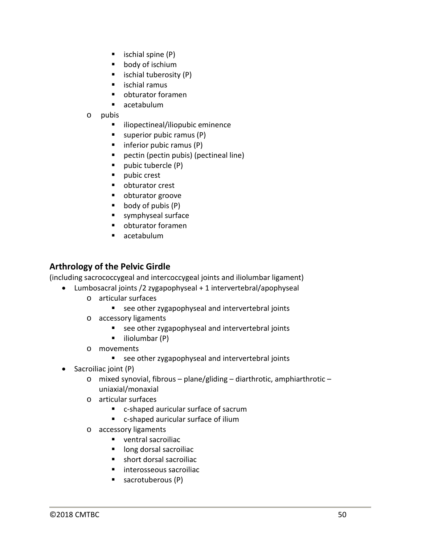- $\blacksquare$  ischial spine (P)
- **body of ischium**
- $\blacksquare$  ischial tuberosity (P)
- $\blacksquare$  ischial ramus
- obturator foramen
- acetabulum
- o pubis
	- **i** iliopectineal/iliopubic eminence
	- $\blacksquare$  superior pubic ramus (P)
	- $\blacksquare$  inferior pubic ramus (P)
	- pectin (pectin pubis) (pectineal line)
	- $\blacksquare$  pubic tubercle (P)
	- **pubic crest**
	- obturator crest
	- obturator groove
	- $\bullet$  body of pubis  $(P)$
	- symphyseal surface
	- obturator foramen
	- acetabulum

#### **Arthrology of the Pelvic Girdle**

(including sacrococcygeal and intercoccygeal joints and iliolumbar ligament)

- Lumbosacral joints /2 zygapophyseal + 1 intervertebral/apophyseal
	- o articular surfaces
		- see other zygapophyseal and intervertebral joints
	- o accessory ligaments
		- see other zygapophyseal and intervertebral joints
		- $\blacksquare$  iliolumbar (P)
	- o movements
		- see other zygapophyseal and intervertebral joints
	- Sacroiliac joint (P)
		- o mixed synovial, fibrous plane/gliding diarthrotic, amphiarthrotic uniaxial/monaxial
		- o articular surfaces
			- c-shaped auricular surface of sacrum
			- c-shaped auricular surface of ilium
		- o accessory ligaments
			- ventral sacroiliac
			- long dorsal sacroiliac
			- short dorsal sacroiliac
			- interosseous sacroiliac
			- sacrotuberous (P)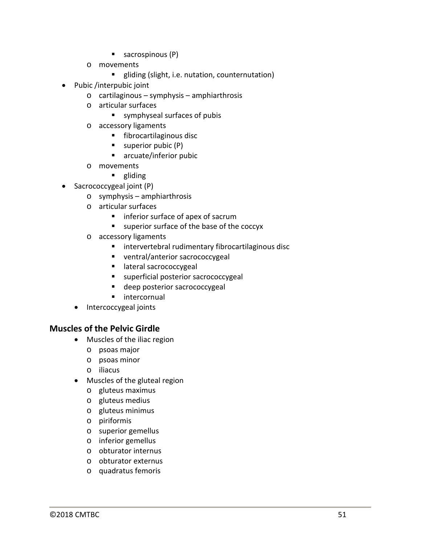- $\blacksquare$  sacrospinous (P)
- o movements
	- **E** gliding (slight, i.e. nutation, counternutation)
- Pubic /interpubic joint
	- o cartilaginous symphysis amphiarthrosis
	- o articular surfaces
		- symphyseal surfaces of pubis
	- o accessory ligaments
		- **fibrocartilaginous disc**
		- $\blacksquare$  superior pubic (P)
		- arcuate/inferior pubic
	- o movements
		- **gliding**
- Sacrococcygeal joint (P)
	- o symphysis amphiarthrosis
	- o articular surfaces
		- **n** inferior surface of apex of sacrum
		- superior surface of the base of the coccyx
	- o accessory ligaments
		- **EXTED FIGHTS INTERFEDED FIGHTS IN THE INCREDIT FIGHTS** intervertebral ruding intervalsed intervalsed
		- ventral/anterior sacrococcygeal
		- **Interal sacrococcygeal**
		- **superficial posterior sacrococcygeal**
		- **deep posterior sacrococcygeal**
		- **n** intercornual
	- Intercoccygeal joints

#### **Muscles of the Pelvic Girdle**

- Muscles of the iliac region
	- o psoas major
	- o psoas minor
	- o iliacus
- Muscles of the gluteal region
	- o gluteus maximus
	- o gluteus medius
	- o gluteus minimus
	- o piriformis
	- o superior gemellus
	- o inferior gemellus
	- o obturator internus
	- o obturator externus
	- o quadratus femoris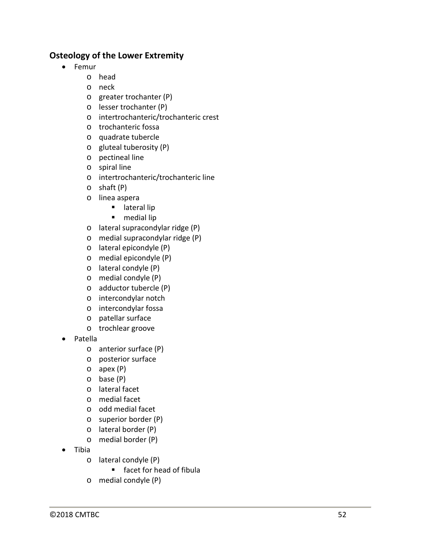## **Osteology of the Lower Extremity**

- Femur
	- o head
	- o neck
	- o greater trochanter (P)
	- o lesser trochanter (P)
	- o intertrochanteric/trochanteric crest
	- o trochanteric fossa
	- o quadrate tubercle
	- o gluteal tuberosity (P)
	- o pectineal line
	- o spiral line
	- o intertrochanteric/trochanteric line
	- o shaft (P)
	- o linea aspera
		- **I** lateral lip
		- **nedial lip**
	- o lateral supracondylar ridge (P)
	- o medial supracondylar ridge (P)
	- o lateral epicondyle (P)
	- o medial epicondyle (P)
	- o lateral condyle (P)
	- o medial condyle (P)
	- o adductor tubercle (P)
	- o intercondylar notch
	- o intercondylar fossa
	- o patellar surface
	- o trochlear groove
- Patella
	- o anterior surface (P)
	- o posterior surface
	- o apex (P)
	- o base (P)
	- o lateral facet
	- o medial facet
	- o odd medial facet
	- o superior border (P)
	- o lateral border (P)
	- o medial border (P)
- Tibia
	- o lateral condyle (P)
		- facet for head of fibula
	- o medial condyle (P)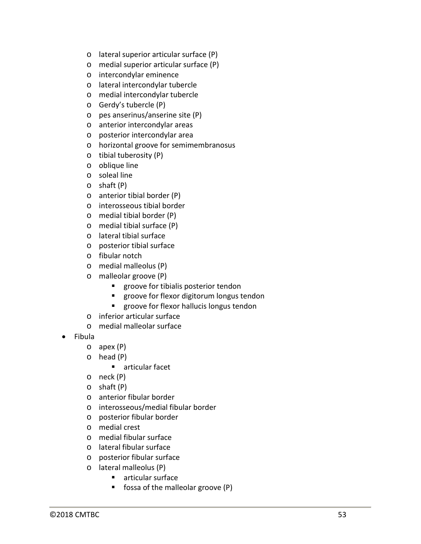- o lateral superior articular surface (P)
- o medial superior articular surface (P)
- o intercondylar eminence
- o lateral intercondylar tubercle
- o medial intercondylar tubercle
- o Gerdy's tubercle (P)
- o pes anserinus/anserine site (P)
- o anterior intercondylar areas
- o posterior intercondylar area
- o horizontal groove for semimembranosus
- o tibial tuberosity (P)
- o oblique line
- o soleal line
- o shaft (P)
- o anterior tibial border (P)
- o interosseous tibial border
- o medial tibial border (P)
- o medial tibial surface (P)
- o lateral tibial surface
- o posterior tibial surface
- o fibular notch
- o medial malleolus (P)
- o malleolar groove (P)
	- **EXEC** groove for tibialis posterior tendon
	- **EX Proove for flexor digitorum longus tendon**
	- **EX a** groove for flexor hallucis longus tendon
- o inferior articular surface
- o medial malleolar surface
- Fibula
	- o apex (P)
	- o head (P)
		- **E** articular facet
	- o neck (P)
	- o shaft (P)
	- o anterior fibular border
	- o interosseous/medial fibular border
	- o posterior fibular border
	- o medial crest
	- o medial fibular surface
	- o lateral fibular surface
	- o posterior fibular surface
	- o lateral malleolus (P)
		- **F** articular surface
		- fossa of the malleolar groove (P)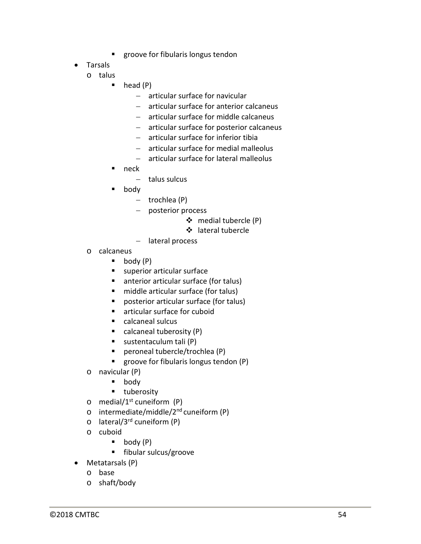- **EXEC** groove for fibularis longus tendon
- Tarsals
	- o talus
		- $\blacksquare$  head (P)
			- − articular surface for navicular
			- − articular surface for anterior calcaneus
			- − articular surface for middle calcaneus
			- − articular surface for posterior calcaneus
			- − articular surface for inferior tibia
			- − articular surface for medial malleolus
			- − articular surface for lateral malleolus
		- neck
			- − talus sulcus
		- body
			- − trochlea (P)
			- − posterior process
				- medial tubercle (P)
				- lateral tubercle
			- − lateral process
		- o calcaneus
			- $\blacksquare$  body  $(P)$
			- **superior articular surface**
			- anterior articular surface (for talus)
			- middle articular surface (for talus)
			- posterior articular surface (for talus)
			- articular surface for cuboid
			- calcaneal sulcus
			- calcaneal tuberosity  $(P)$
			- sustentaculum tali (P)
			- peroneal tubercle/trochlea (P)
			- **groove for fibularis longus tendon (P)**
		- o navicular (P)
			- **body**
			- **u** tuberosity
		- $\circ$  medial/1<sup>st</sup> cuneiform (P)
	- $\circ$  intermediate/middle/2<sup>nd</sup> cuneiform (P)
	- o lateral/3rd cuneiform (P)
	- o cuboid
		- $\bullet$  body (P)
		- **fibular sulcus/groove**
- Metatarsals (P)
	- o base
	- o shaft/body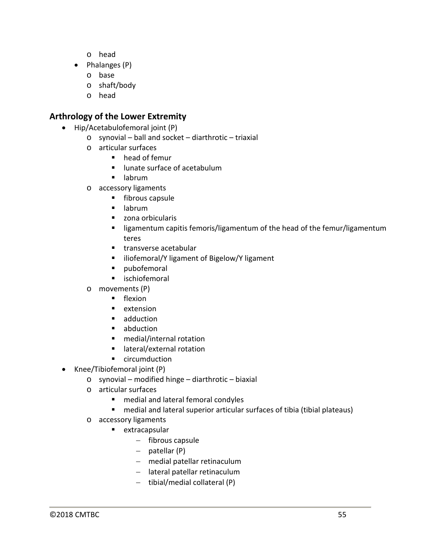- o head
- Phalanges (P)
	- o base
	- o shaft/body
	- o head

#### **Arthrology of the Lower Extremity**

- Hip/Acetabulofemoral joint (P)
	- o synovial ball and socket diarthrotic triaxial
	- o articular surfaces
		- **•** head of femur
		- **I** lunate surface of acetabulum
		- $\blacksquare$  labrum
	- o accessory ligaments
		- **fibrous capsule**
		- $\blacksquare$  labrum
		- zona orbicularis
		- **E** ligamentum capitis femoris/ligamentum of the head of the femur/ligamentum teres
		- **transverse acetabular**
		- **E** iliofemoral/Y ligament of Bigelow/Y ligament
		- **pubofemoral**
		- **u** ischiofemoral
	- o movements (P)
		- **flexion**
		- $\blacksquare$  extension
		- **adduction**
		- **abduction**
		- medial/internal rotation
		- lateral/external rotation
		- **E** circumduction
- Knee/Tibiofemoral joint (P)
	- o synovial modified hinge diarthrotic biaxial
	- o articular surfaces
		- medial and lateral femoral condyles
		- medial and lateral superior articular surfaces of tibia (tibial plateaus)
	- o accessory ligaments
		- **extracapsular** 
			- − fibrous capsule
			- − patellar (P)
			- − medial patellar retinaculum
			- − lateral patellar retinaculum
			- − tibial/medial collateral (P)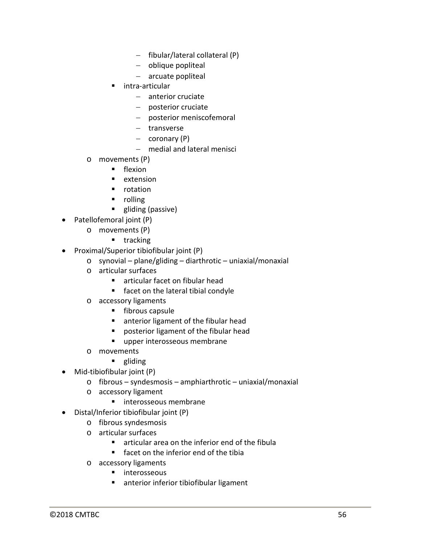- − fibular/lateral collateral (P)
- − oblique popliteal
- − arcuate popliteal
- intra-articular
	- − anterior cruciate
	- − posterior cruciate
	- − posterior meniscofemoral
	- − transverse
	- − coronary (P)
	- − medial and lateral menisci
- o movements (P)
	- **F** flexion
	- **E** extension
	- **•** rotation
	- **n** rolling
	- **gliding (passive)**
- Patellofemoral joint (P)
	- o movements (P)
		- $\blacksquare$  tracking
- Proximal/Superior tibiofibular joint (P)
	- o synovial plane/gliding diarthrotic uniaxial/monaxial
	- o articular surfaces
		- articular facet on fibular head
		- **facet on the lateral tibial condyle**
	- o accessory ligaments
		- **Fibrous capsule**
		- **EXTER 1** anterior ligament of the fibular head
		- **Peropelensive II** posterior ligament of the fibular head
		- **upper interosseous membrane**
	- o movements
		- **gliding**
- Mid-tibiofibular joint (P)
	- o fibrous syndesmosis amphiarthrotic uniaxial/monaxial
	- o accessory ligament
		- **Interosseous membrane**
- Distal/Inferior tibiofibular joint (P)
	- o fibrous syndesmosis
	- o articular surfaces
		- articular area on the inferior end of the fibula
		- **Facet on the inferior end of the tibia**
	- o accessory ligaments
		- interosseous
		- **EXT** anterior inferior tibiofibular ligament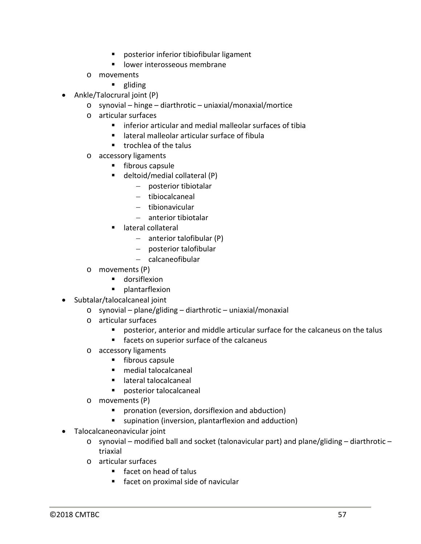- posterior inferior tibiofibular ligament
- **IDOMER INTEREST INCOCE**
- o movements
	- **gliding**
- Ankle/Talocrural joint (P)
	- o synovial hinge diarthrotic uniaxial/monaxial/mortice
	- o articular surfaces
		- $\blacksquare$  inferior articular and medial malleolar surfaces of tibia
		- lateral malleolar articular surface of fibula
		- $\blacksquare$  trochlea of the talus
	- o accessory ligaments
		- **Fibrous capsule**
		- deltoid/medial collateral (P)
			- − posterior tibiotalar
			- − tibiocalcaneal
			- − tibionavicular
			- − anterior tibiotalar
		- lateral collateral
			- − anterior talofibular (P)
			- − posterior talofibular
			- − calcaneofibular
	- o movements (P)
		- **dorsiflexion**
		- **•** plantarflexion
- Subtalar/talocalcaneal joint
	- o synovial plane/gliding diarthrotic uniaxial/monaxial
	- o articular surfaces
		- posterior, anterior and middle articular surface for the calcaneus on the talus
		- **facets on superior surface of the calcaneus**
	- o accessory ligaments
		- $\blacksquare$  fibrous capsule
		- medial talocalcaneal
		- **E** lateral talocalcaneal
		- posterior talocalcaneal
	- o movements (P)
		- **P** pronation (eversion, dorsiflexion and abduction)
		- supination (inversion, plantarflexion and adduction)
- Talocalcaneonavicular joint
	- $\circ$  synovial modified ball and socket (talonavicular part) and plane/gliding diarthrotic triaxial
	- o articular surfaces
		- facet on head of talus
		- **Facet on proximal side of navicular**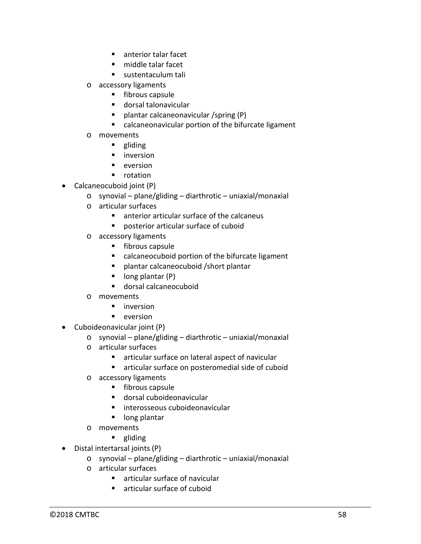- **anterior talar facet**
- middle talar facet
- sustentaculum tali
- o accessory ligaments
	- **fibrous capsule**
	- dorsal talonavicular
	- **P** plantar calcaneonavicular /spring (P)
	- calcaneonavicular portion of the bifurcate ligament
- o movements
	- **gliding**
	- **n** inversion
	- $\blacksquare$  eversion
	- **•** rotation
- Calcaneocuboid joint (P)
	- $\circ$  synovial plane/gliding diarthrotic uniaxial/monaxial
	- o articular surfaces
		- anterior articular surface of the calcaneus
		- posterior articular surface of cuboid
	- o accessory ligaments
		- **fibrous capsule**
		- calcaneocuboid portion of the bifurcate ligament
		- plantar calcaneocuboid /short plantar
		- $\blacksquare$  long plantar (P)
		- dorsal calcaneocuboid
	- o movements
		- **u** inversion
		- $\blacksquare$  eversion
- Cuboideonavicular joint (P)
	- $\circ$  synovial plane/gliding diarthrotic uniaxial/monaxial
	- o articular surfaces
		- articular surface on lateral aspect of navicular
		- **F** articular surface on posteromedial side of cuboid
	- o accessory ligaments
		- **fibrous capsule**
		- dorsal cuboideonavicular
		- **Interosseous cuboideonavicular**
		- **I** long plantar
	- o movements
		- **gliding**
- Distal intertarsal joints (P)
	- o synovial plane/gliding diarthrotic uniaxial/monaxial
	- o articular surfaces
		- articular surface of navicular
		- articular surface of cuboid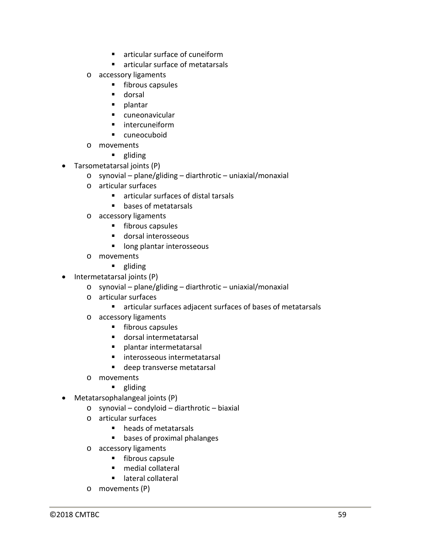- **E** articular surface of cuneiform
- articular surface of metatarsals
- o accessory ligaments
	- $\blacksquare$  fibrous capsules
	- **dorsal**
	- $\blacksquare$  plantar
	- cuneonavicular
	- **n** intercuneiform
	- **E** cuneocuboid
- o movements
	- **gliding**
- Tarsometatarsal joints (P)
	- o synovial plane/gliding diarthrotic uniaxial/monaxial
	- o articular surfaces
		- **F** articular surfaces of distal tarsals
		- **bases of metatarsals**
	- o accessory ligaments
		- **fibrous capsules**
		- dorsal interosseous
		- **I** long plantar interosseous
	- o movements
		- **gliding**
- Intermetatarsal joints (P)
	- o synovial plane/gliding diarthrotic uniaxial/monaxial
	- o articular surfaces
		- articular surfaces adjacent surfaces of bases of metatarsals
	- o accessory ligaments
		- **fibrous capsules**
		- dorsal intermetatarsal
		- **Palantar intermetatarsal**
		- interosseous intermetatarsal
		- deep transverse metatarsal
	- o movements
		- **gliding**
- Metatarsophalangeal joints (P)
	- o synovial condyloid diarthrotic biaxial
	- o articular surfaces
		- heads of metatarsals
		- **bases of proximal phalanges**
	- o accessory ligaments
		- $\blacksquare$  fibrous capsule
		- medial collateral
		- lateral collateral
	- o movements (P)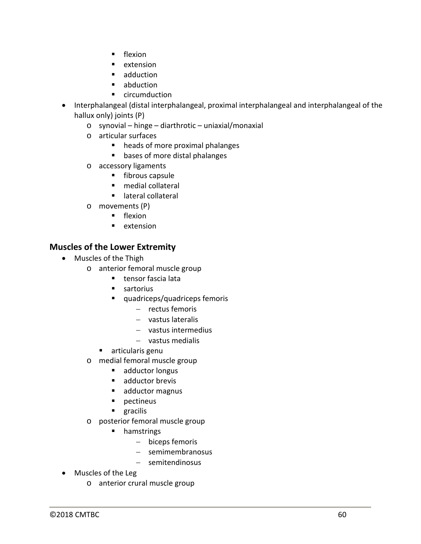- **flexion**
- **E** extension
- **adduction**
- **abduction**
- **E** circumduction
- Interphalangeal (distal interphalangeal, proximal interphalangeal and interphalangeal of the hallux only) joints (P)
	- o synovial hinge diarthrotic uniaxial/monaxial
	- o articular surfaces
		- heads of more proximal phalanges
		- **bases of more distal phalanges**
	- o accessory ligaments
		- **fibrous capsule**
		- medial collateral
		- **Interal collateral**
	- $\circ$  movements (P)
		- flexion
		- **E** extension

#### **Muscles of the Lower Extremity**

- Muscles of the Thigh
	- o anterior femoral muscle group
		- **tensor fascia lata**
		- sartorius
		- quadriceps/quadriceps femoris
			- − rectus femoris
			- − vastus lateralis
			- − vastus intermedius
			- − vastus medialis
		- articularis genu
	- o medial femoral muscle group
		- adductor longus
		- adductor brevis
		- adductor magnus
		- **pectineus**
		- **gracilis**
	- o posterior femoral muscle group
		- **n** hamstrings
			- − biceps femoris
			- − semimembranosus
			- − semitendinosus
- Muscles of the Leg
	- o anterior crural muscle group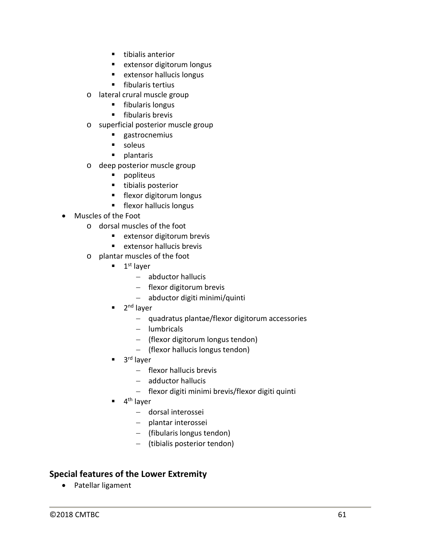- $\blacksquare$  tibialis anterior
- **EXTENS** extensor digitorum longus
- **EXTERED EXTERS EXTERISE EXTENS**
- **fibularis tertius**
- o lateral crural muscle group
	- **Fibularis longus**
	- $\blacksquare$  fibularis brevis
- o superficial posterior muscle group
	- **gastrocnemius**
	- soleus
	- **plantaris**
- o deep posterior muscle group
	- **•** popliteus
	- **tibialis posterior**
	- **Filexor digitorum longus**
	- **flexor hallucis longus**
- Muscles of the Foot
	- o dorsal muscles of the foot
		- **EXTERED EXTERS** extensor digitorum brevis
		- extensor hallucis brevis
	- o plantar muscles of the foot
		- $\blacksquare$  1<sup>st</sup> layer
			- − abductor hallucis
			- − flexor digitorum brevis
			- − abductor digiti minimi/quinti
		- 2<sup>nd</sup> layer
			- − quadratus plantae/flexor digitorum accessories
			- − lumbricals
			- − (flexor digitorum longus tendon)
			- − (flexor hallucis longus tendon)
		- 3<sup>rd</sup> laver
			- − flexor hallucis brevis
			- − adductor hallucis
			- − flexor digiti minimi brevis/flexor digiti quinti
		- 4<sup>th</sup> laver
			- − dorsal interossei
			- − plantar interossei
			- − (fibularis longus tendon)
			- − (tibialis posterior tendon)

#### **Special features of the Lower Extremity**

• Patellar ligament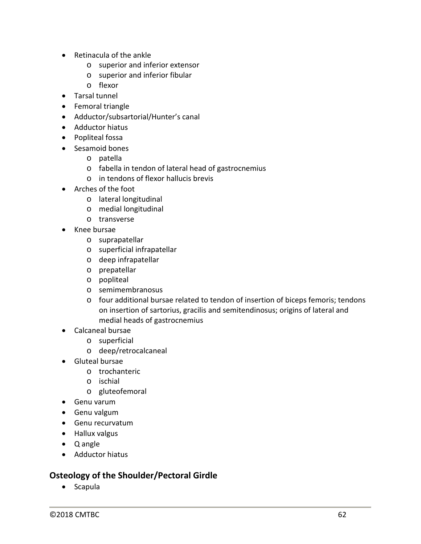- Retinacula of the ankle
	- o superior and inferior extensor
	- o superior and inferior fibular
	- o flexor
- Tarsal tunnel
- Femoral triangle
- Adductor/subsartorial/Hunter's canal
- Adductor hiatus
- Popliteal fossa
- Sesamoid bones
	- o patella
	- o fabella in tendon of lateral head of gastrocnemius
	- o in tendons of flexor hallucis brevis
- Arches of the foot
	- o lateral longitudinal
	- o medial longitudinal
	- o transverse
- Knee bursae
	- o suprapatellar
	- o superficial infrapatellar
	- o deep infrapatellar
	- o prepatellar
	- o popliteal
	- o semimembranosus
	- o four additional bursae related to tendon of insertion of biceps femoris; tendons on insertion of sartorius, gracilis and semitendinosus; origins of lateral and medial heads of gastrocnemius
- Calcaneal bursae
	- o superficial
	- o deep/retrocalcaneal
- Gluteal bursae
	- o trochanteric
	- o ischial
	- o gluteofemoral
- Genu varum
- Genu valgum
- Genu recurvatum
- Hallux valgus
- Q angle
- Adductor hiatus

#### **Osteology of the Shoulder/Pectoral Girdle**

• Scapula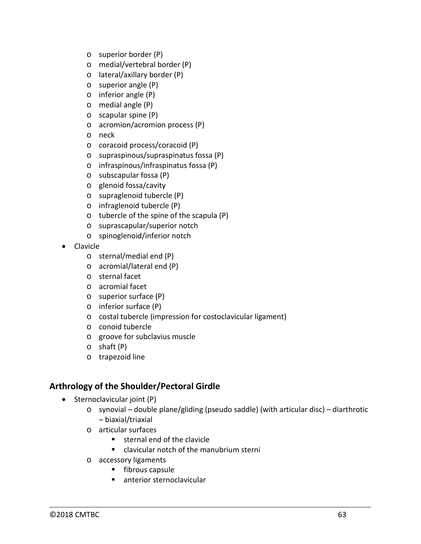- o superior border (P)
- o medial/vertebral border (P)
- o lateral/axillary border (P)
- o superior angle (P)
- o inferior angle (P)
- o medial angle (P)
- o scapular spine (P)
- o acromion/acromion process (P)
- o neck
- o coracoid process/coracoid (P)
- o supraspinous/supraspinatus fossa (P)
- o infraspinous/infraspinatus fossa (P)
- o subscapular fossa (P)
- o glenoid fossa/cavity
- o supraglenoid tubercle (P)
- o infraglenoid tubercle (P)
- o tubercle of the spine of the scapula (P)
- o suprascapular/superior notch
- o spinoglenoid/inferior notch
- Clavicle
	- o sternal/medial end (P)
	- o acromial/lateral end (P)
	- o sternal facet
	- o acromial facet
	- o superior surface (P)
	- o inferior surface (P)
	- o costal tubercle (impression for costoclavicular ligament)
	- o conoid tubercle
	- o groove for subclavius muscle
	- o shaft (P)
	- o trapezoid line

#### **Arthrology of the Shoulder/Pectoral Girdle**

- Sternoclavicular joint (P)
	- $\circ$  synovial double plane/gliding (pseudo saddle) (with articular disc) diarthrotic – biaxial/triaxial
	- o articular surfaces
		- sternal end of the clavicle
		- clavicular notch of the manubrium sterni
	- o accessory ligaments
		- $\blacksquare$  fibrous capsule
		- **anterior sternoclavicular**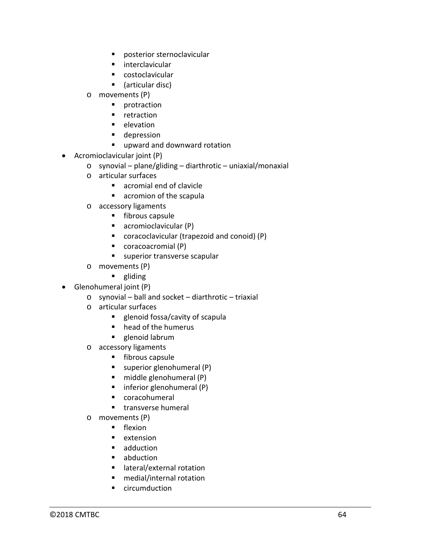- posterior sternoclavicular
- **n** interclavicular
- costoclavicular
- (articular disc)
- o movements (P)
	- **•** protraction
	- **retraction**
	- **elevation**
	- **depression**
	- **upward and downward rotation**
- Acromioclavicular joint (P)
	- o synovial plane/gliding diarthrotic uniaxial/monaxial
	- o articular surfaces
		- acromial end of clavicle
		- **acromion of the scapula**
	- o accessory ligaments
		- **fibrous capsule**
		- acromioclavicular (P)
		- coracoclavicular (trapezoid and conoid) (P)
		- coracoacromial (P)
		- **superior transverse scapular**
	- o movements (P)
		- **gliding**
- Glenohumeral joint (P)
	- o synovial ball and socket diarthrotic triaxial
	- o articular surfaces
		- **EXE** glenoid fossa/cavity of scapula
		- head of the humerus
		- **glenoid labrum**
	- o accessory ligaments
		- **fibrous capsule**
		- $\blacksquare$  superior glenohumeral (P)
		- $\blacksquare$  middle glenohumeral (P)
		- $\blacksquare$  inferior glenohumeral (P)
		- coracohumeral
		- **transverse humeral**
	- o movements (P)
		- **F** flexion
		- **E** extension
		- **adduction**
		- **abduction**
		- lateral/external rotation
		- medial/internal rotation
		- circumduction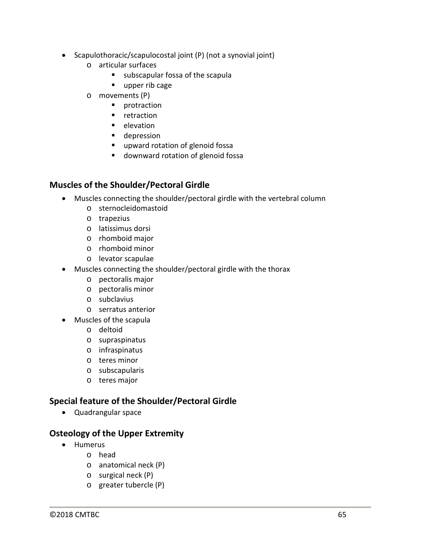- Scapulothoracic/scapulocostal joint (P) (not a synovial joint)
	- o articular surfaces
		- subscapular fossa of the scapula
		- upper rib cage
	- o movements (P)
		- **•** protraction
		- **F** retraction
		- **elevation**
		- **depression**
		- **upward rotation of glenoid fossa**
		- **downward rotation of glenoid fossa**

#### **Muscles of the Shoulder/Pectoral Girdle**

- Muscles connecting the shoulder/pectoral girdle with the vertebral column
	- o sternocleidomastoid
	- o trapezius
	- o latissimus dorsi
	- o rhomboid major
	- o rhomboid minor
	- o levator scapulae
- Muscles connecting the shoulder/pectoral girdle with the thorax
	- o pectoralis major
	- o pectoralis minor
	- o subclavius
	- o serratus anterior
- Muscles of the scapula
	- o deltoid
	- o supraspinatus
	- o infraspinatus
	- o teres minor
	- o subscapularis
	- o teres major

## **Special feature of the Shoulder/Pectoral Girdle**

• Quadrangular space

#### **Osteology of the Upper Extremity**

- Humerus
	- o head
	- o anatomical neck (P)
	- o surgical neck (P)
	- o greater tubercle (P)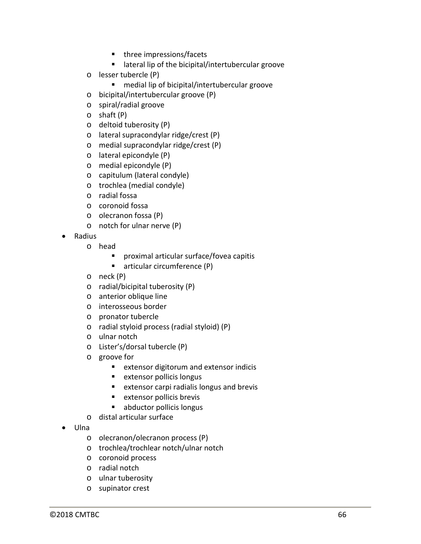- three impressions/facets
- **EXTERGHEER** Intertubercular groove
- o lesser tubercle (P)
	- medial lip of bicipital/intertubercular groove
- o bicipital/intertubercular groove (P)
- o spiral/radial groove
- o shaft (P)
- o deltoid tuberosity (P)
- o lateral supracondylar ridge/crest (P)
- o medial supracondylar ridge/crest (P)
- o lateral epicondyle (P)
- o medial epicondyle (P)
- o capitulum (lateral condyle)
- o trochlea (medial condyle)
- o radial fossa
- o coronoid fossa
- o olecranon fossa (P)
- o notch for ulnar nerve (P)
- Radius
	- o head
		- proximal articular surface/fovea capitis
		- articular circumference (P)
	- o neck (P)
	- o radial/bicipital tuberosity (P)
	- o anterior oblique line
	- o interosseous border
	- o pronator tubercle
	- o radial styloid process (radial styloid) (P)
	- o ulnar notch
	- o Lister's/dorsal tubercle (P)
	- o groove for
		- **EXTERGED EXTERGED** extensor indicis
		- **EXTERED EXTERS EXTERISE**
		- **EXTERGED EXTERGED extensor carpi radialis longus and brevis**
		- **EXTERED EXTERS EXTERNAL EXTENS**
		- **abductor pollicis longus**
	- o distal articular surface
- Ulna
	- o olecranon/olecranon process (P)
	- o trochlea/trochlear notch/ulnar notch
	- o coronoid process
	- o radial notch
	- o ulnar tuberosity
	- o supinator crest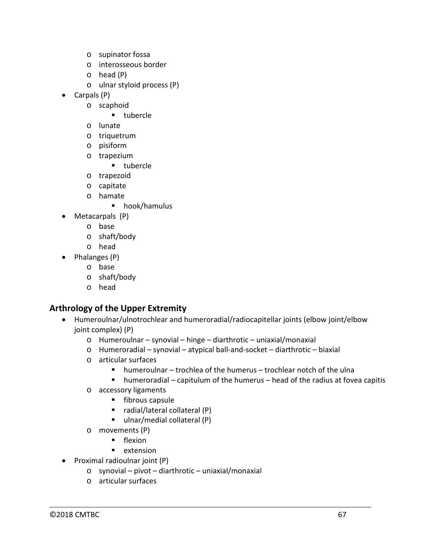- o supinator fossa
- o interosseous border
- o head (P)
- o ulnar styloid process (P)
- Carpals (P)
	- o scaphoid
		- **tubercle**
	- o lunate
	- o triquetrum
	- o pisiform
	- o trapezium
		- **u** tubercle
	- o trapezoid
	- o capitate
	- o hamate
		- **•** hook/hamulus
- Metacarpals (P)
	- o base
	- o shaft/body
	- o head
- Phalanges (P)
	- o base
	- o shaft/body
	- o head

## **Arthrology of the Upper Extremity**

- Humeroulnar/ulnotrochlear and humeroradial/radiocapitellar joints (elbow joint/elbow joint complex) (P)
	- o Humeroulnar synovial hinge diarthrotic uniaxial/monaxial
	- o Humeroradial synovial atypical ball-and-socket diarthrotic biaxial
	- o articular surfaces
		- humeroulnar trochlea of the humerus trochlear notch of the ulna
		- $\blacksquare$  humeroradial capitulum of the humerus head of the radius at fovea capitis
	- o accessory ligaments
		- $\blacksquare$  fibrous capsule
		- $\blacksquare$  radial/lateral collateral (P)
		- ulnar/medial collateral (P)
	- o movements (P)
		- **flexion**
		- **E** extension
- Proximal radioulnar joint (P)
	- o synovial pivot diarthrotic uniaxial/monaxial
	- o articular surfaces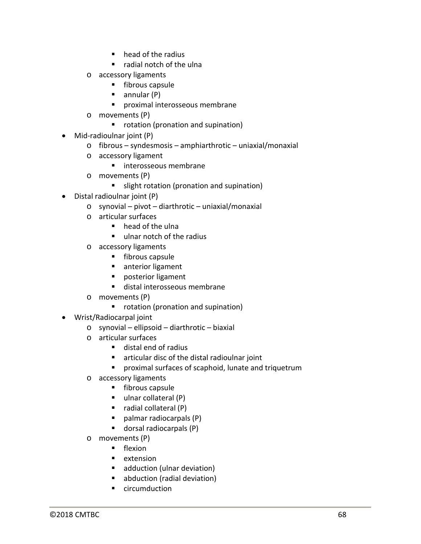- **•** head of the radius
- radial notch of the ulna
- o accessory ligaments
	- **Fibrous capsule**
	- $\blacksquare$  annular (P)
	- **P** proximal interosseous membrane
- o movements (P)
	- **•** rotation (pronation and supination)
- Mid-radioulnar joint (P)
	- o fibrous syndesmosis amphiarthrotic uniaxial/monaxial
	- o accessory ligament
		- **n** interosseous membrane
	- o movements (P)
		- slight rotation (pronation and supination)
- Distal radioulnar joint (P)
	- o synovial pivot diarthrotic uniaxial/monaxial
	- o articular surfaces
		- $\blacksquare$  head of the ulna
		- ulnar notch of the radius
	- o accessory ligaments
		- **fibrous capsule**
		- **anterior ligament**
		- **Perophenent** posterior ligament
		- distal interosseous membrane
	- o movements (P)
		- **•** rotation (pronation and supination)
- Wrist/Radiocarpal joint
	- o synovial ellipsoid diarthrotic biaxial
	- o articular surfaces
		- distal end of radius
		- articular disc of the distal radioulnar joint
		- proximal surfaces of scaphoid, lunate and triquetrum
	- o accessory ligaments
		- **fibrous capsule**
		- ulnar collateral (P)
		- $\blacksquare$  radial collateral (P)
		- palmar radiocarpals (P)
		- dorsal radiocarpals (P)
	- o movements (P)
		- **F** flexion
		- **E** extension
		- adduction (ulnar deviation)
		- abduction (radial deviation)
		- circumduction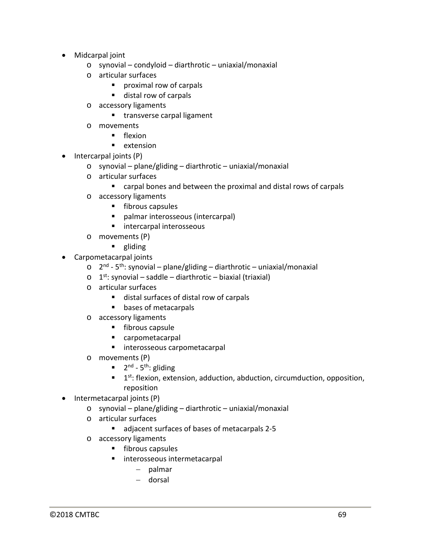- Midcarpal joint
	- o synovial condyloid diarthrotic uniaxial/monaxial
	- o articular surfaces
		- **Part of carpals**
		- distal row of carpals
	- o accessory ligaments
		- **transverse carpal ligament**
	- o movements
		- **F** flexion
		- **E** extension
- Intercarpal joints (P)
	- o synovial plane/gliding diarthrotic uniaxial/monaxial
	- o articular surfaces
		- carpal bones and between the proximal and distal rows of carpals
	- o accessory ligaments
		- $\blacksquare$  fibrous capsules
		- palmar interosseous (intercarpal)
		- intercarpal interosseous
	- o movements (P)
		- **gliding**
- Carpometacarpal joints
	- $\circ$  2<sup>nd</sup> 5<sup>th</sup>: synovial plane/gliding diarthrotic uniaxial/monaxial
	- $\circ$  1<sup>st</sup>: synovial saddle diarthrotic biaxial (triaxial)
	- o articular surfaces
		- distal surfaces of distal row of carpals
		- **bases of metacarpals**
	- o accessory ligaments
		- **Fibrous capsule**
		- carpometacarpal
		- interosseous carpometacarpal
	- o movements (P)
		- $\blacksquare$  2<sup>nd</sup> 5<sup>th</sup>: gliding
		- $1$ st: flexion, extension, adduction, abduction, circumduction, opposition, reposition
- Intermetacarpal joints (P)
	- o synovial plane/gliding diarthrotic uniaxial/monaxial
	- o articular surfaces
		- adjacent surfaces of bases of metacarpals 2-5
	- o accessory ligaments
		- **fibrous capsules**
		- **Interosseous intermetacarpal** 
			- − palmar
			- − dorsal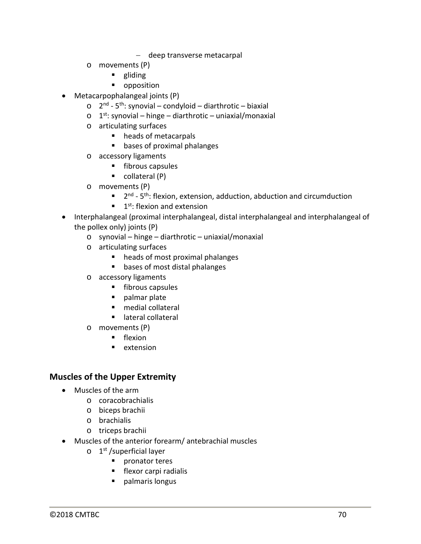- − deep transverse metacarpal
- o movements (P)
	- **gliding**
	- **•** opposition
- Metacarpophalangeal joints (P)
	- $\circ$  2<sup>nd</sup> 5<sup>th</sup>: synovial condyloid diarthrotic biaxial
	- $o$  1<sup>st</sup>: synovial hinge diarthrotic uniaxial/monaxial
	- o articulating surfaces
		- heads of metacarpals
		- **•** bases of proximal phalanges
	- o accessory ligaments
		- $\blacksquare$  fibrous capsules
		- $\blacksquare$  collateral (P)
	- o movements (P)
		- $\blacksquare$  2<sup>nd</sup> 5<sup>th</sup>: flexion, extension, adduction, abduction and circumduction
		- $\blacksquare$  1<sup>st</sup>: flexion and extension
- Interphalangeal (proximal interphalangeal, distal interphalangeal and interphalangeal of the pollex only) joints (P)
	- o synovial hinge diarthrotic uniaxial/monaxial
	- o articulating surfaces
		- heads of most proximal phalanges
		- **bases of most distal phalanges**
	- o accessory ligaments
		- **fibrous capsules**
		- **palmar plate**
		- medial collateral
		- **E** lateral collateral
	- o movements (P)
		- $\blacksquare$  flexion
		- $\blacksquare$  extension

## **Muscles of the Upper Extremity**

- Muscles of the arm
	- o coracobrachialis
	- o biceps brachii
	- o brachialis
	- o triceps brachii
- Muscles of the anterior forearm/ antebrachial muscles
	- $\circ$  1<sup>st</sup> /superficial layer
		- **P** pronator teres
		- **flexor carpi radialis**
		- **Palmaris longus**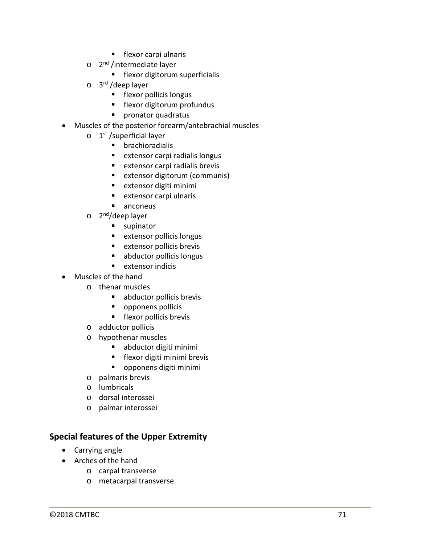- **flexor carpi ulnaris**
- o 2<sup>nd</sup> /intermediate layer
	- **Fillexor digitorum superficialis**
- o 3<sup>rd</sup> /deep layer
	- **flexor pollicis longus**
	- **F** flexor digitorum profundus
	- **Pronator quadratus**
- Muscles of the posterior forearm/antebrachial muscles
	- $\circ$  1<sup>st</sup> /superficial layer
		- **•** brachioradialis
		- **EXTERGED EXTERS** extensor carpi radialis longus
		- **EXTERS** extensor carpi radialis brevis
		- **EXTER EXTERS** extensor digitorum (communis)
		- **EXTERED EXTERNAL EXTENSION EXTENSION**
		- **E** extensor carpi ulnaris
		- anconeus
	- $\circ$  2<sup>nd</sup>/deep layer
		- **supinator**
		- **EXTERED EXTERS** POLLICIS LONGUS
		- **EXTERGED EXTERS EXTERISE EXTENS**
		- **abductor pollicis longus**
		- **E** extensor indicis
- Muscles of the hand
	- o thenar muscles
		- abductor pollicis brevis
		- **•** opponens pollicis
		- **flexor pollicis brevis**
	- o adductor pollicis
	- o hypothenar muscles
		- abductor digiti minimi
		- **Fillexor digiti minimi brevis**
		- opponens digiti minimi
	- o palmaris brevis
	- o lumbricals
	- o dorsal interossei
	- o palmar interossei

## **Special features of the Upper Extremity**

- Carrying angle
- Arches of the hand
	- o carpal transverse
	- o metacarpal transverse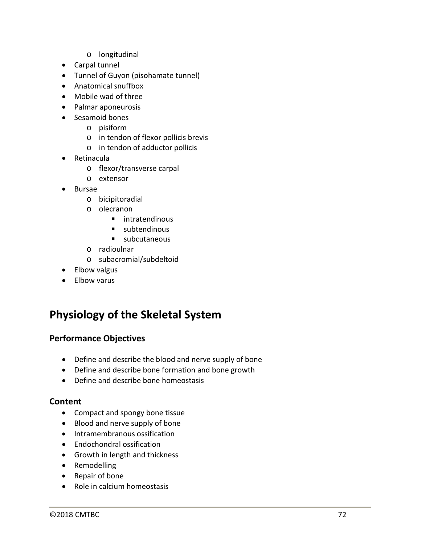- o longitudinal
- Carpal tunnel
- Tunnel of Guyon (pisohamate tunnel)
- Anatomical snuffbox
- Mobile wad of three
- Palmar aponeurosis
- Sesamoid bones
	- o pisiform
	- o in tendon of flexor pollicis brevis
	- o in tendon of adductor pollicis
- Retinacula
	- o flexor/transverse carpal
	- o extensor
- Bursae
	- o bicipitoradial
	- o olecranon
		- **E** intratendinous
		- **subtendinous**
		- subcutaneous
	- o radioulnar
	- o subacromial/subdeltoid
- Elbow valgus
- Elbow varus

# **Physiology of the Skeletal System**

#### **Performance Objectives**

- Define and describe the blood and nerve supply of bone
- Define and describe bone formation and bone growth
- Define and describe bone homeostasis

#### **Content**

- Compact and spongy bone tissue
- Blood and nerve supply of bone
- Intramembranous ossification
- Endochondral ossification
- Growth in length and thickness
- Remodelling
- Repair of bone
- Role in calcium homeostasis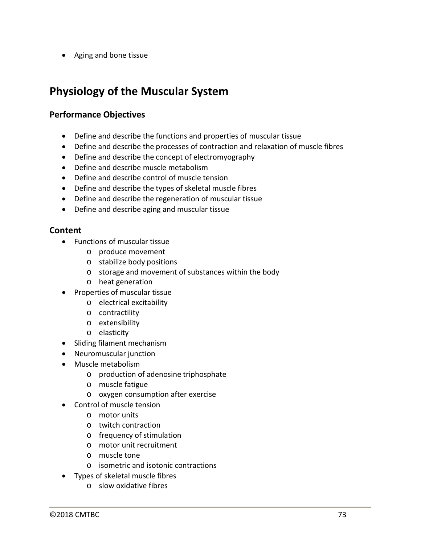• Aging and bone tissue

# **Physiology of the Muscular System**

### **Performance Objectives**

- Define and describe the functions and properties of muscular tissue
- Define and describe the processes of contraction and relaxation of muscle fibres
- Define and describe the concept of electromyography
- Define and describe muscle metabolism
- Define and describe control of muscle tension
- Define and describe the types of skeletal muscle fibres
- Define and describe the regeneration of muscular tissue
- Define and describe aging and muscular tissue

- Functions of muscular tissue
	- o produce movement
	- o stabilize body positions
	- o storage and movement of substances within the body
	- o heat generation
- Properties of muscular tissue
	- o electrical excitability
	- o contractility
	- o extensibility
	- o elasticity
- Sliding filament mechanism
- Neuromuscular junction
- Muscle metabolism
	- o production of adenosine triphosphate
	- o muscle fatigue
	- o oxygen consumption after exercise
- Control of muscle tension
	- o motor units
	- o twitch contraction
	- o frequency of stimulation
	- o motor unit recruitment
	- o muscle tone
	- o isometric and isotonic contractions
- Types of skeletal muscle fibres
	- o slow oxidative fibres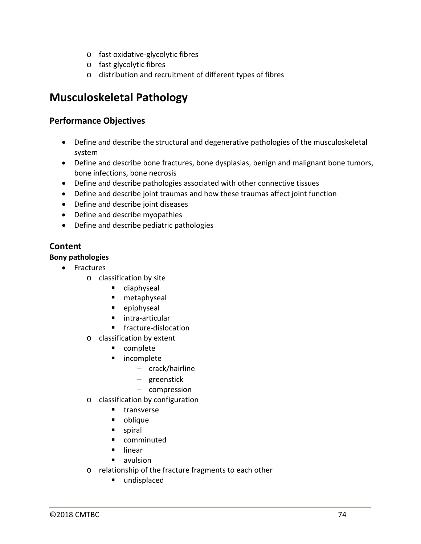- o fast oxidative-glycolytic fibres
- o fast glycolytic fibres
- o distribution and recruitment of different types of fibres

# **Musculoskeletal Pathology**

### **Performance Objectives**

- Define and describe the structural and degenerative pathologies of the musculoskeletal system
- Define and describe bone fractures, bone dysplasias, benign and malignant bone tumors, bone infections, bone necrosis
- Define and describe pathologies associated with other connective tissues
- Define and describe joint traumas and how these traumas affect joint function
- Define and describe joint diseases
- Define and describe myopathies
- Define and describe pediatric pathologies

## **Content**

### **Bony pathologies**

- Fractures
	- o classification by site
		- **diaphyseal**
		- metaphyseal
		- **•** epiphyseal
		- **intra-articular**
		- **fracture-dislocation**
	- o classification by extent
		- **•** complete
		- **n** incomplete
			- − crack/hairline
			- − greenstick
			- − compression
	- o classification by configuration
		- **transverse**
		- oblique
		- spiral
		- **E** comminuted
		- $\blacksquare$  linear
		- avulsion
	- o relationship of the fracture fragments to each other
		- undisplaced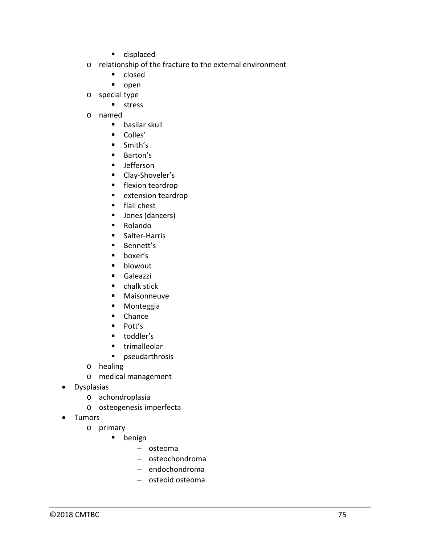- **displaced**
- o relationship of the fracture to the external environment
	- closed
	- open
- o special type
	- **stress**
- o named
	- **basilar skull**
	- Colles'
	- **Smith's**
	- **Barton's**
	- **Jefferson**
	- **Clay-Shoveler's**
	- **Filexion teardrop**
	- **EXTENSION TEAR EXTENSION**
	- **flail chest**
	- Jones (dancers)
	- Rolando
	- **Salter-Harris**
	- **Bennett's**
	- **boxer's**
	- **•** blowout
	- **Galeazzi**
	- **E** chalk stick
	- **Maisonneuve**
	- **■** Monteggia
	- **Chance**
	- $\blacksquare$  Pott's
	- **toddler's**
	- **trimalleolar**
	- **P** pseudarthrosis
- o healing
- o medical management
- Dysplasias
	- o achondroplasia
	- o osteogenesis imperfecta
- Tumors
	- o primary
		- **benign** 
			- − osteoma
			- − osteochondroma
			- − endochondroma
			- − osteoid osteoma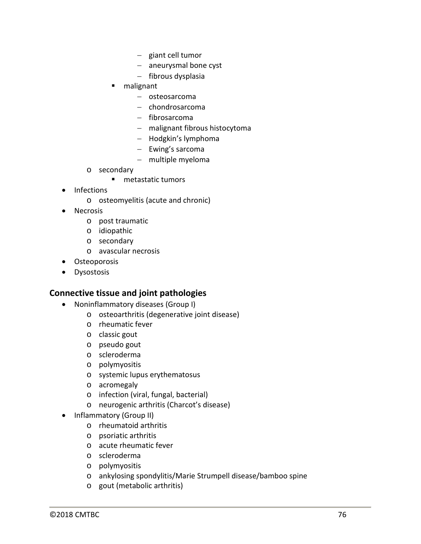- − giant cell tumor
- − aneurysmal bone cyst
- − fibrous dysplasia
- malignant
	- − osteosarcoma
	- − chondrosarcoma
	- − fibrosarcoma
	- − malignant fibrous histocytoma
	- − Hodgkin's lymphoma
	- − Ewing's sarcoma
	- − multiple myeloma
- o secondary
	- **nd** metastatic tumors
- Infections
	- o osteomyelitis (acute and chronic)
- Necrosis
	- o post traumatic
	- o idiopathic
	- o secondary
	- o avascular necrosis
- Osteoporosis
- Dysostosis

### **Connective tissue and joint pathologies**

- Noninflammatory diseases (Group I)
	- o osteoarthritis (degenerative joint disease)
	- o rheumatic fever
	- o classic gout
	- o pseudo gout
	- o scleroderma
	- o polymyositis
	- o systemic lupus erythematosus
	- o acromegaly
	- o infection (viral, fungal, bacterial)
	- o neurogenic arthritis (Charcot's disease)
- Inflammatory (Group II)
	- o rheumatoid arthritis
	- o psoriatic arthritis
	- o acute rheumatic fever
	- o scleroderma
	- o polymyositis
	- o ankylosing spondylitis/Marie Strumpell disease/bamboo spine
	- o gout (metabolic arthritis)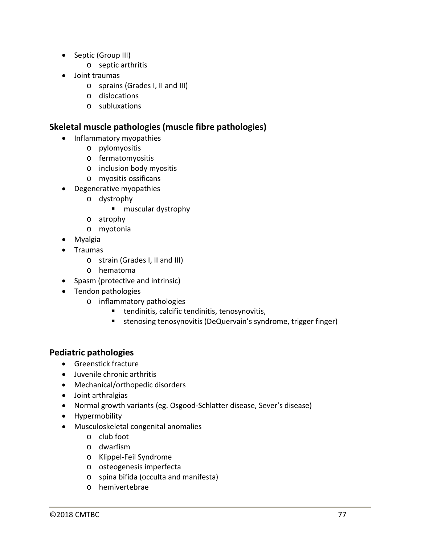- Septic (Group III)
	- o septic arthritis
- Joint traumas
	- o sprains (Grades I, II and III)
	- o dislocations
	- o subluxations

### **Skeletal muscle pathologies (muscle fibre pathologies)**

- Inflammatory myopathies
	- o pylomyositis
	- o fermatomyositis
	- o inclusion body myositis
	- o myositis ossificans
- Degenerative myopathies
	- o dystrophy
		- **muscular dystrophy**
	- o atrophy
	- o myotonia
- Myalgia
- Traumas
	- o strain (Grades I, II and III)
	- o hematoma
- Spasm (protective and intrinsic)
- Tendon pathologies
	- o inflammatory pathologies
		- tendinitis, calcific tendinitis, tenosynovitis,
		- stenosing tenosynovitis (DeQuervain's syndrome, trigger finger)

### **Pediatric pathologies**

- Greenstick fracture
- Juvenile chronic arthritis
- Mechanical/orthopedic disorders
- Joint arthralgias
- Normal growth variants (eg. Osgood-Schlatter disease, Sever's disease)
- Hypermobility
- Musculoskeletal congenital anomalies
	- o club foot
	- o dwarfism
	- o Klippel-Feil Syndrome
	- o osteogenesis imperfecta
	- o spina bifida (occulta and manifesta)
	- o hemivertebrae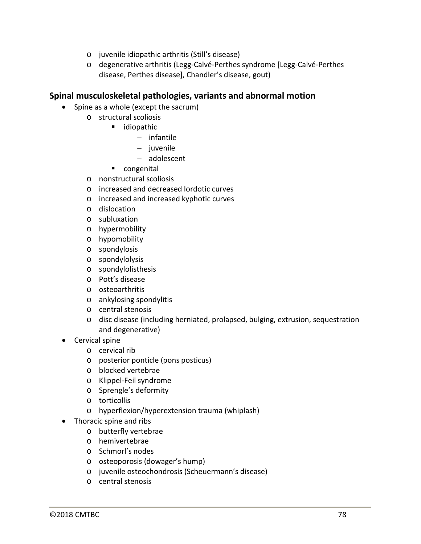- o juvenile idiopathic arthritis (Still's disease)
- o degenerative arthritis (Legg-Calvé-Perthes syndrome [Legg-Calvé-Perthes disease, Perthes disease], Chandler's disease, gout)

### **Spinal musculoskeletal pathologies, variants and abnormal motion**

- Spine as a whole (except the sacrum)
	- o structural scoliosis
		- ullet idiopathic
			- − infantile
			- − juvenile
			- − adolescent
		- **Congenital**
	- o nonstructural scoliosis
	- o increased and decreased lordotic curves
	- o increased and increased kyphotic curves
	- o dislocation
	- o subluxation
	- o hypermobility
	- o hypomobility
	- o spondylosis
	- o spondylolysis
	- o spondylolisthesis
	- o Pott's disease
	- o osteoarthritis
	- o ankylosing spondylitis
	- o central stenosis
	- o disc disease (including herniated, prolapsed, bulging, extrusion, sequestration and degenerative)
- Cervical spine
	- o cervical rib
	- o posterior ponticle (pons posticus)
	- o blocked vertebrae
	- o Klippel-Feil syndrome
	- o Sprengle's deformity
	- o torticollis
	- o hyperflexion/hyperextension trauma (whiplash)
- Thoracic spine and ribs
	- o butterfly vertebrae
	- o hemivertebrae
	- o Schmorl's nodes
	- o osteoporosis (dowager's hump)
	- o juvenile osteochondrosis (Scheuermann's disease)
	- o central stenosis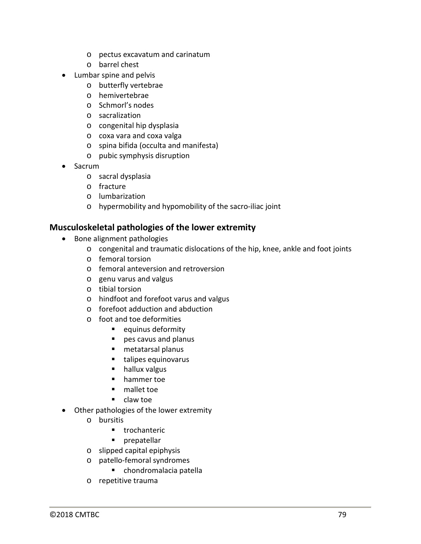- o pectus excavatum and carinatum
- o barrel chest
- Lumbar spine and pelvis
	- o butterfly vertebrae
	- o hemivertebrae
	- o Schmorl's nodes
	- o sacralization
	- o congenital hip dysplasia
	- o coxa vara and coxa valga
	- o spina bifida (occulta and manifesta)
	- o pubic symphysis disruption
- Sacrum
	- o sacral dysplasia
	- o fracture
	- o lumbarization
	- o hypermobility and hypomobility of the sacro-iliac joint

### **Musculoskeletal pathologies of the lower extremity**

- Bone alignment pathologies
	- o congenital and traumatic dislocations of the hip, knee, ankle and foot joints
	- o femoral torsion
	- o femoral anteversion and retroversion
	- o genu varus and valgus
	- o tibial torsion
	- o hindfoot and forefoot varus and valgus
	- o forefoot adduction and abduction
	- o foot and toe deformities
		- **e** equinus deformity
		- pes cavus and planus
		- metatarsal planus
		- **talipes equinovarus**
		- **hallux valgus**
		- **hammer toe**
		- mallet toe
		- claw toe
- Other pathologies of the lower extremity
	- o bursitis
		- **trochanteric**
		- **Paragemental**
	- o slipped capital epiphysis
	- o patello-femoral syndromes
		- chondromalacia patella
	- o repetitive trauma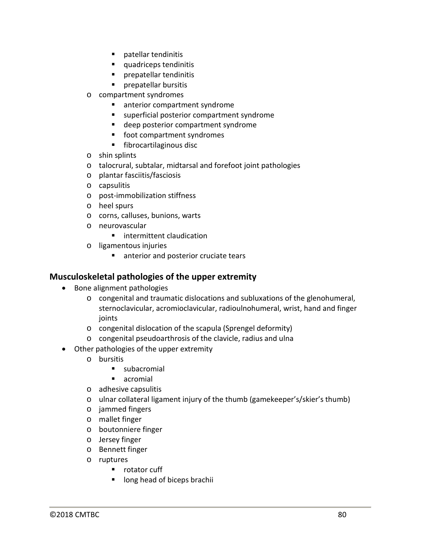- **Patellar tendinitis**
- quadriceps tendinitis
- **Parageta** prepatellar tendinitis
- **Prepatellar bursitis**
- o compartment syndromes
	- **EXECUTE:** anterior compartment syndrome
	- superficial posterior compartment syndrome
	- **deep posterior compartment syndrome**
	- **foot compartment syndromes**
	- **fibrocartilaginous disc**
- o shin splints
- o talocrural, subtalar, midtarsal and forefoot joint pathologies
- o plantar fasciitis/fasciosis
- o capsulitis
- o post-immobilization stiffness
- o heel spurs
- o corns, calluses, bunions, warts
- o neurovascular
	- **E** intermittent claudication
- o ligamentous injuries
	- **anterior and posterior cruciate tears**

### **Musculoskeletal pathologies of the upper extremity**

- Bone alignment pathologies
	- o congenital and traumatic dislocations and subluxations of the glenohumeral, sternoclavicular, acromioclavicular, radioulnohumeral, wrist, hand and finger joints
	- o congenital dislocation of the scapula (Sprengel deformity)
	- o congenital pseudoarthrosis of the clavicle, radius and ulna
- Other pathologies of the upper extremity
	- o bursitis
		- subacromial
		- **acromial**
	- o adhesive capsulitis
	- o ulnar collateral ligament injury of the thumb (gamekeeper's/skier's thumb)
	- o jammed fingers
	- o mallet finger
	- o boutonniere finger
	- o Jersey finger
	- o Bennett finger
	- o ruptures
		- **•** rotator cuff
		- **If** long head of biceps brachii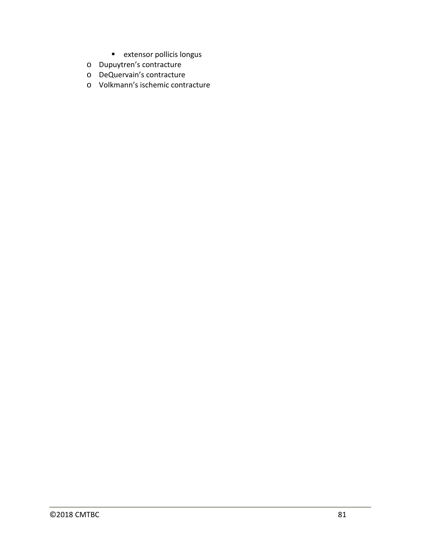- **E** extensor pollicis longus
- o Dupuytren's contracture
- o DeQuervain's contracture
- o Volkmann's ischemic contracture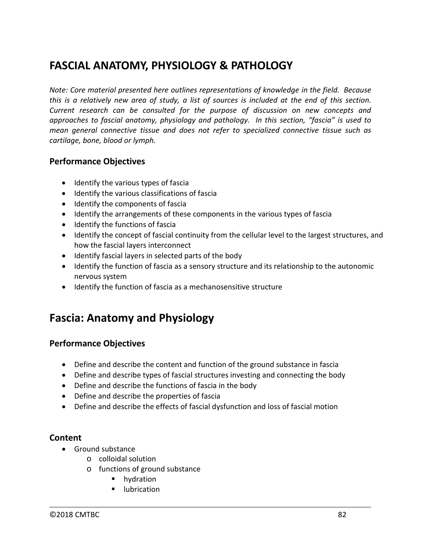# **FASCIAL ANATOMY, PHYSIOLOGY & PATHOLOGY**

*Note: Core material presented here outlines representations of knowledge in the field. Because this is a relatively new area of study, a list of sources is included at the end of this section. Current research can be consulted for the purpose of discussion on new concepts and approaches to fascial anatomy, physiology and pathology. In this section, "fascia" is used to mean general connective tissue and does not refer to specialized connective tissue such as cartilage, bone, blood or lymph.*

### **Performance Objectives**

- Identify the various types of fascia
- Identify the various classifications of fascia
- Identify the components of fascia
- Identify the arrangements of these components in the various types of fascia
- Identify the functions of fascia
- Identify the concept of fascial continuity from the cellular level to the largest structures, and how the fascial layers interconnect
- Identify fascial layers in selected parts of the body
- Identify the function of fascia as a sensory structure and its relationship to the autonomic nervous system
- Identify the function of fascia as a mechanosensitive structure

## **Fascia: Anatomy and Physiology**

### **Performance Objectives**

- Define and describe the content and function of the ground substance in fascia
- Define and describe types of fascial structures investing and connecting the body
- Define and describe the functions of fascia in the body
- Define and describe the properties of fascia
- Define and describe the effects of fascial dysfunction and loss of fascial motion

- Ground substance
	- o colloidal solution
	- o functions of ground substance
		- **n** hydration
		- lubrication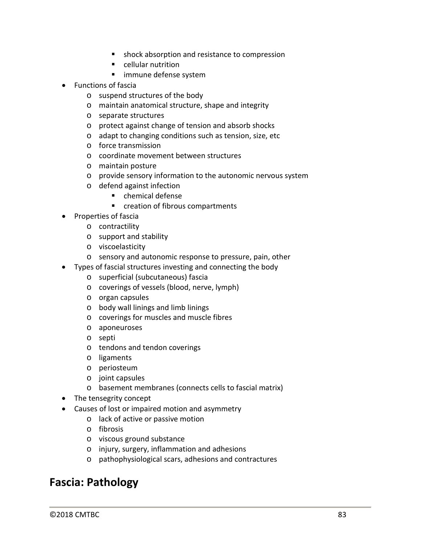- shock absorption and resistance to compression
- **E** cellular nutrition
- immune defense system
- Functions of fascia
	- o suspend structures of the body
	- o maintain anatomical structure, shape and integrity
	- o separate structures
	- o protect against change of tension and absorb shocks
	- o adapt to changing conditions such as tension, size, etc
	- o force transmission
	- o coordinate movement between structures
	- o maintain posture
	- o provide sensory information to the autonomic nervous system
	- o defend against infection
		- chemical defense
		- **EXEC** creation of fibrous compartments
- Properties of fascia
	- o contractility
	- o support and stability
	- o viscoelasticity
	- o sensory and autonomic response to pressure, pain, other
- Types of fascial structures investing and connecting the body
	- o superficial (subcutaneous) fascia
	- o coverings of vessels (blood, nerve, lymph)
	- o organ capsules
	- o body wall linings and limb linings
	- o coverings for muscles and muscle fibres
	- o aponeuroses
	- o septi
	- o tendons and tendon coverings
	- o ligaments
	- o periosteum
	- o joint capsules
	- o basement membranes (connects cells to fascial matrix)
- The tensegrity concept
- Causes of lost or impaired motion and asymmetry
	- o lack of active or passive motion
	- o fibrosis
	- o viscous ground substance
	- o injury, surgery, inflammation and adhesions
	- o pathophysiological scars, adhesions and contractures

## **Fascia: Pathology**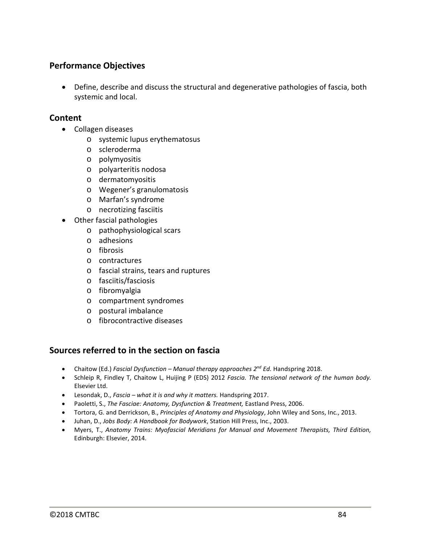### **Performance Objectives**

• Define, describe and discuss the structural and degenerative pathologies of fascia, both systemic and local.

### **Content**

- Collagen diseases
	- o systemic lupus erythematosus
	- o scleroderma
	- o polymyositis
	- o polyarteritis nodosa
	- o dermatomyositis
	- o Wegener's granulomatosis
	- o Marfan's syndrome
	- o necrotizing fasciitis
- Other fascial pathologies
	- o pathophysiological scars
	- o adhesions
	- o fibrosis
	- o contractures
	- o fascial strains, tears and ruptures
	- o fasciitis/fasciosis
	- o fibromyalgia
	- o compartment syndromes
	- o postural imbalance
	- o fibrocontractive diseases

### **Sources referred to in the section on fascia**

- Chaitow (Ed.) *Fascial Dysfunction – Manual therapy approaches 2nd Ed.* Handspring 2018.
- Schleip R, Findley T, Chaitow L, Huijing P (EDS) 2012 *Fascia. The tensional network of the human body.* Elsevier Ltd.
- Lesondak, D., *Fascia – what it is and why it matters.* Handspring 2017.
- Paoletti, S., *The Fasciae: Anatomy, Dysfunction & Treatment,* Eastland Press, 2006.
- Tortora, G. and Derrickson, B., *Principles of Anatomy and Physiology*, John Wiley and Sons, Inc., 2013.
- Juhan, D., *Jobs Body: A Handbook for Bodywork*, Station Hill Press, Inc., 2003.
- Myers, T., *Anatomy Trains: Myofascial Meridians for Manual and Movement Therapists, Third Edition,* Edinburgh: Elsevier, 2014.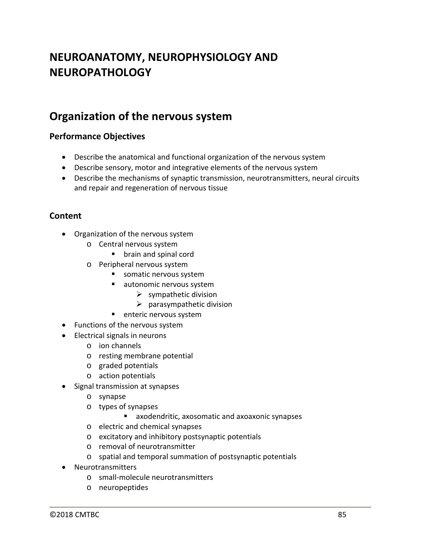# **NEUROANATOMY, NEUROPHYSIOLOGY AND NEUROPATHOLOGY**

## **Organization of the nervous system**

## **Performance Objectives**

- Describe the anatomical and functional organization of the nervous system
- Describe sensory, motor and integrative elements of the nervous system
- Describe the mechanisms of synaptic transmission, neurotransmitters, neural circuits and repair and regeneration of nervous tissue

- Organization of the nervous system
	- o Central nervous system
		- **•** brain and spinal cord
	- o Peripheral nervous system
		- somatic nervous system
		- ullet autonomic nervous system
			- $\triangleright$  sympathetic division
			- $\triangleright$  parasympathetic division
		- **E** enteric nervous system
- Functions of the nervous system
- Electrical signals in neurons
	- o ion channels
	- o resting membrane potential
	- o graded potentials
	- o action potentials
- Signal transmission at synapses
	- o synapse
	- o types of synapses
		- axodendritic, axosomatic and axoaxonic synapses
	- o electric and chemical synapses
	- o excitatory and inhibitory postsynaptic potentials
	- o removal of neurotransmitter
	- o spatial and temporal summation of postsynaptic potentials
- Neurotransmitters
	- o small-molecule neurotransmitters
	- o neuropeptides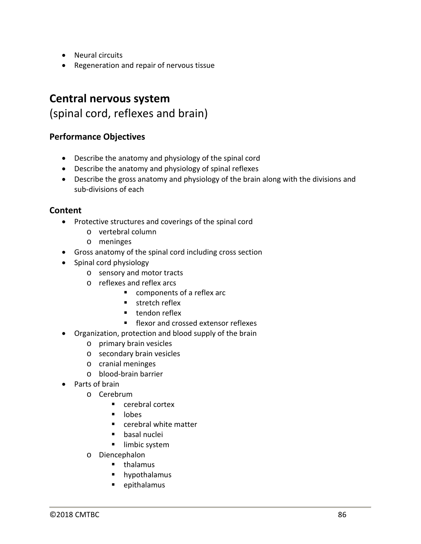- Neural circuits
- Regeneration and repair of nervous tissue

# **Central nervous system** (spinal cord, reflexes and brain)

### **Performance Objectives**

- Describe the anatomy and physiology of the spinal cord
- Describe the anatomy and physiology of spinal reflexes
- Describe the gross anatomy and physiology of the brain along with the divisions and sub-divisions of each

- Protective structures and coverings of the spinal cord
	- o vertebral column
	- o meninges
- Gross anatomy of the spinal cord including cross section
- Spinal cord physiology
	- o sensory and motor tracts
	- o reflexes and reflex arcs
		- components of a reflex arc
			- **stretch reflex**
			- **tendon reflex**
			- **F** flexor and crossed extensor reflexes
- Organization, protection and blood supply of the brain
	- o primary brain vesicles
	- o secondary brain vesicles
	- o cranial meninges
	- o blood-brain barrier
- Parts of brain
	- o Cerebrum
		- cerebral cortex
		- $\blacksquare$  lobes
		- cerebral white matter
		- basal nuclei
		- **Imbic system**
	- o Diencephalon
		- $\blacksquare$  thalamus
		- **hypothalamus**
		- **·** epithalamus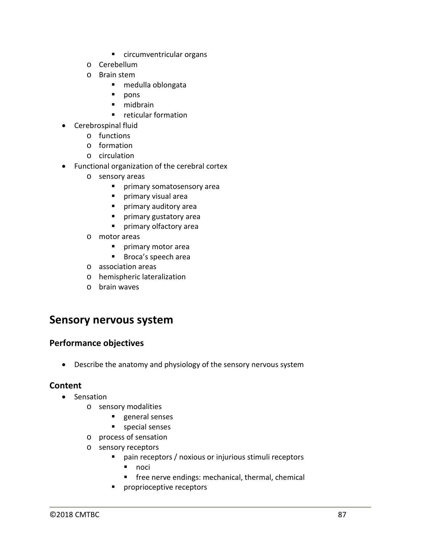- circumventricular organs
- o Cerebellum
- o Brain stem
	- medulla oblongata
	- **pons**
	- **nidbrain**
	- **F** reticular formation
- Cerebrospinal fluid
	- o functions
	- o formation
	- o circulation
- Functional organization of the cerebral cortex
	- o sensory areas
		- primary somatosensory area
		- **Primary visual area**
		- **Part of the primary auditory area**
		- **Part of the primary gustatory area**
		- **Part of primary olfactory area**
	- o motor areas
		- **Primary motor area**
		- **Broca's speech area**
	- o association areas
	- o hemispheric lateralization
	- o brain waves

## **Sensory nervous system**

### **Performance objectives**

• Describe the anatomy and physiology of the sensory nervous system

- Sensation
	- o sensory modalities
		- **general senses**
		- **special senses**
	- o process of sensation
	- o sensory receptors
		- pain receptors / noxious or injurious stimuli receptors
			- $\blacksquare$  noci
			- **F** free nerve endings: mechanical, thermal, chemical
		- **Paragree receptors**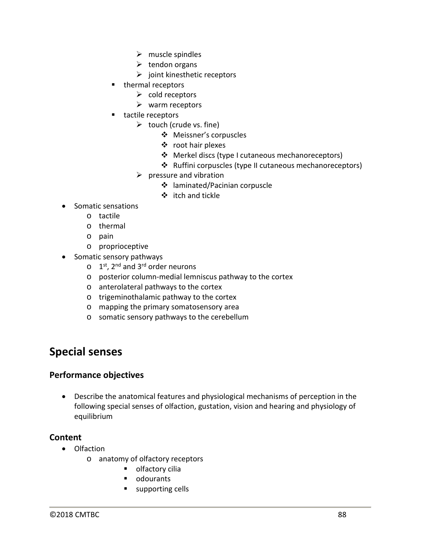- $\triangleright$  muscle spindles
- $\triangleright$  tendon organs
- $\triangleright$  joint kinesthetic receptors
- **thermal receptors** 
	- $\triangleright$  cold receptors
	- $\triangleright$  warm receptors
- tactile receptors
	- $\triangleright$  touch (crude vs. fine)
		- Meissner's corpuscles
		- root hair plexes
		- Merkel discs (type I cutaneous mechanoreceptors)
		- \* Ruffini corpuscles (type II cutaneous mechanoreceptors)
	- $\triangleright$  pressure and vibration
		- laminated/Pacinian corpuscle
		- itch and tickle
- Somatic sensations
	- o tactile
	- o thermal
	- o pain
	- o proprioceptive
- Somatic sensory pathways
	- $\circ$  1<sup>st</sup>, 2<sup>nd</sup> and 3<sup>rd</sup> order neurons
	- o posterior column-medial lemniscus pathway to the cortex
	- o anterolateral pathways to the cortex
	- o trigeminothalamic pathway to the cortex
	- o mapping the primary somatosensory area
	- o somatic sensory pathways to the cerebellum

## **Special senses**

### **Performance objectives**

• Describe the anatomical features and physiological mechanisms of perception in the following special senses of olfaction, gustation, vision and hearing and physiology of equilibrium

- Olfaction
	- o anatomy of olfactory receptors
		- **•** olfactory cilia
		- odourants
		- supporting cells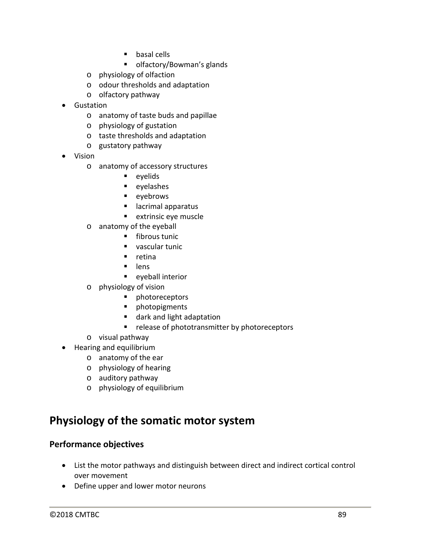- **basal cells**
- olfactory/Bowman's glands
- o physiology of olfaction
- o odour thresholds and adaptation
- o olfactory pathway
- Gustation
	- o anatomy of taste buds and papillae
	- o physiology of gustation
	- o taste thresholds and adaptation
	- o gustatory pathway
- Vision
	- o anatomy of accessory structures
		- $\blacksquare$  evelids
			- **E** eyelashes
			- **eyebrows**
			- lacrimal apparatus
			- **extrinsic eye muscle**
	- o anatomy of the eyeball
		- **fibrous tunic**
		- vascular tunic
		- $\blacksquare$  retina
		- $l$  lens
		- **EXEC**eveball interior
	- o physiology of vision
		- **•** photoreceptors
		- **•** photopigments
		- dark and light adaptation
		- **•** release of phototransmitter by photoreceptors
	- o visual pathway
- Hearing and equilibrium
	- o anatomy of the ear
	- o physiology of hearing
	- o auditory pathway
	- o physiology of equilibrium

## **Physiology of the somatic motor system**

### **Performance objectives**

- List the motor pathways and distinguish between direct and indirect cortical control over movement
- Define upper and lower motor neurons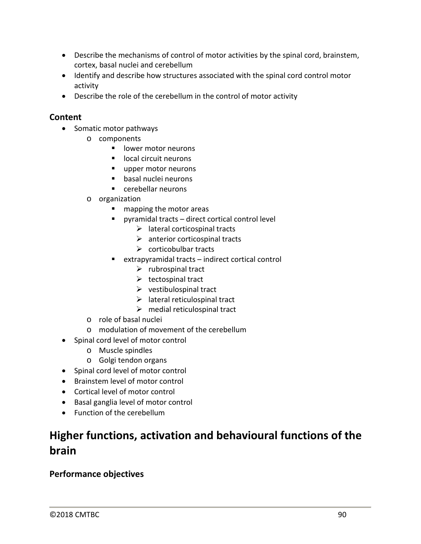- Describe the mechanisms of control of motor activities by the spinal cord, brainstem, cortex, basal nuclei and cerebellum
- Identify and describe how structures associated with the spinal cord control motor activity
- Describe the role of the cerebellum in the control of motor activity

### **Content**

- Somatic motor pathways
	- o components
		- lower motor neurons
		- **Inducate Contract in Local circuit neurons**
		- upper motor neurons
		- basal nuclei neurons
		- cerebellar neurons
	- o organization
		- mapping the motor areas
		- pyramidal tracts direct cortical control level
			- $\triangleright$  lateral corticospinal tracts
			- $\triangleright$  anterior corticospinal tracts
			- $\triangleright$  corticobulbar tracts
		- $\blacksquare$  extrapyramidal tracts indirect cortical control
			- $\triangleright$  rubrospinal tract
			- $\triangleright$  tectospinal tract
			- $\triangleright$  vestibulospinal tract
			- $\triangleright$  lateral reticulospinal tract
			- $\triangleright$  medial reticulospinal tract
	- o role of basal nuclei
	- o modulation of movement of the cerebellum
- Spinal cord level of motor control
	- o Muscle spindles
	- o Golgi tendon organs
- Spinal cord level of motor control
- Brainstem level of motor control
- Cortical level of motor control
- Basal ganglia level of motor control
- Function of the cerebellum

# **Higher functions, activation and behavioural functions of the brain**

### **Performance objectives**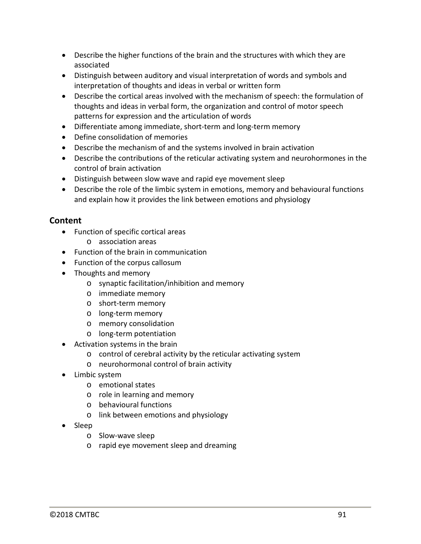- Describe the higher functions of the brain and the structures with which they are associated
- Distinguish between auditory and visual interpretation of words and symbols and interpretation of thoughts and ideas in verbal or written form
- Describe the cortical areas involved with the mechanism of speech: the formulation of thoughts and ideas in verbal form, the organization and control of motor speech patterns for expression and the articulation of words
- Differentiate among immediate, short-term and long-term memory
- Define consolidation of memories
- Describe the mechanism of and the systems involved in brain activation
- Describe the contributions of the reticular activating system and neurohormones in the control of brain activation
- Distinguish between slow wave and rapid eye movement sleep
- Describe the role of the limbic system in emotions, memory and behavioural functions and explain how it provides the link between emotions and physiology

- Function of specific cortical areas
	- o association areas
- Function of the brain in communication
- Function of the corpus callosum
- Thoughts and memory
	- o synaptic facilitation/inhibition and memory
	- o immediate memory
	- o short-term memory
	- o long-term memory
	- o memory consolidation
	- o long-term potentiation
- Activation systems in the brain
	- o control of cerebral activity by the reticular activating system
	- o neurohormonal control of brain activity
- Limbic system
	- o emotional states
	- o role in learning and memory
	- o behavioural functions
	- o link between emotions and physiology
- Sleep
	- o Slow-wave sleep
	- o rapid eye movement sleep and dreaming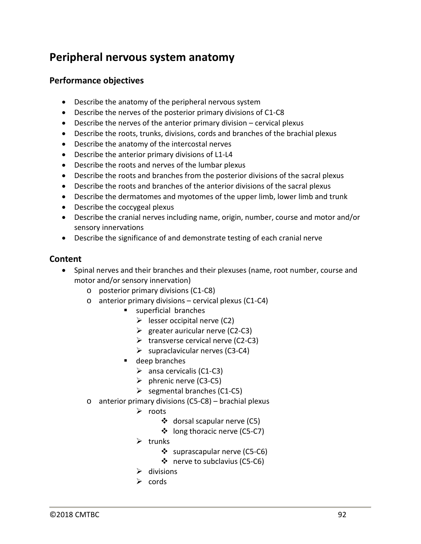## **Peripheral nervous system anatomy**

### **Performance objectives**

- Describe the anatomy of the peripheral nervous system
- Describe the nerves of the posterior primary divisions of C1-C8
- Describe the nerves of the anterior primary division cervical plexus
- Describe the roots, trunks, divisions, cords and branches of the brachial plexus
- Describe the anatomy of the intercostal nerves
- Describe the anterior primary divisions of L1-L4
- Describe the roots and nerves of the lumbar plexus
- Describe the roots and branches from the posterior divisions of the sacral plexus
- Describe the roots and branches of the anterior divisions of the sacral plexus
- Describe the dermatomes and myotomes of the upper limb, lower limb and trunk
- Describe the coccygeal plexus
- Describe the cranial nerves including name, origin, number, course and motor and/or sensory innervations
- Describe the significance of and demonstrate testing of each cranial nerve

### **Content**

• Spinal nerves and their branches and their plexuses (name, root number, course and motor and/or sensory innervation)

- o posterior primary divisions (C1-C8)
- $\circ$  anterior primary divisions cervical plexus (C1-C4)
	- **superficial branches** 
		- $\triangleright$  lesser occipital nerve (C2)
		- $\triangleright$  greater auricular nerve (C2-C3)
		- $\triangleright$  transverse cervical nerve (C2-C3)
		- $\triangleright$  supraclavicular nerves (C3-C4)
	- deep branches
		- $\triangleright$  ansa cervicalis (C1-C3)
		- $\triangleright$  phrenic nerve (C3-C5)
		- $\triangleright$  segmental branches (C1-C5)
- o anterior primary divisions (C5-C8) brachial plexus
	- $\triangleright$  roots
		- ❖ dorsal scapular nerve (C5)
		- long thoracic nerve (C5-C7)
	- $\triangleright$  trunks
		- ❖ suprascapular nerve (C5-C6)
		- ❖ nerve to subclavius (C5-C6)
	- $\triangleright$  divisions
	- $\triangleright$  cords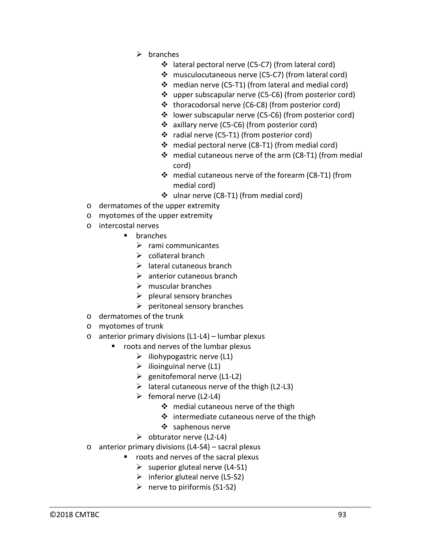- $\triangleright$  branches
	- lateral pectoral nerve (C5-C7) (from lateral cord)
	- musculocutaneous nerve (C5-C7) (from lateral cord)
	- median nerve (C5-T1) (from lateral and medial cord)
	- upper subscapular nerve (C5-C6) (from posterior cord)
	- thoracodorsal nerve (C6-C8) (from posterior cord)
	- lower subscapular nerve (C5-C6) (from posterior cord)
	- axillary nerve (C5-C6) (from posterior cord)
	- radial nerve (C5-T1) (from posterior cord)
	- medial pectoral nerve (C8-T1) (from medial cord)
	- medial cutaneous nerve of the arm (C8-T1) (from medial cord)
	- medial cutaneous nerve of the forearm (C8-T1) (from medial cord)
	- ulnar nerve (C8-T1) (from medial cord)
- o dermatomes of the upper extremity
- o myotomes of the upper extremity
- o intercostal nerves
	- **•** branches
		- $\triangleright$  rami communicantes
		- $\triangleright$  collateral branch
		- $\triangleright$  lateral cutaneous branch
		- $\triangleright$  anterior cutaneous branch
		- $\triangleright$  muscular branches
		- $\triangleright$  pleural sensory branches
		- $\triangleright$  peritoneal sensory branches
- o dermatomes of the trunk
- o myotomes of trunk
- o anterior primary divisions (L1-L4) lumbar plexus
	- **•** roots and nerves of the lumbar plexus
		- $\triangleright$  iliohypogastric nerve (L1)
		- $\triangleright$  ilioinguinal nerve (L1)
		- $\ge$  genitofemoral nerve (L1-L2)
		- $\triangleright$  lateral cutaneous nerve of the thigh (L2-L3)
		- $\triangleright$  femoral nerve (L2-L4)
			- ❖ medial cutaneous nerve of the thigh
			- $\div$  intermediate cutaneous nerve of the thigh
			- ❖ saphenous nerve
		- $\triangleright$  obturator nerve (L2-L4)
- o anterior primary divisions (L4-S4) sacral plexus
	- **•** roots and nerves of the sacral plexus
		- $\triangleright$  superior gluteal nerve (L4-S1)
		- $\triangleright$  inferior gluteal nerve (L5-S2)
		- $\triangleright$  nerve to piriformis (S1-S2)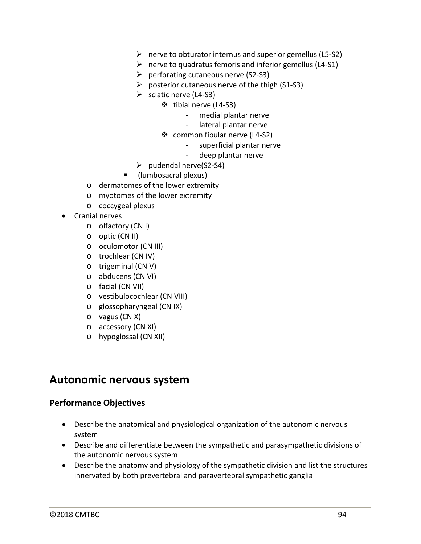- $\triangleright$  nerve to obturator internus and superior gemellus (L5-S2)
- $\triangleright$  nerve to quadratus femoris and inferior gemellus (L4-S1)
- $\triangleright$  perforating cutaneous nerve (S2-S3)
- $\triangleright$  posterior cutaneous nerve of the thigh (S1-S3)
- $\triangleright$  sciatic nerve (L4-S3)
	- tibial nerve (L4-S3)
		- medial plantar nerve
		- lateral plantar nerve
	- common fibular nerve (L4-S2)
		- superficial plantar nerve
		- deep plantar nerve
- $\blacktriangleright$  pudendal nerve(S2-S4)
- (lumbosacral plexus)
- o dermatomes of the lower extremity
- o myotomes of the lower extremity
- o coccygeal plexus
- Cranial nerves
	- o olfactory (CN I)
	- o optic (CN II)
	- o oculomotor (CN III)
	- o trochlear (CN IV)
	- o trigeminal (CN V)
	- o abducens (CN VI)
	- o facial (CN VII)
	- o vestibulocochlear (CN VIII)
	- o glossopharyngeal (CN IX)
	- o vagus (CN X)
	- o accessory (CN XI)
	- o hypoglossal (CN XII)

## **Autonomic nervous system**

### **Performance Objectives**

- Describe the anatomical and physiological organization of the autonomic nervous system
- Describe and differentiate between the sympathetic and parasympathetic divisions of the autonomic nervous system
- Describe the anatomy and physiology of the sympathetic division and list the structures innervated by both prevertebral and paravertebral sympathetic ganglia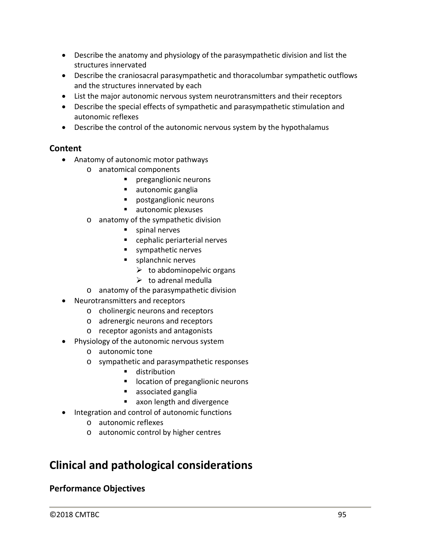- Describe the anatomy and physiology of the parasympathetic division and list the structures innervated
- Describe the craniosacral parasympathetic and thoracolumbar sympathetic outflows and the structures innervated by each
- List the major autonomic nervous system neurotransmitters and their receptors
- Describe the special effects of sympathetic and parasympathetic stimulation and autonomic reflexes
- Describe the control of the autonomic nervous system by the hypothalamus

### **Content**

- Anatomy of autonomic motor pathways
	- o anatomical components
		- **P** preganglionic neurons
		- **autonomic ganglia**
		- **Parager** postganglionic neurons
		- ullet autonomic plexuses
	- o anatomy of the sympathetic division
		- **spinal nerves**
		- cephalic periarterial nerves
		- sympathetic nerves
		- **splanchnic nerves** 
			- $\triangleright$  to abdominopelvic organs
			- $\triangleright$  to adrenal medulla
	- o anatomy of the parasympathetic division
- Neurotransmitters and receptors
	- o cholinergic neurons and receptors
	- o adrenergic neurons and receptors
	- o receptor agonists and antagonists
- Physiology of the autonomic nervous system
	- o autonomic tone
	- o sympathetic and parasympathetic responses
		- **distribution**
		- **IDUCATE:** location of preganglionic neurons
		- **associated ganglia**
		- **axon length and divergence**
- Integration and control of autonomic functions
	- o autonomic reflexes
	- o autonomic control by higher centres

# **Clinical and pathological considerations**

## **Performance Objectives**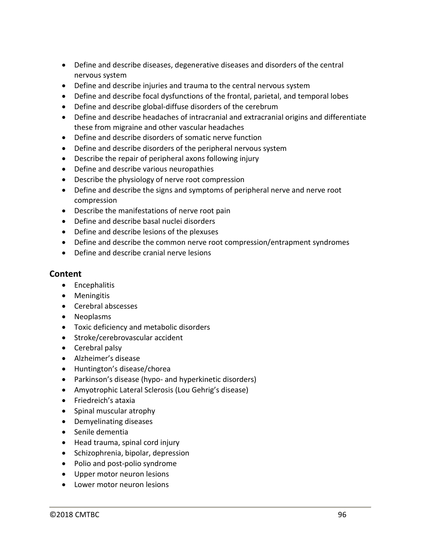- Define and describe diseases, degenerative diseases and disorders of the central nervous system
- Define and describe injuries and trauma to the central nervous system
- Define and describe focal dysfunctions of the frontal, parietal, and temporal lobes
- Define and describe global-diffuse disorders of the cerebrum
- Define and describe headaches of intracranial and extracranial origins and differentiate these from migraine and other vascular headaches
- Define and describe disorders of somatic nerve function
- Define and describe disorders of the peripheral nervous system
- Describe the repair of peripheral axons following injury
- Define and describe various neuropathies
- Describe the physiology of nerve root compression
- Define and describe the signs and symptoms of peripheral nerve and nerve root compression
- Describe the manifestations of nerve root pain
- Define and describe basal nuclei disorders
- Define and describe lesions of the plexuses
- Define and describe the common nerve root compression/entrapment syndromes
- Define and describe cranial nerve lesions

- Encephalitis
- Meningitis
- Cerebral abscesses
- Neoplasms
- Toxic deficiency and metabolic disorders
- Stroke/cerebrovascular accident
- Cerebral palsy
- Alzheimer's disease
- Huntington's disease/chorea
- Parkinson's disease (hypo- and hyperkinetic disorders)
- Amyotrophic Lateral Sclerosis (Lou Gehrig's disease)
- Friedreich's ataxia
- Spinal muscular atrophy
- Demyelinating diseases
- Senile dementia
- Head trauma, spinal cord injury
- Schizophrenia, bipolar, depression
- Polio and post-polio syndrome
- Upper motor neuron lesions
- Lower motor neuron lesions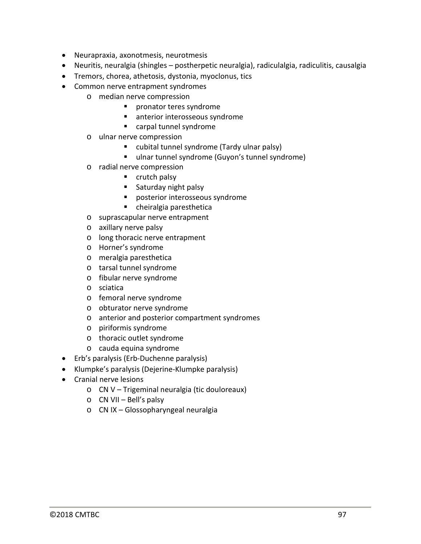- Neurapraxia, axonotmesis, neurotmesis
- Neuritis, neuralgia (shingles postherpetic neuralgia), radiculalgia, radiculitis, causalgia
- Tremors, chorea, athetosis, dystonia, myoclonus, tics
- Common nerve entrapment syndromes
	- o median nerve compression
		- **Part of the syndrome**
		- anterior interosseous syndrome
		- carpal tunnel syndrome
	- o ulnar nerve compression
		- cubital tunnel syndrome (Tardy ulnar palsy)
		- ulnar tunnel syndrome (Guyon's tunnel syndrome)
	- o radial nerve compression
		- $\blacksquare$  crutch palsy
		- **Saturday night palsy**
		- **P** posterior interosseous syndrome
		- cheiralgia paresthetica
	- o suprascapular nerve entrapment
	- o axillary nerve palsy
	- o long thoracic nerve entrapment
	- o Horner's syndrome
	- o meralgia paresthetica
	- o tarsal tunnel syndrome
	- o fibular nerve syndrome
	- o sciatica
	- o femoral nerve syndrome
	- o obturator nerve syndrome
	- o anterior and posterior compartment syndromes
	- o piriformis syndrome
	- o thoracic outlet syndrome
	- o cauda equina syndrome
- Erb's paralysis (Erb-Duchenne paralysis)
- Klumpke's paralysis (Dejerine-Klumpke paralysis)
- Cranial nerve lesions
	- o CN V Trigeminal neuralgia (tic douloreaux)
	- o CN VII Bell's palsy
	- o CN IX Glossopharyngeal neuralgia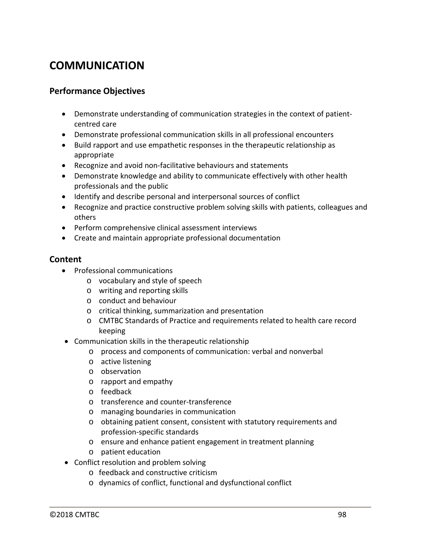# **COMMUNICATION**

### **Performance Objectives**

- Demonstrate understanding of communication strategies in the context of patientcentred care
- Demonstrate professional communication skills in all professional encounters
- Build rapport and use empathetic responses in the therapeutic relationship as appropriate
- Recognize and avoid non-facilitative behaviours and statements
- Demonstrate knowledge and ability to communicate effectively with other health professionals and the public
- Identify and describe personal and interpersonal sources of conflict
- Recognize and practice constructive problem solving skills with patients, colleagues and others
- Perform comprehensive clinical assessment interviews
- Create and maintain appropriate professional documentation

- Professional communications
	- o vocabulary and style of speech
	- o writing and reporting skills
	- o conduct and behaviour
	- o critical thinking, summarization and presentation
	- o CMTBC Standards of Practice and requirements related to health care record keeping
- Communication skills in the therapeutic relationship
	- o process and components of communication: verbal and nonverbal
	- o active listening
	- o observation
	- o rapport and empathy
	- o feedback
	- o transference and counter-transference
	- o managing boundaries in communication
	- o obtaining patient consent, consistent with statutory requirements and profession-specific standards
	- o ensure and enhance patient engagement in treatment planning
	- o patient education
- Conflict resolution and problem solving
	- o feedback and constructive criticism
	- o dynamics of conflict, functional and dysfunctional conflict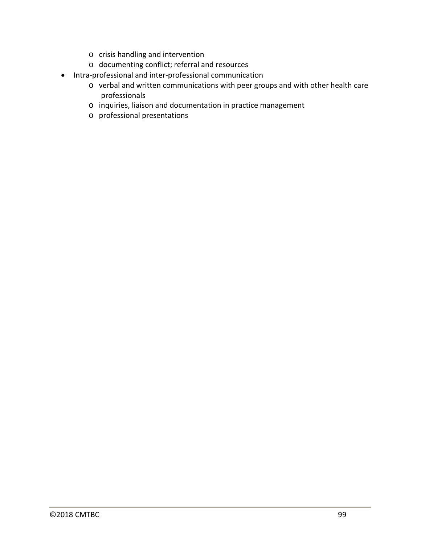- o crisis handling and intervention
- o documenting conflict; referral and resources
- Intra-professional and inter-professional communication
	- o verbal and written communications with peer groups and with other health care professionals
	- o inquiries, liaison and documentation in practice management
	- o professional presentations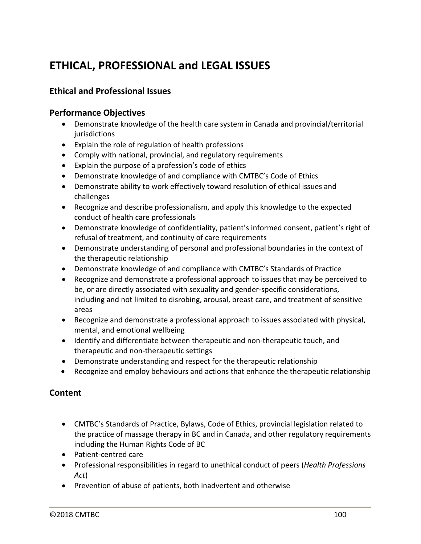# **ETHICAL, PROFESSIONAL and LEGAL ISSUES**

## **Ethical and Professional Issues**

### **Performance Objectives**

- Demonstrate knowledge of the health care system in Canada and provincial/territorial jurisdictions
- Explain the role of regulation of health professions
- Comply with national, provincial, and regulatory requirements
- Explain the purpose of a profession's code of ethics
- Demonstrate knowledge of and compliance with CMTBC's Code of Ethics
- Demonstrate ability to work effectively toward resolution of ethical issues and challenges
- Recognize and describe professionalism, and apply this knowledge to the expected conduct of health care professionals
- Demonstrate knowledge of confidentiality, patient's informed consent, patient's right of refusal of treatment, and continuity of care requirements
- Demonstrate understanding of personal and professional boundaries in the context of the therapeutic relationship
- Demonstrate knowledge of and compliance with CMTBC's Standards of Practice
- Recognize and demonstrate a professional approach to issues that may be perceived to be, or are directly associated with sexuality and gender-specific considerations, including and not limited to disrobing, arousal, breast care, and treatment of sensitive areas
- Recognize and demonstrate a professional approach to issues associated with physical, mental, and emotional wellbeing
- Identify and differentiate between therapeutic and non-therapeutic touch, and therapeutic and non-therapeutic settings
- Demonstrate understanding and respect for the therapeutic relationship
- Recognize and employ behaviours and actions that enhance the therapeutic relationship

- CMTBC's Standards of Practice, Bylaws, Code of Ethics, provincial legislation related to the practice of massage therapy in BC and in Canada, and other regulatory requirements including the Human Rights Code of BC
- Patient-centred care
- Professional responsibilities in regard to unethical conduct of peers (*Health Professions Act*)
- Prevention of abuse of patients, both inadvertent and otherwise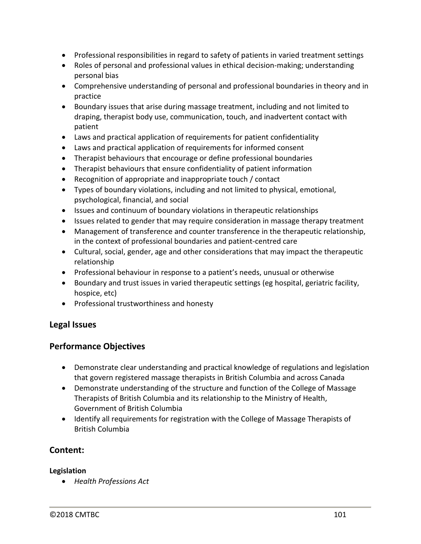- Professional responsibilities in regard to safety of patients in varied treatment settings
- Roles of personal and professional values in ethical decision-making; understanding personal bias
- Comprehensive understanding of personal and professional boundaries in theory and in practice
- Boundary issues that arise during massage treatment, including and not limited to draping, therapist body use, communication, touch, and inadvertent contact with patient
- Laws and practical application of requirements for patient confidentiality
- Laws and practical application of requirements for informed consent
- Therapist behaviours that encourage or define professional boundaries
- Therapist behaviours that ensure confidentiality of patient information
- Recognition of appropriate and inappropriate touch / contact
- Types of boundary violations, including and not limited to physical, emotional, psychological, financial, and social
- Issues and continuum of boundary violations in therapeutic relationships
- Issues related to gender that may require consideration in massage therapy treatment
- Management of transference and counter transference in the therapeutic relationship, in the context of professional boundaries and patient-centred care
- Cultural, social, gender, age and other considerations that may impact the therapeutic relationship
- Professional behaviour in response to a patient's needs, unusual or otherwise
- Boundary and trust issues in varied therapeutic settings (eg hospital, geriatric facility, hospice, etc)
- Professional trustworthiness and honesty

### **Legal Issues**

### **Performance Objectives**

- Demonstrate clear understanding and practical knowledge of regulations and legislation that govern registered massage therapists in British Columbia and across Canada
- Demonstrate understanding of the structure and function of the College of Massage Therapists of British Columbia and its relationship to the Ministry of Health, Government of British Columbia
- Identify all requirements for registration with the College of Massage Therapists of British Columbia

## **Content:**

### **Legislation**

• *Health Professions Act*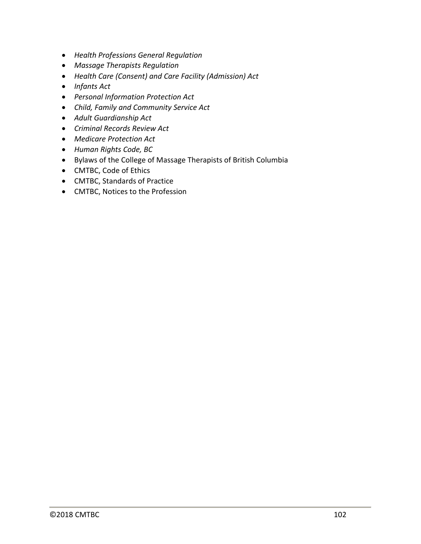- *Health Professions General Regulation*
- *Massage Therapists Regulation*
- *Health Care (Consent) and Care Facility (Admission) Act*
- *Infants Act*
- *Personal Information Protection Act*
- *Child, Family and Community Service Act*
- *Adult Guardianship Act*
- *Criminal Records Review Act*
- *Medicare Protection Act*
- *Human Rights Code, BC*
- Bylaws of the College of Massage Therapists of British Columbia
- CMTBC, Code of Ethics
- CMTBC, Standards of Practice
- CMTBC, Notices to the Profession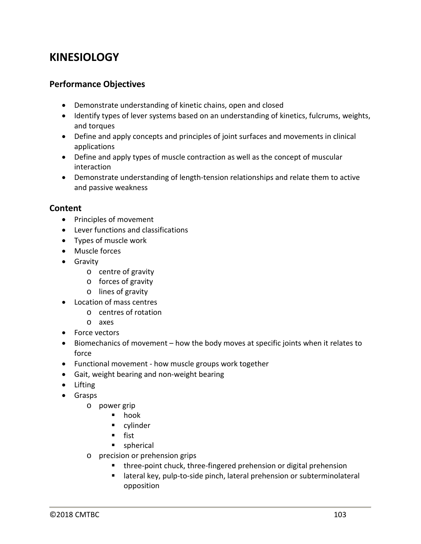## **KINESIOLOGY**

### **Performance Objectives**

- Demonstrate understanding of kinetic chains, open and closed
- Identify types of lever systems based on an understanding of kinetics, fulcrums, weights, and torques
- Define and apply concepts and principles of joint surfaces and movements in clinical applications
- Define and apply types of muscle contraction as well as the concept of muscular interaction
- Demonstrate understanding of length-tension relationships and relate them to active and passive weakness

- Principles of movement
- Lever functions and classifications
- Types of muscle work
- Muscle forces
- Gravity
	- o centre of gravity
	- o forces of gravity
	- o lines of gravity
- Location of mass centres
	- o centres of rotation
	- o axes
- Force vectors
- Biomechanics of movement how the body moves at specific joints when it relates to force
- Functional movement how muscle groups work together
- Gait, weight bearing and non-weight bearing
- Lifting
- Grasps
	- o power grip
		- hook
		- **u** cylinder
		- $f$ ist
		- spherical
	- o precision or prehension grips
		- **three-point chuck, three-fingered prehension or digital prehension**
		- lateral key, pulp-to-side pinch, lateral prehension or subterminolateral opposition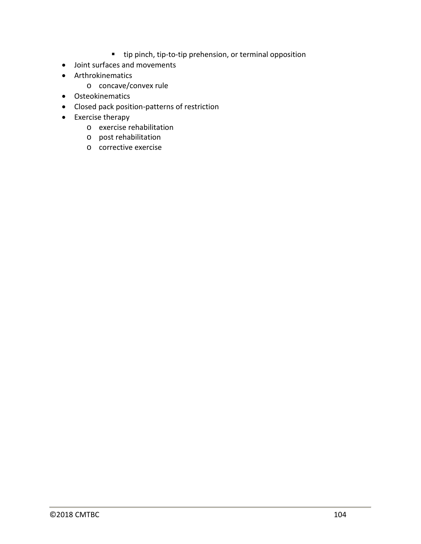- tip pinch, tip-to-tip prehension, or terminal opposition
- Joint surfaces and movements
- Arthrokinematics
	- o concave/convex rule
- Osteokinematics
- Closed pack position-patterns of restriction
- Exercise therapy
	- o exercise rehabilitation
	- o post rehabilitation
	- o corrective exercise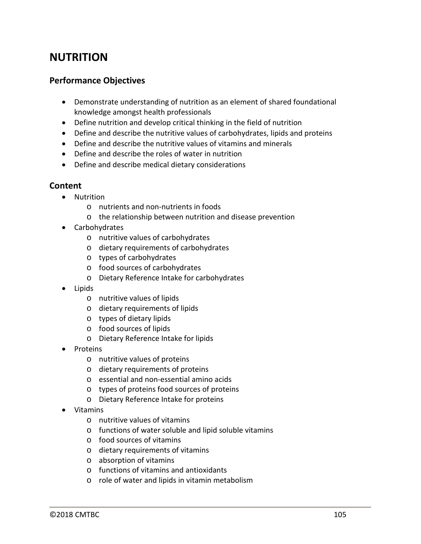## **NUTRITION**

### **Performance Objectives**

- Demonstrate understanding of nutrition as an element of shared foundational knowledge amongst health professionals
- Define nutrition and develop critical thinking in the field of nutrition
- Define and describe the nutritive values of carbohydrates, lipids and proteins
- Define and describe the nutritive values of vitamins and minerals
- Define and describe the roles of water in nutrition
- Define and describe medical dietary considerations

- Nutrition
	- o nutrients and non-nutrients in foods
	- o the relationship between nutrition and disease prevention
- Carbohydrates
	- o nutritive values of carbohydrates
	- o dietary requirements of carbohydrates
	- o types of carbohydrates
	- o food sources of carbohydrates
	- o Dietary Reference Intake for carbohydrates
- Lipids
	- o nutritive values of lipids
	- o dietary requirements of lipids
	- o types of dietary lipids
	- o food sources of lipids
	- o Dietary Reference Intake for lipids
- Proteins
	- o nutritive values of proteins
	- o dietary requirements of proteins
	- o essential and non-essential amino acids
	- o types of proteins food sources of proteins
	- o Dietary Reference Intake for proteins
- Vitamins
	- o nutritive values of vitamins
	- o functions of water soluble and lipid soluble vitamins
	- o food sources of vitamins
	- o dietary requirements of vitamins
	- o absorption of vitamins
	- o functions of vitamins and antioxidants
	- o role of water and lipids in vitamin metabolism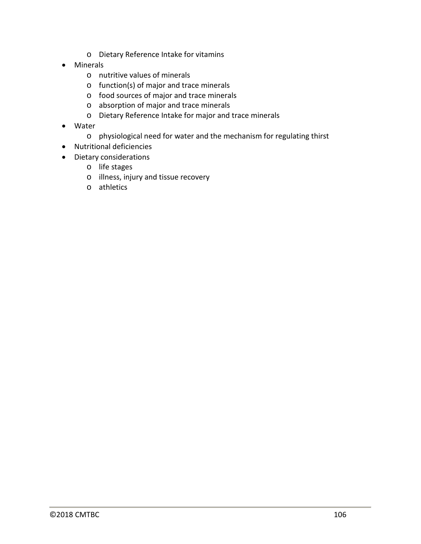- o Dietary Reference Intake for vitamins
- Minerals
	- o nutritive values of minerals
	- o function(s) of major and trace minerals
	- o food sources of major and trace minerals
	- o absorption of major and trace minerals
	- o Dietary Reference Intake for major and trace minerals
- Water
	- o physiological need for water and the mechanism for regulating thirst
- Nutritional deficiencies
- Dietary considerations
	- o life stages
	- o illness, injury and tissue recovery
	- o athletics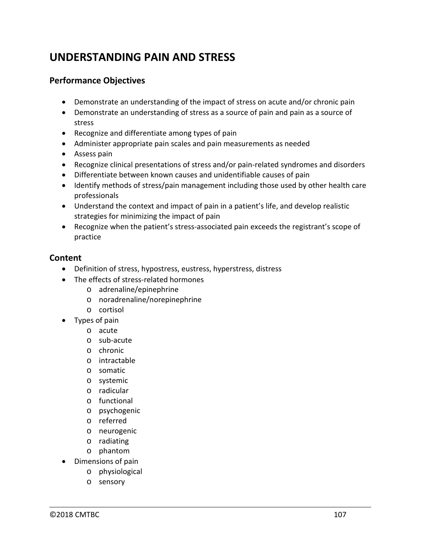# **UNDERSTANDING PAIN AND STRESS**

### **Performance Objectives**

- Demonstrate an understanding of the impact of stress on acute and/or chronic pain
- Demonstrate an understanding of stress as a source of pain and pain as a source of stress
- Recognize and differentiate among types of pain
- Administer appropriate pain scales and pain measurements as needed
- Assess pain
- Recognize clinical presentations of stress and/or pain-related syndromes and disorders
- Differentiate between known causes and unidentifiable causes of pain
- Identify methods of stress/pain management including those used by other health care professionals
- Understand the context and impact of pain in a patient's life, and develop realistic strategies for minimizing the impact of pain
- Recognize when the patient's stress-associated pain exceeds the registrant's scope of practice

- Definition of stress, hypostress, eustress, hyperstress, distress
- The effects of stress-related hormones
	- o adrenaline/epinephrine
	- o noradrenaline/norepinephrine
	- o cortisol
- Types of pain
	- o acute
	- o sub-acute
	- o chronic
	- o intractable
	- o somatic
	- o systemic
	- o radicular
	- o functional
	- o psychogenic
	- o referred
	- o neurogenic
	- o radiating
	- o phantom
- Dimensions of pain
	- o physiological
		- o sensory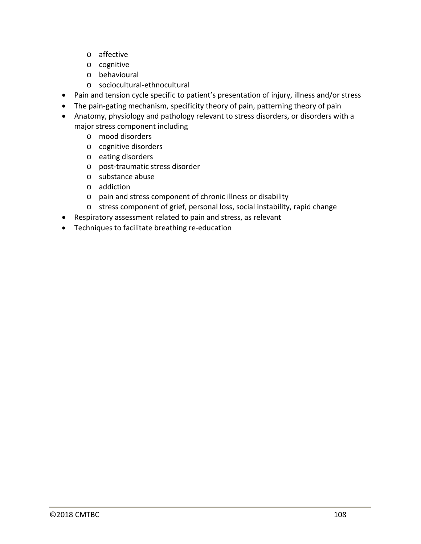- o affective
- o cognitive
- o behavioural
- o sociocultural-ethnocultural
- Pain and tension cycle specific to patient's presentation of injury, illness and/or stress
- The pain-gating mechanism, specificity theory of pain, patterning theory of pain
- Anatomy, physiology and pathology relevant to stress disorders, or disorders with a major stress component including
	- o mood disorders
	- o cognitive disorders
	- o eating disorders
	- o post-traumatic stress disorder
	- o substance abuse
	- o addiction
	- o pain and stress component of chronic illness or disability
	- o stress component of grief, personal loss, social instability, rapid change
- Respiratory assessment related to pain and stress, as relevant
- Techniques to facilitate breathing re-education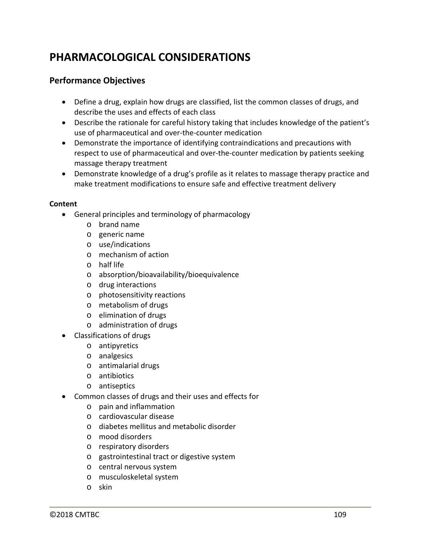## **PHARMACOLOGICAL CONSIDERATIONS**

### **Performance Objectives**

- Define a drug, explain how drugs are classified, list the common classes of drugs, and describe the uses and effects of each class
- Describe the rationale for careful history taking that includes knowledge of the patient's use of pharmaceutical and over-the-counter medication
- Demonstrate the importance of identifying contraindications and precautions with respect to use of pharmaceutical and over-the-counter medication by patients seeking massage therapy treatment
- Demonstrate knowledge of a drug's profile as it relates to massage therapy practice and make treatment modifications to ensure safe and effective treatment delivery

#### **Content**

- General principles and terminology of pharmacology
	- o brand name
	- o generic name
	- o use/indications
	- o mechanism of action
	- o half life
	- o absorption/bioavailability/bioequivalence
	- o drug interactions
	- o photosensitivity reactions
	- o metabolism of drugs
	- o elimination of drugs
	- o administration of drugs
- Classifications of drugs
	- o antipyretics
	- o analgesics
	- o antimalarial drugs
	- o antibiotics
	- o antiseptics
- Common classes of drugs and their uses and effects for
	- o pain and inflammation
	- o cardiovascular disease
	- o diabetes mellitus and metabolic disorder
	- o mood disorders
	- o respiratory disorders
	- o gastrointestinal tract or digestive system
	- o central nervous system
	- o musculoskeletal system
	- o skin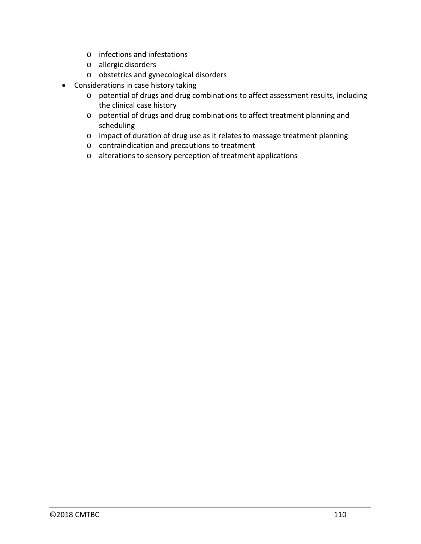- o infections and infestations
- o allergic disorders
- o obstetrics and gynecological disorders
- Considerations in case history taking
	- o potential of drugs and drug combinations to affect assessment results, including the clinical case history
	- o potential of drugs and drug combinations to affect treatment planning and scheduling
	- o impact of duration of drug use as it relates to massage treatment planning
	- o contraindication and precautions to treatment
	- o alterations to sensory perception of treatment applications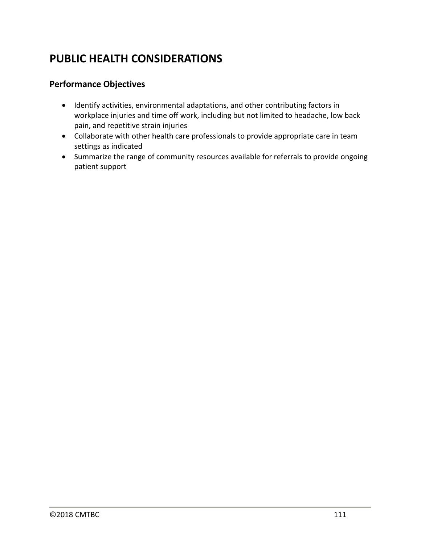# **PUBLIC HEALTH CONSIDERATIONS**

### **Performance Objectives**

- Identify activities, environmental adaptations, and other contributing factors in workplace injuries and time off work, including but not limited to headache, low back pain, and repetitive strain injuries
- Collaborate with other health care professionals to provide appropriate care in team settings as indicated
- Summarize the range of community resources available for referrals to provide ongoing patient support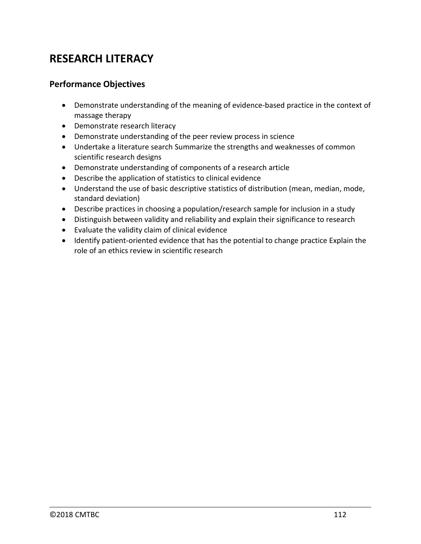# **RESEARCH LITERACY**

### **Performance Objectives**

- Demonstrate understanding of the meaning of evidence-based practice in the context of massage therapy
- Demonstrate research literacy
- Demonstrate understanding of the peer review process in science
- Undertake a literature search Summarize the strengths and weaknesses of common scientific research designs
- Demonstrate understanding of components of a research article
- Describe the application of statistics to clinical evidence
- Understand the use of basic descriptive statistics of distribution (mean, median, mode, standard deviation)
- Describe practices in choosing a population/research sample for inclusion in a study
- Distinguish between validity and reliability and explain their significance to research
- Evaluate the validity claim of clinical evidence
- Identify patient-oriented evidence that has the potential to change practice Explain the role of an ethics review in scientific research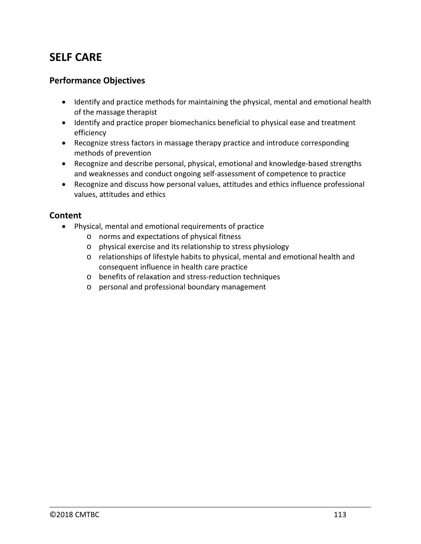# **SELF CARE**

### **Performance Objectives**

- Identify and practice methods for maintaining the physical, mental and emotional health of the massage therapist
- Identify and practice proper biomechanics beneficial to physical ease and treatment efficiency
- Recognize stress factors in massage therapy practice and introduce corresponding methods of prevention
- Recognize and describe personal, physical, emotional and knowledge-based strengths and weaknesses and conduct ongoing self-assessment of competence to practice
- Recognize and discuss how personal values, attitudes and ethics influence professional values, attitudes and ethics

#### **Content**

- Physical, mental and emotional requirements of practice
	- o norms and expectations of physical fitness
	- o physical exercise and its relationship to stress physiology
	- o relationships of lifestyle habits to physical, mental and emotional health and consequent influence in health care practice
	- o benefits of relaxation and stress-reduction techniques
	- o personal and professional boundary management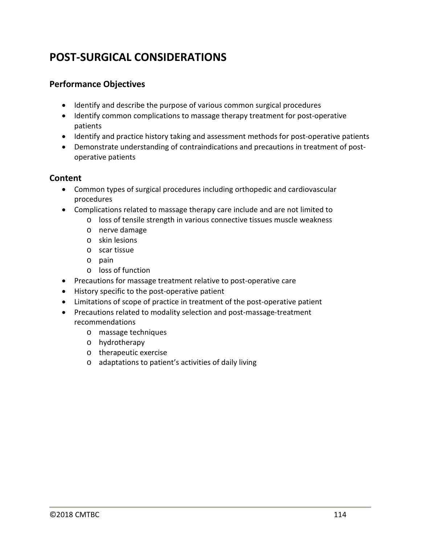# **POST-SURGICAL CONSIDERATIONS**

### **Performance Objectives**

- Identify and describe the purpose of various common surgical procedures
- Identify common complications to massage therapy treatment for post-operative patients
- Identify and practice history taking and assessment methods for post-operative patients
- Demonstrate understanding of contraindications and precautions in treatment of postoperative patients

#### **Content**

- Common types of surgical procedures including orthopedic and cardiovascular procedures
- Complications related to massage therapy care include and are not limited to
	- o loss of tensile strength in various connective tissues muscle weakness
	- o nerve damage
	- o skin lesions
	- o scar tissue
	- o pain
	- o loss of function
- Precautions for massage treatment relative to post-operative care
- History specific to the post-operative patient
- Limitations of scope of practice in treatment of the post-operative patient
- Precautions related to modality selection and post-massage-treatment recommendations
	- o massage techniques
	- o hydrotherapy
	- o therapeutic exercise
	- o adaptations to patient's activities of daily living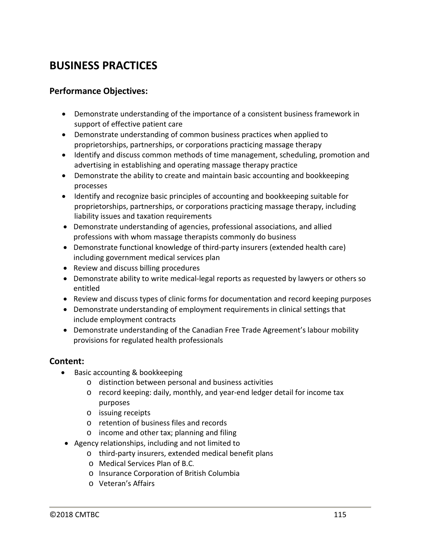# **BUSINESS PRACTICES**

### **Performance Objectives:**

- Demonstrate understanding of the importance of a consistent business framework in support of effective patient care
- Demonstrate understanding of common business practices when applied to proprietorships, partnerships, or corporations practicing massage therapy
- Identify and discuss common methods of time management, scheduling, promotion and advertising in establishing and operating massage therapy practice
- Demonstrate the ability to create and maintain basic accounting and bookkeeping processes
- Identify and recognize basic principles of accounting and bookkeeping suitable for proprietorships, partnerships, or corporations practicing massage therapy, including liability issues and taxation requirements
- Demonstrate understanding of agencies, professional associations, and allied professions with whom massage therapists commonly do business
- Demonstrate functional knowledge of third-party insurers (extended health care) including government medical services plan
- Review and discuss billing procedures
- Demonstrate ability to write medical-legal reports as requested by lawyers or others so entitled
- Review and discuss types of clinic forms for documentation and record keeping purposes
- Demonstrate understanding of employment requirements in clinical settings that include employment contracts
- Demonstrate understanding of the Canadian Free Trade Agreement's labour mobility provisions for regulated health professionals

#### **Content:**

- Basic accounting & bookkeeping
	- o distinction between personal and business activities
	- o record keeping: daily, monthly, and year-end ledger detail for income tax purposes
	- o issuing receipts
	- o retention of business files and records
	- o income and other tax; planning and filing
- Agency relationships, including and not limited to
	- o third-party insurers, extended medical benefit plans
	- o Medical Services Plan of B.C.
	- o Insurance Corporation of British Columbia
	- o Veteran's Affairs